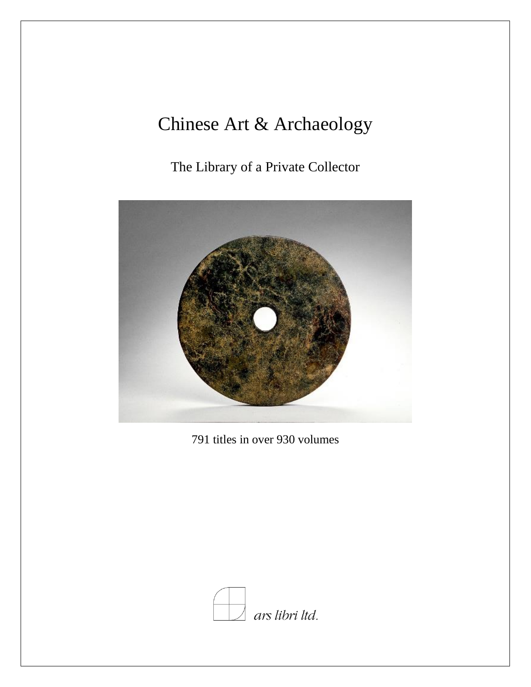## Chinese Art & Archaeology

The Library of a Private Collector



791 titles in over 930 volumes

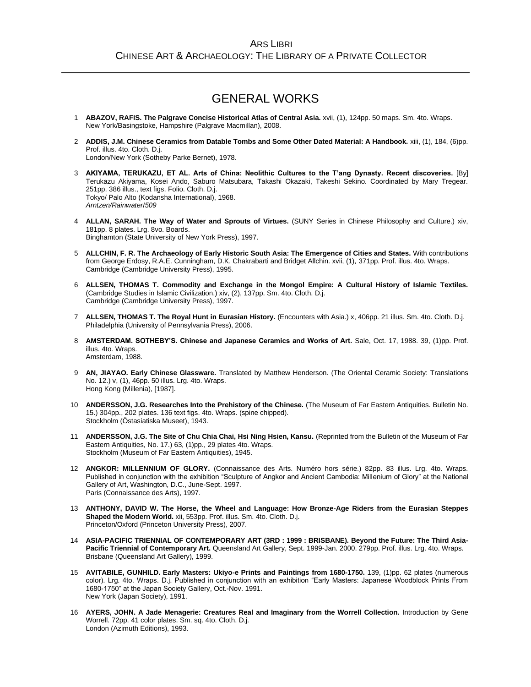## GENERAL WORKS

- 1 **ABAZOV, RAFIS. The Palgrave Concise Historical Atlas of Central Asia.** xvii, (1), 124pp. 50 maps. Sm. 4to. Wraps. New York/Basingstoke, Hampshire (Palgrave Macmillan), 2008.
- 2 **ADDIS, J.M. Chinese Ceramics from Datable Tombs and Some Other Dated Material: A Handbook.** xiii, (1), 184, (6)pp. Prof. illus. 4to. Cloth. D.j. London/New York (Sotheby Parke Bernet), 1978.
- 3 **AKIYAMA, TERUKAZU, ET AL. Arts of China: Neolithic Cultures to the T'ang Dynasty. Recent discoveries.** [By] Terukazu Akiyama, Kosei Ando, Saburo Matsubara, Takashi Okazaki, Takeshi Sekino. Coordinated by Mary Tregear. 251pp. 386 illus., text figs. Folio. Cloth. D.j. Tokyo/ Palo Alto (Kodansha International), 1968. *Arntzen/RainwaterI509*
- 4 **ALLAN, SARAH. The Way of Water and Sprouts of Virtues.** (SUNY Series in Chinese Philosophy and Culture.) xiv, 181pp. 8 plates. Lrg. 8vo. Boards. Binghamton (State University of New York Press), 1997.
- 5 **ALLCHIN, F. R. The Archaeology of Early Historic South Asia: The Emergence of Cities and States.** With contributions from George Erdosy, R.A.E. Cunningham, D.K. Chakrabarti and Bridget Allchin. xvii, (1), 371pp. Prof. illus. 4to. Wraps. Cambridge (Cambridge University Press), 1995.
- 6 **ALLSEN, THOMAS T. Commodity and Exchange in the Mongol Empire: A Cultural History of Islamic Textiles.** (Cambridge Studies in Islamic Civilization.) xiv, (2), 137pp. Sm. 4to. Cloth. D.j. Cambridge (Cambridge University Press), 1997.
- 7 **ALLSEN, THOMAS T. The Royal Hunt in Eurasian History.** (Encounters with Asia.) x, 406pp. 21 illus. Sm. 4to. Cloth. D.j. Philadelphia (University of Pennsylvania Press), 2006.
- 8 **AMSTERDAM. SOTHEBY'S. Chinese and Japanese Ceramics and Works of Art.** Sale, Oct. 17, 1988. 39, (1)pp. Prof. illus. 4to. Wraps. Amsterdam, 1988.
- 9 **AN, JIAYAO. Early Chinese Glassware.** Translated by Matthew Henderson. (The Oriental Ceramic Society: Translations No. 12.) v, (1), 46pp. 50 illus. Lrg. 4to. Wraps. Hong Kong (Millenia), [1987].
- 10 **ANDERSSON, J.G. Researches Into the Prehistory of the Chinese.** (The Museum of Far Eastern Antiquities. Bulletin No. 15.) 304pp., 202 plates. 136 text figs. 4to. Wraps. (spine chipped). Stockholm (Östasiatiska Museet), 1943.
- 11 **ANDERSSON, J.G. The Site of Chu Chia Chai, Hsi Ning Hsien, Kansu.** (Reprinted from the Bulletin of the Museum of Far Eastern Antiquities, No. 17.) 63, (1)pp., 29 plates 4to. Wraps. Stockholm (Museum of Far Eastern Antiquities), 1945.
- 12 **ANGKOR: MILLENNIUM OF GLORY.** (Connaissance des Arts. Numéro hors série.) 82pp. 83 illus. Lrg. 4to. Wraps. Published in conjunction with the exhibition "Sculpture of Angkor and Ancient Cambodia: Millenium of Glory" at the National Gallery of Art, Washington, D.C., June-Sept. 1997. Paris (Connaissance des Arts), 1997.
- 13 **ANTHONY, DAVID W. The Horse, the Wheel and Language: How Bronze-Age Riders from the Eurasian Steppes Shaped the Modern World.** xii, 553pp. Prof. illus. Sm. 4to. Cloth. D.j. Princeton/Oxford (Princeton University Press), 2007.
- 14 **ASIA-PACIFIC TRIENNIAL OF CONTEMPORARY ART (3RD : 1999 : BRISBANE). Beyond the Future: The Third Asia-**Pacific Triennial of Contemporary Art. Queensland Art Gallery, Sept. 1999-Jan. 2000. 279pp. Prof. illus. Lrg. 4to. Wraps. Brisbane (Queensland Art Gallery), 1999.
- 15 **AVITABILE, GUNHILD. Early Masters: Ukiyo-e Prints and Paintings from 1680-1750.** 139, (1)pp. 62 plates (numerous color). Lrg. 4to. Wraps. D.j. Published in conjunction with an exhibition "Early Masters: Japanese Woodblock Prints From 1680-1750" at the Japan Society Gallery, Oct.-Nov. 1991. New York (Japan Society), 1991.
- 16 **AYERS, JOHN. A Jade Menagerie: Creatures Real and Imaginary from the Worrell Collection.** Introduction by Gene Worrell. 72pp. 41 color plates. Sm. sq. 4to. Cloth. D.j. London (Azimuth Editions), 1993.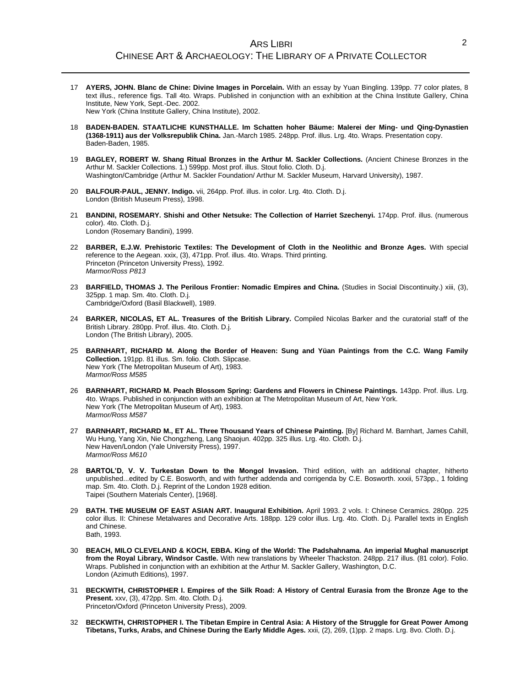- 17 **AYERS, JOHN. Blanc de Chine: Divine Images in Porcelain.** With an essay by Yuan Bingling. 139pp. 77 color plates, 8 text illus., reference figs. Tall 4to. Wraps. Published in conjunction with an exhibition at the China Institute Gallery, China Institute, New York, Sept.-Dec. 2002. New York (China Institute Gallery, China Institute), 2002.
- 18 **BADEN-BADEN. STAATLICHE KUNSTHALLE. Im Schatten hoher Bäume: Malerei der Ming- und Qing-Dynastien (1368-1911) aus der Volksrepublik China.** Jan.-March 1985. 248pp. Prof. illus. Lrg. 4to. Wraps. Presentation copy. Baden-Baden, 1985.
- 19 **BAGLEY, ROBERT W. Shang Ritual Bronzes in the Arthur M. Sackler Collections.** (Ancient Chinese Bronzes in the Arthur M. Sackler Collections. 1.) 599pp. Most prof. illus. Stout folio. Cloth. D.j. Washington/Cambridge (Arthur M. Sackler Foundation/ Arthur M. Sackler Museum, Harvard University), 1987.
- 20 **BALFOUR-PAUL, JENNY. Indigo.** vii, 264pp. Prof. illus. in color. Lrg. 4to. Cloth. D.j. London (British Museum Press), 1998.
- 21 **BANDINI, ROSEMARY. Shishi and Other Netsuke: The Collection of Harriet Szechenyi.** 174pp. Prof. illus. (numerous color). 4to. Cloth. D.j. London (Rosemary Bandini), 1999.
- 22 **BARBER, E.J.W. Prehistoric Textiles: The Development of Cloth in the Neolithic and Bronze Ages.** With special reference to the Aegean. xxix, (3), 471pp. Prof. illus. 4to. Wraps. Third printing. Princeton (Princeton University Press), 1992. *Marmor/Ross P813*
- 23 **BARFIELD, THOMAS J. The Perilous Frontier: Nomadic Empires and China.** (Studies in Social Discontinuity.) xiii, (3), 325pp. 1 map. Sm. 4to. Cloth. D.j. Cambridge/Oxford (Basil Blackwell), 1989.
- 24 **BARKER, NICOLAS, ET AL. Treasures of the British Library.** Compiled Nicolas Barker and the curatorial staff of the British Library. 280pp. Prof. illus. 4to. Cloth. D.j. London (The British Library), 2005.
- 25 **BARNHART, RICHARD M. Along the Border of Heaven: Sung and Yüan Paintings from the C.C. Wang Family Collection.** 191pp. 81 illus. Sm. folio. Cloth. Slipcase. New York (The Metropolitan Museum of Art), 1983. *Marmor/Ross M585*
- 26 **BARNHART, RICHARD M. Peach Blossom Spring: Gardens and Flowers in Chinese Paintings.** 143pp. Prof. illus. Lrg. 4to. Wraps. Published in conjunction with an exhibition at The Metropolitan Museum of Art, New York. New York (The Metropolitan Museum of Art), 1983. *Marmor/Ross M587*
- 27 **BARNHART, RICHARD M., ET AL. Three Thousand Years of Chinese Painting.** [By] Richard M. Barnhart, James Cahill, Wu Hung, Yang Xin, Nie Chongzheng, Lang Shaojun. 402pp. 325 illus. Lrg. 4to. Cloth. D.j. New Haven/London (Yale University Press), 1997. *Marmor/Ross M610*
- 28 **BARTOL'D, V. V. Turkestan Down to the Mongol Invasion.** Third edition, with an additional chapter, hitherto unpublished...edited by C.E. Bosworth, and with further addenda and corrigenda by C.E. Bosworth. xxxii, 573pp., 1 folding map. Sm. 4to. Cloth. D.j. Reprint of the London 1928 edition. Taipei (Southern Materials Center), [1968].
- 29 **BATH. THE MUSEUM OF EAST ASIAN ART. Inaugural Exhibition.** April 1993. 2 vols. I: Chinese Ceramics. 280pp. 225 color illus. II: Chinese Metalwares and Decorative Arts. 188pp. 129 color illus. Lrg. 4to. Cloth. D.j. Parallel texts in English and Chinese. Bath, 1993.
- 30 **BEACH, MILO CLEVELAND & KOCH, EBBA. King of the World: The Padshahnama. An imperial Mughal manuscript from the Royal Library, Windsor Castle.** With new translations by Wheeler Thackston. 248pp. 217 illus. (81 color). Folio. Wraps. Published in conjunction with an exhibition at the Arthur M. Sackler Gallery, Washington, D.C. London (Azimuth Editions), 1997.
- 31 **BECKWITH, CHRISTOPHER I. Empires of the Silk Road: A History of Central Eurasia from the Bronze Age to the Present.** xxv, (3), 472pp. Sm. 4to. Cloth. D.j. Princeton/Oxford (Princeton University Press), 2009.
- 32 **BECKWITH, CHRISTOPHER I. The Tibetan Empire in Central Asia: A History of the Struggle for Great Power Among Tibetans, Turks, Arabs, and Chinese During the Early Middle Ages.** xxii, (2), 269, (1)pp. 2 maps. Lrg. 8vo. Cloth. D.j.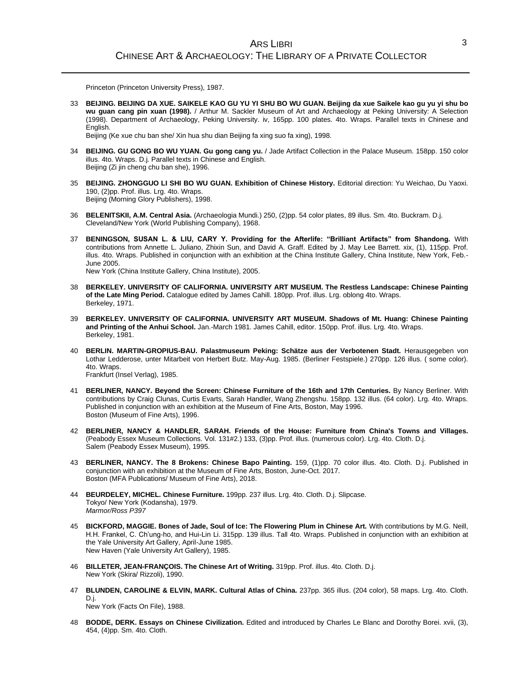Princeton (Princeton University Press), 1987.

33 **BEIJING. BEIJING DA XUE. SAIKELE KAO GU YU YI SHU BO WU GUAN. Beijing da xue Saikele kao gu yu yi shu bo wu guan cang pin xuan (1998).** / Arthur M. Sackler Museum of Art and Archaeology at Peking University: A Selection (1998). Department of Archaeology, Peking University. iv, 165pp. 100 plates. 4to. Wraps. Parallel texts in Chinese and English.

Beijing (Ke xue chu ban she/ Xin hua shu dian Beijing fa xing suo fa xing), 1998.

- 34 **BEIJING. GU GONG BO WU YUAN. Gu gong cang yu.** / Jade Artifact Collection in the Palace Museum. 158pp. 150 color illus. 4to. Wraps. D.j. Parallel texts in Chinese and English. Beijing (Zi jin cheng chu ban she), 1996.
- 35 **BEIJING. ZHONGGUO LI SHI BO WU GUAN. Exhibition of Chinese History.** Editorial direction: Yu Weichao, Du Yaoxi. 190, (2)pp. Prof. illus. Lrg. 4to. Wraps. Beijing (Morning Glory Publishers), 1998.
- 36 **BELENITSKII, A.M. Central Asia.** (Archaeologia Mundi.) 250, (2)pp. 54 color plates, 89 illus. Sm. 4to. Buckram. D.j. Cleveland/New York (World Publishing Company), 1968.
- 37 **BENINGSON, SUSAN L. & LIU, CARY Y. Providing for the Afterlife: "Brilliant Artifacts" from Shandong.** With contributions from Annette L. Juliano, Zhixin Sun, and David A. Graff. Edited by J. May Lee Barrett. xix, (1), 115pp. Prof. illus. 4to. Wraps. Published in conjunction with an exhibition at the China Institute Gallery, China Institute, New York, Feb.-June 2005.

New York (China Institute Gallery, China Institute), 2005.

- 38 **BERKELEY. UNIVERSITY OF CALIFORNIA. UNIVERSITY ART MUSEUM. The Restless Landscape: Chinese Painting of the Late Ming Period.** Catalogue edited by James Cahill. 180pp. Prof. illus. Lrg. oblong 4to. Wraps. Berkeley, 1971.
- 39 **BERKELEY. UNIVERSITY OF CALIFORNIA. UNIVERSITY ART MUSEUM. Shadows of Mt. Huang: Chinese Painting and Printing of the Anhui School.** Jan.-March 1981. James Cahill, editor. 150pp. Prof. illus. Lrg. 4to. Wraps. Berkeley, 1981.
- 40 **BERLIN. MARTIN-GROPIUS-BAU. Palastmuseum Peking: Schätze aus der Verbotenen Stadt.** Herausgegeben von Lothar Ledderose, unter Mitarbeit von Herbert Butz. May-Aug. 1985. (Berliner Festspiele.) 270pp. 126 illus. ( some color). 4to. Wraps. Frankfurt (Insel Verlag), 1985.
	-
- 41 **BERLINER, NANCY. Beyond the Screen: Chinese Furniture of the 16th and 17th Centuries.** By Nancy Berliner. With contributions by Craig Clunas, Curtis Evarts, Sarah Handler, Wang Zhengshu. 158pp. 132 illus. (64 color). Lrg. 4to. Wraps. Published in conjunction with an exhibition at the Museum of Fine Arts, Boston, May 1996. Boston (Museum of Fine Arts), 1996.
- 42 **BERLINER, NANCY & HANDLER, SARAH. Friends of the House: Furniture from China's Towns and Villages.** (Peabody Essex Museum Collections. Vol. 131#2.) 133, (3)pp. Prof. illus. (numerous color). Lrg. 4to. Cloth. D.j. Salem (Peabody Essex Museum), 1995.
- 43 **BERLINER, NANCY. The 8 Brokens: Chinese Bapo Painting.** 159, (1)pp. 70 color illus. 4to. Cloth. D.j. Published in conjunction with an exhibition at the Museum of Fine Arts, Boston, June-Oct. 2017. Boston (MFA Publications/ Museum of Fine Arts), 2018.
- 44 **BEURDELEY, MICHEL. Chinese Furniture.** 199pp. 237 illus. Lrg. 4to. Cloth. D.j. Slipcase. Tokyo/ New York (Kodansha), 1979. *Marmor/Ross P397*
- 45 **BICKFORD, MAGGIE. Bones of Jade, Soul of Ice: The Flowering Plum in Chinese Art.** With contributions by M.G. Neill, H.H. Frankel, C. Ch'ung-ho, and Hui-Lin Li. 315pp. 139 illus. Tall 4to. Wraps. Published in conjunction with an exhibition at the Yale University Art Gallery, April-June 1985. New Haven (Yale University Art Gallery), 1985.
- 46 **BILLETER, JEAN-FRANÇOIS. The Chinese Art of Writing.** 319pp. Prof. illus. 4to. Cloth. D.j. New York (Skira/ Rizzoli), 1990.
- 47 **BLUNDEN, CAROLINE & ELVIN, MARK. Cultural Atlas of China.** 237pp. 365 illus. (204 color), 58 maps. Lrg. 4to. Cloth. D.j.

New York (Facts On File), 1988.

48 **BODDE, DERK. Essays on Chinese Civilization.** Edited and introduced by Charles Le Blanc and Dorothy Borei. xvii, (3), 454, (4)pp. Sm. 4to. Cloth.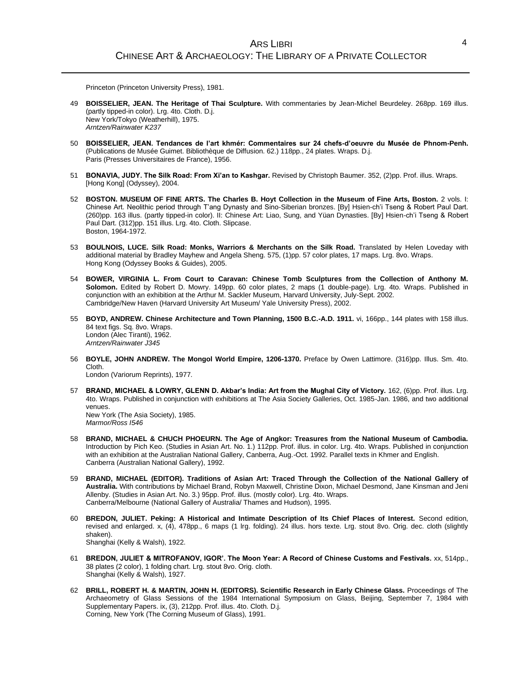Princeton (Princeton University Press), 1981.

- 49 **BOISSELIER, JEAN. The Heritage of Thai Sculpture.** With commentaries by Jean-Michel Beurdeley. 268pp. 169 illus. (partly tipped-in color). Lrg. 4to. Cloth. D.j. New York/Tokyo (Weatherhill), 1975. *Arntzen/Rainwater K237*
- 50 **BOISSELIER, JEAN. Tendances de l'art khmér: Commentaires sur 24 chefs-d'oeuvre du Musée de Phnom-Penh.** (Publications de Musée Guimet. Bibliothèque de Diffusion. 62.) 118pp., 24 plates. Wraps. D.j. Paris (Presses Universitaires de France), 1956.
- 51 **BONAVIA, JUDY. The Silk Road: From Xi'an to Kashgar.** Revised by Christoph Baumer. 352, (2)pp. Prof. illus. Wraps. [Hong Kong] (Odyssey), 2004.
- 52 **BOSTON. MUSEUM OF FINE ARTS. The Charles B. Hoyt Collection in the Museum of Fine Arts, Boston.** 2 vols. I: Chinese Art. Neolithic period through T'ang Dynasty and Sino-Siberian bronzes. [By] Hsien-ch'i Tseng & Robert Paul Dart. (260)pp. 163 illus. (partly tipped-in color). II: Chinese Art: Liao, Sung, and Yüan Dynasties. [By] Hsien-ch'i Tseng & Robert Paul Dart. (312)pp. 151 illus. Lrg. 4to. Cloth. Slipcase. Boston, 1964-1972.
- 53 **BOULNOIS, LUCE. Silk Road: Monks, Warriors & Merchants on the Silk Road.** Translated by Helen Loveday with additional material by Bradley Mayhew and Angela Sheng. 575, (1)pp. 57 color plates, 17 maps. Lrg. 8vo. Wraps. Hong Kong (Odyssey Books & Guides), 2005.
- 54 **BOWER, VIRGINIA L. From Court to Caravan: Chinese Tomb Sculptures from the Collection of Anthony M. Solomon.** Edited by Robert D. Mowry. 149pp. 60 color plates, 2 maps (1 double-page). Lrg. 4to. Wraps. Published in conjunction with an exhibition at the Arthur M. Sackler Museum, Harvard University, July-Sept. 2002. Cambridge/New Haven (Harvard University Art Museum/ Yale University Press), 2002.
- 55 **BOYD, ANDREW. Chinese Architecture and Town Planning, 1500 B.C.-A.D. 1911.** vi, 166pp., 144 plates with 158 illus. 84 text figs. Sq. 8vo. Wraps. London (Alec Tiranti), 1962. *Arntzen/Rainwater J345*
- 56 **BOYLE, JOHN ANDREW. The Mongol World Empire, 1206-1370.** Preface by Owen Lattimore. (316)pp. Illus. Sm. 4to. Cloth.

London (Variorum Reprints), 1977.

- 57 **BRAND, MICHAEL & LOWRY, GLENN D. Akbar's India: Art from the Mughal City of Victory.** 162, (6)pp. Prof. illus. Lrg. 4to. Wraps. Published in conjunction with exhibitions at The Asia Society Galleries, Oct. 1985-Jan. 1986, and two additional venues. New York (The Asia Society), 1985. *Marmor/Ross I546*
- 58 **BRAND, MICHAEL & CHUCH PHOEURN. The Age of Angkor: Treasures from the National Museum of Cambodia.** Introduction by Pich Keo. (Studies in Asian Art. No. 1.) 112pp. Prof. illus. in color. Lrg. 4to. Wraps. Published in conjunction with an exhibition at the Australian National Gallery, Canberra, Aug.-Oct. 1992. Parallel texts in Khmer and English. Canberra (Australian National Gallery), 1992.
- 59 **BRAND, MICHAEL (EDITOR). Traditions of Asian Art: Traced Through the Collection of the National Gallery of Australia.** With contributions by Michael Brand, Robyn Maxwell, Christine Dixon, Michael Desmond, Jane Kinsman and Jeni Allenby. (Studies in Asian Art. No. 3.) 95pp. Prof. illus. (mostly color). Lrg. 4to. Wraps. Canberra/Melbourne (National Gallery of Australia/ Thames and Hudson), 1995.
- 60 **BREDON, JULIET. Peking: A Historical and Intimate Description of Its Chief Places of Interest.** Second edition, revised and enlarged. x, (4), 478pp., 6 maps (1 lrg. folding). 24 illus. hors texte. Lrg. stout 8vo. Orig. dec. cloth (slightly shaken). Shanghai (Kelly & Walsh), 1922.
- 61 **BREDON, JULIET & MITROFANOV, IGOR'. The Moon Year: A Record of Chinese Customs and Festivals.** xx, 514pp., 38 plates (2 color), 1 folding chart. Lrg. stout 8vo. Orig. cloth. Shanghai (Kelly & Walsh), 1927.
- 62 **BRILL, ROBERT H. & MARTIN, JOHN H. (EDITORS). Scientific Research in Early Chinese Glass.** Proceedings of The Archaeometry of Glass Sessions of the 1984 International Symposium on Glass, Beijing, September 7, 1984 with Supplementary Papers. ix, (3), 212pp. Prof. illus. 4to. Cloth. D.j. Corning, New York (The Corning Museum of Glass), 1991.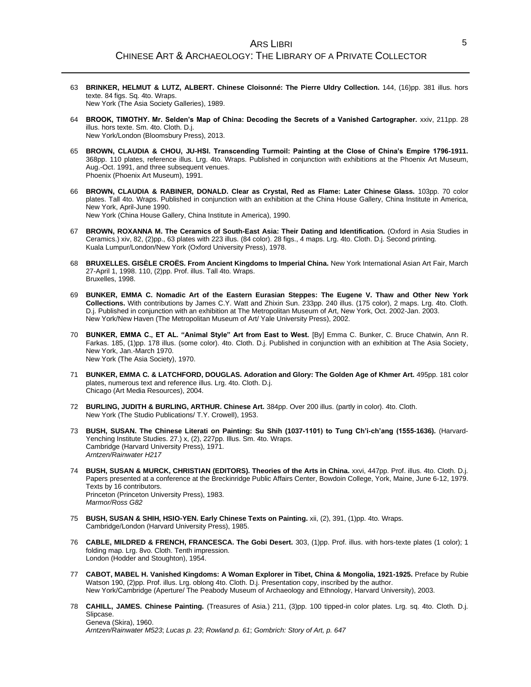- 63 **BRINKER, HELMUT & LUTZ, ALBERT. Chinese Cloisonné: The Pierre Uldry Collection.** 144, (16)pp. 381 illus. hors texte. 84 figs. Sq. 4to. Wraps. New York (The Asia Society Galleries), 1989.
- 64 **BROOK, TIMOTHY. Mr. Selden's Map of China: Decoding the Secrets of a Vanished Cartographer.** xxiv, 211pp. 28 illus. hors texte. Sm. 4to. Cloth. D.j. New York/London (Bloomsbury Press), 2013.
- 65 **BROWN, CLAUDIA & CHOU, JU-HSI. Transcending Turmoil: Painting at the Close of China's Empire 1796-1911.** 368pp. 110 plates, reference illus. Lrg. 4to. Wraps. Published in conjunction with exhibitions at the Phoenix Art Museum, Aug.-Oct. 1991, and three subsequent venues. Phoenix (Phoenix Art Museum), 1991.
- 66 **BROWN, CLAUDIA & RABINER, DONALD. Clear as Crystal, Red as Flame: Later Chinese Glass.** 103pp. 70 color plates. Tall 4to. Wraps. Published in conjunction with an exhibition at the China House Gallery, China Institute in America, New York, April-June 1990. New York (China House Gallery, China Institute in America), 1990.
- 67 **BROWN, ROXANNA M. The Ceramics of South-East Asia: Their Dating and Identification.** (Oxford in Asia Studies in Ceramics.) xiv, 82, (2)pp., 63 plates with 223 illus. (84 color). 28 figs., 4 maps. Lrg. 4to. Cloth. D.j. Second printing. Kuala Lumpur/London/New York (Oxford University Press), 1978.
- 68 **BRUXELLES. GISÈLE CROËS. From Ancient Kingdoms to Imperial China.** New York International Asian Art Fair, March 27-April 1, 1998. 110, (2)pp. Prof. illus. Tall 4to. Wraps. Bruxelles, 1998.
- 69 **BUNKER, EMMA C. Nomadic Art of the Eastern Eurasian Steppes: The Eugene V. Thaw and Other New York Collections.** With contributions by James C.Y. Watt and Zhixin Sun. 233pp. 240 illus. (175 color), 2 maps. Lrg. 4to. Cloth. D.j. Published in conjunction with an exhibition at The Metropolitan Museum of Art, New York, Oct. 2002-Jan. 2003. New York/New Haven (The Metropolitan Museum of Art/ Yale University Press), 2002.
- 70 **BUNKER, EMMA C., ET AL. "Animal Style" Art from East to West.** [By] Emma C. Bunker, C. Bruce Chatwin, Ann R. Farkas. 185, (1)pp. 178 illus. (some color). 4to. Cloth. D.j. Published in conjunction with an exhibition at The Asia Society, New York, Jan.-March 1970. New York (The Asia Society), 1970.
- 71 **BUNKER, EMMA C. & LATCHFORD, DOUGLAS. Adoration and Glory: The Golden Age of Khmer Art.** 495pp. 181 color plates, numerous text and reference illus. Lrg. 4to. Cloth. D.j. Chicago (Art Media Resources), 2004.
- 72 **BURLING, JUDITH & BURLING, ARTHUR. Chinese Art.** 384pp. Over 200 illus. (partly in color). 4to. Cloth. New York (The Studio Publications/ T.Y. Crowell), 1953.
- 73 **BUSH, SUSAN. The Chinese Literati on Painting: Su Shih (1037-1101) to Tung Ch'i-ch'ang (1555-1636).** (Harvard-Yenching Institute Studies. 27.) x, (2), 227pp. Illus. Sm. 4to. Wraps. Cambridge (Harvard University Press), 1971. *Arntzen/Rainwater H217*
- 74 **BUSH, SUSAN & MURCK, CHRISTIAN (EDITORS). Theories of the Arts in China.** xxvi, 447pp. Prof. illus. 4to. Cloth. D.j. Papers presented at a conference at the Breckinridge Public Affairs Center, Bowdoin College, York, Maine, June 6-12, 1979. Texts by 16 contributors. Princeton (Princeton University Press), 1983. *Marmor/Ross G82*
- 75 **BUSH, SUSAN & SHIH, HSIO-YEN. Early Chinese Texts on Painting.** xii, (2), 391, (1)pp. 4to. Wraps. Cambridge/London (Harvard University Press), 1985.
- 76 **CABLE, MILDRED & FRENCH, FRANCESCA. The Gobi Desert.** 303, (1)pp. Prof. illus. with hors-texte plates (1 color); 1 folding map. Lrg. 8vo. Cloth. Tenth impression. London (Hodder and Stoughton), 1954.
- 77 **CABOT, MABEL H. Vanished Kingdoms: A Woman Explorer in Tibet, China & Mongolia, 1921-1925.** Preface by Rubie Watson 190, (2)pp. Prof. illus. Lrg. oblong 4to. Cloth. D.j. Presentation copy, inscribed by the author. New York/Cambridge (Aperture/ The Peabody Museum of Archaeology and Ethnology, Harvard University), 2003.
- 78 **CAHILL, JAMES. Chinese Painting.** (Treasures of Asia.) 211, (3)pp. 100 tipped-in color plates. Lrg. sq. 4to. Cloth. D.j. Slipcase. Geneva (Skira), 1960.

*Arntzen/Rainwater M523*; *Lucas p. 23*; *Rowland p. 61*; *Gombrich: Story of Art, p. 647*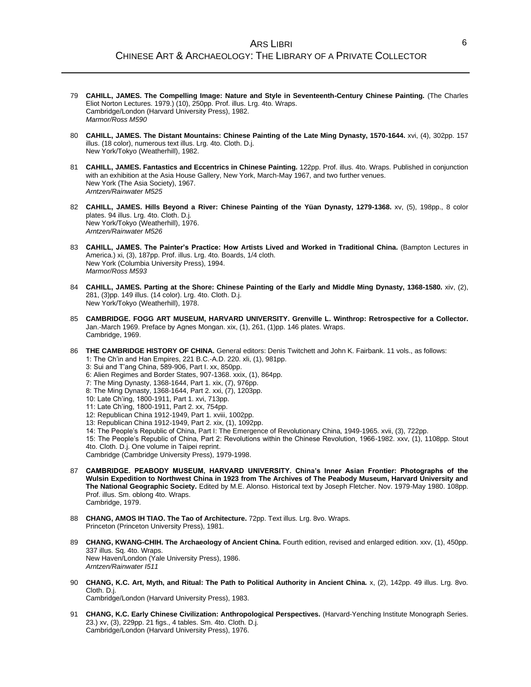- 79 **CAHILL, JAMES. The Compelling Image: Nature and Style in Seventeenth-Century Chinese Painting.** (The Charles Eliot Norton Lectures. 1979.) (10), 250pp. Prof. illus. Lrg. 4to. Wraps. Cambridge/London (Harvard University Press), 1982. *Marmor/Ross M590*
- 80 **CAHILL, JAMES. The Distant Mountains: Chinese Painting of the Late Ming Dynasty, 1570-1644.** xvi, (4), 302pp. 157 illus. (18 color), numerous text illus. Lrg. 4to. Cloth. D.j. New York/Tokyo (Weatherhill), 1982.
- 81 **CAHILL, JAMES. Fantastics and Eccentrics in Chinese Painting.** 122pp. Prof. illus. 4to. Wraps. Published in conjunction with an exhibition at the Asia House Gallery, New York, March-May 1967, and two further venues. New York (The Asia Society), 1967. *Arntzen/Rainwater M525*
- 82 **CAHILL, JAMES. Hills Beyond a River: Chinese Painting of the Yüan Dynasty, 1279-1368.** xv, (5), 198pp., 8 color plates. 94 illus. Lrg. 4to. Cloth. D.j. New York/Tokyo (Weatherhill), 1976. *Arntzen/Rainwater M526*
- 83 **CAHILL, JAMES. The Painter's Practice: How Artists Lived and Worked in Traditional China.** (Bampton Lectures in America.) xi, (3), 187pp. Prof. illus. Lrg. 4to. Boards, 1/4 cloth. New York (Columbia University Press), 1994. *Marmor/Ross M593*
- 84 **CAHILL, JAMES. Parting at the Shore: Chinese Painting of the Early and Middle Ming Dynasty, 1368-1580.** xiv, (2), 281, (3)pp. 149 illus. (14 color). Lrg. 4to. Cloth. D.j. New York/Tokyo (Weatherhill), 1978.
- 85 **CAMBRIDGE. FOGG ART MUSEUM, HARVARD UNIVERSITY. Grenville L. Winthrop: Retrospective for a Collector.** Jan.-March 1969. Preface by Agnes Mongan. xix, (1), 261, (1)pp. 146 plates. Wraps. Cambridge, 1969.
- 86 **THE CAMBRIDGE HISTORY OF CHINA.** General editors: Denis Twitchett and John K. Fairbank. 11 vols., as follows: 1: The Ch'in and Han Empires, 221 B.C.-A.D. 220. xli, (1), 981pp. 3: Sui and T'ang China, 589-906, Part I. xx, 850pp.
	- 6: Alien Regimes and Border States, 907-1368. xxix, (1), 864pp.
	- 7: The Ming Dynasty, 1368-1644, Part 1. xix, (7), 976pp.
	- 8: The Ming Dynasty, 1368-1644, Part 2. xxi, (7), 1203pp.
	- 10: Late Ch'ing, 1800-1911, Part 1. xvi, 713pp.
	- 11: Late Ch'ing, 1800-1911, Part 2. xx, 754pp.
	- 12: Republican China 1912-1949, Part 1. xviii, 1002pp.
	- 13: Republican China 1912-1949, Part 2. xix, (1), 1092pp.
	- 14: The People's Republic of China, Part I: The Emergence of Revolutionary China, 1949-1965. xvii, (3), 722pp.
	- 15: The People's Republic of China, Part 2: Revolutions within the Chinese Revolution, 1966-1982. xxv, (1), 1108pp. Stout 4to. Cloth. D.j. One volume in Taipei reprint.
	- Cambridge (Cambridge University Press), 1979-1998.
- 87 **CAMBRIDGE. PEABODY MUSEUM, HARVARD UNIVERSITY. China's Inner Asian Frontier: Photographs of the Wulsin Expedition to Northwest China in 1923 from The Archives of The Peabody Museum, Harvard University and The National Geographic Society.** Edited by M.E. Alonso. Historical text by Joseph Fletcher. Nov. 1979-May 1980. 108pp. Prof. illus. Sm. oblong 4to. Wraps. Cambridge, 1979.
- 88 **CHANG, AMOS IH TIAO. The Tao of Architecture.** 72pp. Text illus. Lrg. 8vo. Wraps. Princeton (Princeton University Press), 1981.
- 89 **CHANG, KWANG-CHIH. The Archaeology of Ancient China.** Fourth edition, revised and enlarged edition. xxv, (1), 450pp. 337 illus. Sq. 4to. Wraps. New Haven/London (Yale University Press), 1986. *Arntzen/Rainwater I511*
- 90 **CHANG, K.C. Art, Myth, and Ritual: The Path to Political Authority in Ancient China.** x, (2), 142pp. 49 illus. Lrg. 8vo. Cloth. D.j. Cambridge/London (Harvard University Press), 1983.
- 91 **CHANG, K.C. Early Chinese Civilization: Anthropological Perspectives.** (Harvard-Yenching Institute Monograph Series. 23.) xv, (3), 229pp. 21 figs., 4 tables. Sm. 4to. Cloth. D.j. Cambridge/London (Harvard University Press), 1976.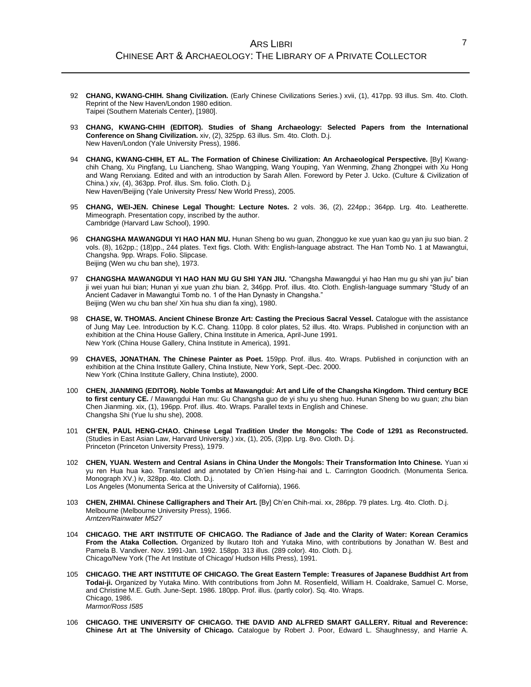- 92 **CHANG, KWANG-CHIH. Shang Civilization.** (Early Chinese Civilizations Series.) xvii, (1), 417pp. 93 illus. Sm. 4to. Cloth. Reprint of the New Haven/London 1980 edition. Taipei (Southern Materials Center), [1980].
- 93 **CHANG, KWANG-CHIH (EDITOR). Studies of Shang Archaeology: Selected Papers from the International Conference on Shang Civilization.** xiv, (2), 325pp. 63 illus. Sm. 4to. Cloth. D.j. New Haven/London (Yale University Press), 1986.
- 94 **CHANG, KWANG-CHIH, ET AL. The Formation of Chinese Civilization: An Archaeological Perspective.** [By] Kwangchih Chang, Xu Pingfang, Lu Liancheng, Shao Wangping, Wang Youping, Yan Wenming, Zhang Zhongpei with Xu Hong and Wang Renxiang. Edited and with an introduction by Sarah Allen. Foreword by Peter J. Ucko. (Culture & Civilization of China.) xiv, (4), 363pp. Prof. illus. Sm. folio. Cloth. D.j. New Haven/Beijing (Yale University Press/ New World Press), 2005.
- 95 **CHANG, WEI-JEN. Chinese Legal Thought: Lecture Notes.** 2 vols. 36, (2), 224pp.; 364pp. Lrg. 4to. Leatherette. Mimeograph. Presentation copy, inscribed by the author. Cambridge (Harvard Law School), 1990.
- 96 **CHANGSHA MAWANGDUI YI HAO HAN MU.** Hunan Sheng bo wu guan, Zhongguo ke xue yuan kao gu yan jiu suo bian. 2 vols. (8), 162pp.; (18)pp., 244 plates. Text figs. Cloth. With: English-language abstract. The Han Tomb No. 1 at Mawangtui, Changsha. 9pp. Wraps. Folio. Slipcase. Beijing (Wen wu chu ban she), 1973.
- 97 **CHANGSHA MAWANGDUI YI HAO HAN MU GU SHI YAN JIU.** "Changsha Mawangdui yi hao Han mu gu shi yan jiu" bian ji wei yuan hui bian; Hunan yi xue yuan zhu bian. 2, 346pp. Prof. illus. 4to. Cloth. English-language summary "Study of an Ancient Cadaver in Mawangtui Tomb no. 1 of the Han Dynasty in Changsha." Beijing (Wen wu chu ban she/ Xin hua shu dian fa xing), 1980.
- 98 **CHASE, W. THOMAS. Ancient Chinese Bronze Art: Casting the Precious Sacral Vessel.** Catalogue with the assistance of Jung May Lee. Introduction by K.C. Chang. 110pp. 8 color plates, 52 illus. 4to. Wraps. Published in conjunction with an exhibition at the China House Gallery, China Institute in America, April-June 1991. New York (China House Gallery, China Institute in America), 1991.
- 99 **CHAVES, JONATHAN. The Chinese Painter as Poet.** 159pp. Prof. illus. 4to. Wraps. Published in conjunction with an exhibition at the China Institute Gallery, China Instiute, New York, Sept.-Dec. 2000. New York (China Institute Gallery, China Instiute), 2000.
- 100 **CHEN, JIANMING (EDITOR). Noble Tombs at Mawangdui: Art and Life of the Changsha Kingdom. Third century BCE to first century CE.** / Mawangdui Han mu: Gu Changsha guo de yi shu yu sheng huo. Hunan Sheng bo wu guan; zhu bian Chen Jianming. xix, (1), 196pp. Prof. illus. 4to. Wraps. Parallel texts in English and Chinese. Changsha Shi (Yue lu shu she), 2008.
- 101 **CH'EN, PAUL HENG-CHAO. Chinese Legal Tradition Under the Mongols: The Code of 1291 as Reconstructed.** (Studies in East Asian Law, Harvard University.) xix, (1), 205, (3)pp. Lrg. 8vo. Cloth. D.j. Princeton (Princeton University Press), 1979.
- 102 **CHEN, YUAN. Western and Central Asians in China Under the Mongols: Their Transformation Into Chinese.** Yuan xi yu ren Hua hua kao. Translated and annotated by Ch'ien Hsing-hai and L. Carrington Goodrich. (Monumenta Serica. Monograph XV.) iv, 328pp. 4to. Cloth. D.j. Los Angeles (Monumenta Serica at the University of California), 1966.
- 103 **CHEN, ZHIMAI. Chinese Calligraphers and Their Art.** [By] Ch'en Chih-mai. xx, 286pp. 79 plates. Lrg. 4to. Cloth. D.j. Melbourne (Melbourne University Press), 1966. *Arntzen/Rainwater M527*
- 104 **CHICAGO. THE ART INSTITUTE OF CHICAGO. The Radiance of Jade and the Clarity of Water: Korean Ceramics From the Ataka Collection.** Organized by Ikutaro Itoh and Yutaka Mino, with contributions by Jonathan W. Best and Pamela B. Vandiver. Nov. 1991-Jan. 1992. 158pp. 313 illus. (289 color). 4to. Cloth. D.j. Chicago/New York (The Art Institute of Chicago/ Hudson Hills Press), 1991.
- 105 **CHICAGO. THE ART INSTITUTE OF CHICAGO. The Great Eastern Temple: Treasures of Japanese Buddhist Art from Todai-ji.** Organized by Yutaka Mino. With contributions from John M. Rosenfield, William H. Coaldrake, Samuel C. Morse, and Christine M.E. Guth. June-Sept. 1986. 180pp. Prof. illus. (partly color). Sq. 4to. Wraps. Chicago, 1986. *Marmor/Ross I585*
- 106 **CHICAGO. THE UNIVERSITY OF CHICAGO. THE DAVID AND ALFRED SMART GALLERY. Ritual and Reverence: Chinese Art at The University of Chicago.** Catalogue by Robert J. Poor, Edward L. Shaughnessy, and Harrie A.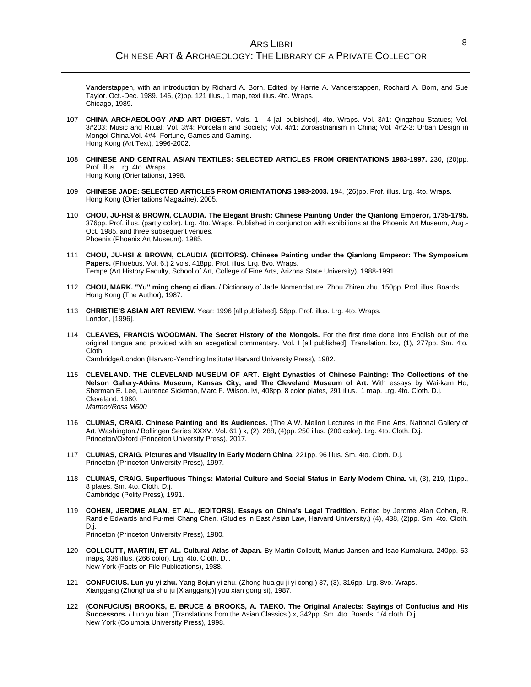Vanderstappen, with an introduction by Richard A. Born. Edited by Harrie A. Vanderstappen, Rochard A. Born, and Sue Taylor. Oct.-Dec. 1989. 146, (2)pp. 121 illus., 1 map, text illus. 4to. Wraps. Chicago, 1989.

- 107 **CHINA ARCHAEOLOGY AND ART DIGEST.** Vols. 1 4 [all published]. 4to. Wraps. Vol. 3#1: Qingzhou Statues; Vol. 3#203: Music and Ritual; Vol. 3#4: Porcelain and Society; Vol. 4#1: Zoroastrianism in China; Vol. 4#2-3: Urban Design in Mongol China.Vol. 4#4: Fortune, Games and Gaming. Hong Kong (Art Text), 1996-2002.
- 108 **CHINESE AND CENTRAL ASIAN TEXTILES: SELECTED ARTICLES FROM ORIENTATIONS 1983-1997.** 230, (20)pp. Prof. illus. Lrg. 4to. Wraps. Hong Kong (Orientations), 1998.
- 109 **CHINESE JADE: SELECTED ARTICLES FROM ORIENTATIONS 1983-2003.** 194, (26)pp. Prof. illus. Lrg. 4to. Wraps. Hong Kong (Orientations Magazine), 2005.
- 110 **CHOU, JU-HSI & BROWN, CLAUDIA. The Elegant Brush: Chinese Painting Under the Qianlong Emperor, 1735-1795.** 376pp. Prof. illus. (partly color). Lrg. 4to. Wraps. Published in conjunction with exhibitions at the Phoenix Art Museum, Aug.- Oct. 1985, and three subsequent venues. Phoenix (Phoenix Art Museum), 1985.
- 111 **CHOU, JU-HSI & BROWN, CLAUDIA (EDITORS). Chinese Painting under the Qianlong Emperor: The Symposium**  Papers. (Phoebus. Vol. 6.) 2 vols. 418pp. Prof. illus. Lrg. 8vo. Wraps. Tempe (Art History Faculty, School of Art, College of Fine Arts, Arizona State University), 1988-1991.
- 112 **CHOU, MARK. "Yu" ming cheng ci dian.** / Dictionary of Jade Nomenclature. Zhou Zhiren zhu. 150pp. Prof. illus. Boards. Hong Kong (The Author), 1987.
- 113 **CHRISTIE'S ASIAN ART REVIEW.** Year: 1996 [all published]. 56pp. Prof. illus. Lrg. 4to. Wraps. London, [1996].
- 114 **CLEAVES, FRANCIS WOODMAN. The Secret History of the Mongols.** For the first time done into English out of the original tongue and provided with an exegetical commentary. Vol. I [all published]: Translation. lxv, (1), 277pp. Sm. 4to. Cloth.

Cambridge/London (Harvard-Yenching Institute/ Harvard University Press), 1982.

- 115 **CLEVELAND. THE CLEVELAND MUSEUM OF ART. Eight Dynasties of Chinese Painting: The Collections of the Nelson Gallery-Atkins Museum, Kansas City, and The Cleveland Museum of Art.** With essays by Wai-kam Ho, Sherman E. Lee, Laurence Sickman, Marc F. Wilson. lvi, 408pp. 8 color plates, 291 illus., 1 map. Lrg. 4to. Cloth. D.j. Cleveland, 1980. *Marmor/Ross M600*
- 116 **CLUNAS, CRAIG. Chinese Painting and Its Audiences.** (The A.W. Mellon Lectures in the Fine Arts, National Gallery of Art, Washington./ Bollingen Series XXXV. Vol. 61.) x, (2), 288, (4)pp. 250 illus. (200 color). Lrg. 4to. Cloth. D.j. Princeton/Oxford (Princeton University Press), 2017.
- 117 **CLUNAS, CRAIG. Pictures and Visuality in Early Modern China.** 221pp. 96 illus. Sm. 4to. Cloth. D.j. Princeton (Princeton University Press), 1997.
- 118 **CLUNAS, CRAIG. Superfluous Things: Material Culture and Social Status in Early Modern China.** vii, (3), 219, (1)pp., 8 plates. Sm. 4to. Cloth. D.j. Cambridge (Polity Press), 1991.
- 119 **COHEN, JEROME ALAN, ET AL. (EDITORS). Essays on China's Legal Tradition.** Edited by Jerome Alan Cohen, R. Randle Edwards and Fu-mei Chang Chen. (Studies in East Asian Law, Harvard University.) (4), 438, (2)pp. Sm. 4to. Cloth. D.j. Princeton (Princeton University Press), 1980.
- 120 **COLLCUTT, MARTIN, ET AL. Cultural Atlas of Japan.** By Martin Collcutt, Marius Jansen and Isao Kumakura. 240pp. 53 maps, 336 illus. (266 color). Lrg. 4to. Cloth. D.j. New York (Facts on File Publications), 1988.
- 121 **CONFUCIUS. Lun yu yi zhu.** Yang Bojun yi zhu. (Zhong hua gu ji yi cong.) 37, (3), 316pp. Lrg. 8vo. Wraps. Xianggang (Zhonghua shu ju [Xianggang)] you xian gong si), 1987.
- 122 **(CONFUCIUS) BROOKS, E. BRUCE & BROOKS, A. TAEKO. The Original Analects: Sayings of Confucius and His Successors.** / Lun yu bian. (Translations from the Asian Classics.) x, 342pp. Sm. 4to. Boards, 1/4 cloth. D.j. New York (Columbia University Press), 1998.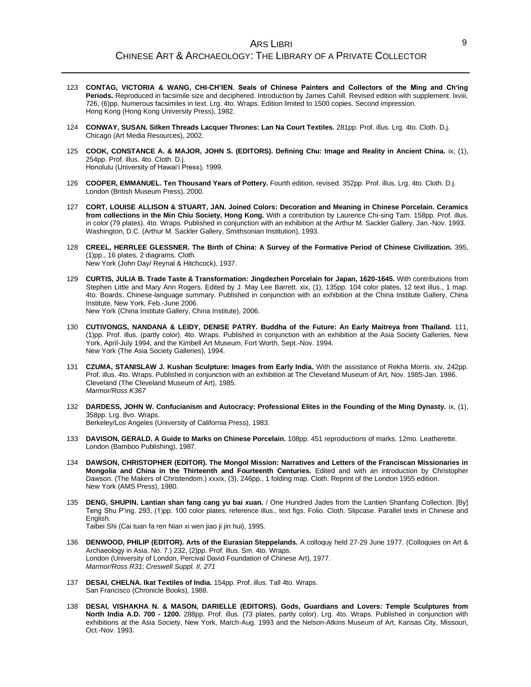- 123 **CONTAG, VICTORIA & WANG, CHI-CH'IEN. Seals of Chinese Painters and Collectors of the Ming and Ch'ing Periods.** Reproduced in facsimile size and deciphered. Introduction by James Cahill. Revised edition with supplement. lxviii, 726, (6)pp. Numerous facsimiles in text. Lrg. 4to. Wraps. Edition limited to 1500 copies. Second impression. Hong Kong (Hong Kong University Press), 1982.
- 124 **CONWAY, SUSAN. Silken Threads Lacquer Thrones: Lan Na Court Textiles.** 281pp. Prof. illus. Lrg. 4to. Cloth. D.j. Chicago (Art Media Resources), 2002.
- 125 **COOK, CONSTANCE A. & MAJOR, JOHN S. (EDITORS). Defining Chu: Image and Reality in Ancient China.** ix, (1), 254pp. Prof. illus. 4to. Cloth. D.j. Honolulu (University of Hawai'i Press), 1999.
- 126 **COOPER, EMMANUEL. Ten Thousand Years of Pottery.** Fourth edition, revised. 352pp. Prof. illus. Lrg. 4to. Cloth. D.j. London (British Museum Press), 2000.
- 127 **CORT, LOUISE ALLISON & STUART, JAN. Joined Colors: Decoration and Meaning in Chinese Porcelain. Ceramics from collections in the Min Chiu Society, Hong Kong.** With a contribution by Laurence Chi-sing Tam. 158pp. Prof. illus. in color (79 plates). 4to. Wraps. Published in conjunction with an exhibition at the Arthur M. Sackler Gallery, Jan.-Nov. 1993. Washington, D.C. (Arthur M. Sackler Gallery, Smithsonian Institution), 1993.
- 128 **CREEL, HERRLEE GLESSNER. The Birth of China: A Survey of the Formative Period of Chinese Civilization.** 395, (1)pp., 16 plates, 2 diagrams. Cloth. New York (John Day/ Reynal & Hitchcock), 1937.
- 129 **CURTIS, JULIA B. Trade Taste & Transformation: Jingdezhen Porcelain for Japan, 1620-1645.** With contributions from Stephen Little and Mary Ann Rogers. Edited by J. May Lee Barrett. xix, (1), 135pp. 104 color plates, 12 text illus., 1 map. 4to. Boards. Chinese-language summary. Published in conjunction with an exhibition at the China Institute Gallery, China Institute, New York, Feb.-June 2006. New York (China Institute Gallery, China Institute), 2006.
- 130 **CUTIVONGS, NANDANA & LEIDY, DENISE PATRY. Buddha of the Future: An Early Maitreya from Thailand.** 111, (1)pp. Prof. illus. (partly color). 4to. Wraps. Published in conjunction with an exhibition at the Asia Society Galleries, New York, April-July 1994, and the Kimbell Art Museum, Fort Worth, Sept.-Nov. 1994. New York (The Asia Society Galleries), 1994.
- 131 **CZUMA, STANISLAW J. Kushan Sculpture: Images from Early India.** With the assistance of Rekha Morris. xiv, 242pp. Prof. illus. 4to. Wraps. Published in conjunction with an exhibition at The Cleveland Museum of Art, Nov. 1985-Jan. 1986. Cleveland (The Cleveland Museum of Art), 1985. *Marmor/Ross K367*
- 132 **DARDESS, JOHN W. Confucianism and Autocracy: Professional Elites in the Founding of the Ming Dynasty.** ix, (1), 358pp. Lrg. 8vo. Wraps. Berkeley/Los Angeles (University of California Press), 1983.
- 133 **DAVISON, GERALD. A Guide to Marks on Chinese Porcelain.** 108pp. 451 reproductions of marks. 12mo. Leatherette. London (Bamboo Publishing), 1987.
- 134 **DAWSON, CHRISTOPHER (EDITOR). The Mongol Mission: Narratives and Letters of the Franciscan Missionaries in Mongolia and China in the Thirteenth and Fourteenth Centuries.** Edited and with an introduction by Christopher Dawson. (The Makers of Christendom.) xxxix, (3), 246pp., 1 folding map. Cloth. Reprint of the London 1955 edition. New York (AMS Press), 1980.
- 135 **DENG, SHUPIN. Lantian shan fang cang yu bai xuan.** / One Hundred Jades from the Lantien Shanfang Collection. [By] Teng Shu P'ing. 293, (1)pp. 100 color plates, reference illus., text figs. Folio. Cloth. Slipcase. Parallel texts in Chinese and English. Taibei Shi (Cai tuan fa ren Nian xi wen jiao ji jin hui), 1995.
- 136 **DENWOOD, PHILIP (EDITOR). Arts of the Eurasian Steppelands.** A colloquy held 27-29 June 1977. (Colloquies on Art & Archaeology in Asia. No. 7.) 232, (2)pp. Prof. illus. Sm. 4to. Wraps. London (University of London, Percival David Foundation of Chinese Art), 1977. *Marmor/Ross R31*; *Creswell Suppl. II, 271*
- 137 **DESAI, CHELNA. Ikat Textiles of India.** 154pp. Prof. illus. Tall 4to. Wraps. San Francisco (Chronicle Books), 1988.
- 138 **DESAI, VISHAKHA N. & MASON, DARIELLE (EDITORS). Gods, Guardians and Lovers: Temple Sculptures from North India A.D. 700 - 1200.** 288pp. Prof. illus. (73 plates, partly color). Lrg. 4to. Wraps. Published in conjunction with exhibitions at the Asia Society, New York, March-Aug. 1993 and the Nelson-Atkins Museum of Art, Kansas City, Missouri, Oct.-Nov. 1993.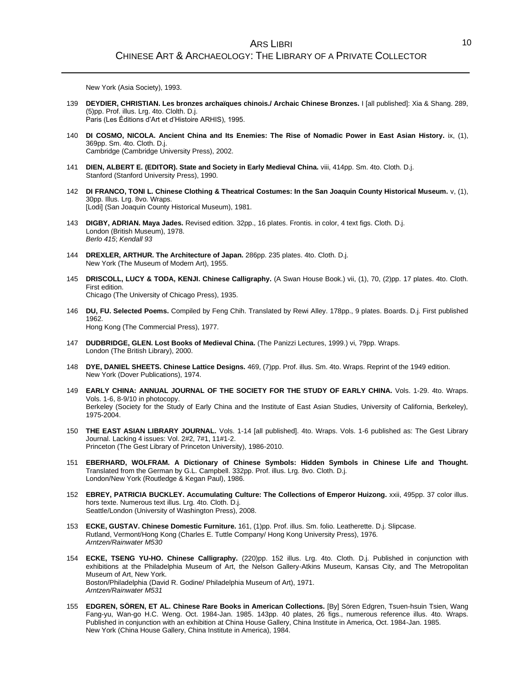New York (Asia Society), 1993.

- 139 **DEYDIER, CHRISTIAN. Les bronzes archaïques chinois./ Archaic Chinese Bronzes.** I [all published]: Xia & Shang. 289, (5)pp. Prof. illus. Lrg. 4to. Clolth. D.j. Paris (Les Éditions d'Art et d'Histoire ARHIS), 1995.
- 140 **DI COSMO, NICOLA. Ancient China and Its Enemies: The Rise of Nomadic Power in East Asian History.** ix, (1), 369pp. Sm. 4to. Cloth. D.j. Cambridge (Cambridge University Press), 2002.
- 141 **DIEN, ALBERT E. (EDITOR). State and Society in Early Medieval China.** viii, 414pp. Sm. 4to. Cloth. D.j. Stanford (Stanford University Press), 1990.
- 142 **DI FRANCO, TONI L. Chinese Clothing & Theatrical Costumes: In the San Joaquin County Historical Museum.** v, (1), 30pp. Illus. Lrg. 8vo. Wraps. [Lodi] (San Joaquin County Historical Museum), 1981.
- 143 **DIGBY, ADRIAN. Maya Jades.** Revised edition. 32pp., 16 plates. Frontis. in color, 4 text figs. Cloth. D.j. London (British Museum), 1978. *Berlo 415*; *Kendall 93*
- 144 **DREXLER, ARTHUR. The Architecture of Japan.** 286pp. 235 plates. 4to. Cloth. D.j. New York (The Museum of Modern Art), 1955.
- 145 **DRISCOLL, LUCY & TODA, KENJI. Chinese Calligraphy.** (A Swan House Book.) vii, (1), 70, (2)pp. 17 plates. 4to. Cloth. First edition. Chicago (The University of Chicago Press), 1935.
- 146 **DU, FU. Selected Poems.** Compiled by Feng Chih. Translated by Rewi Alley. 178pp., 9 plates. Boards. D.j. First published 1962. Hong Kong (The Commercial Press), 1977.
- 147 **DUDBRIDGE, GLEN. Lost Books of Medieval China.** (The Panizzi Lectures, 1999.) vi, 79pp. Wraps. London (The British Library), 2000.
- 148 **DYE, DANIEL SHEETS. Chinese Lattice Designs.** 469, (7)pp. Prof. illus. Sm. 4to. Wraps. Reprint of the 1949 edition. New York (Dover Publications), 1974.
- 149 **EARLY CHINA: ANNUAL JOURNAL OF THE SOCIETY FOR THE STUDY OF EARLY CHINA.** Vols. 1-29. 4to. Wraps. Vols. 1-6, 8-9/10 in photocopy. Berkeley (Society for the Study of Early China and the Institute of East Asian Studies, University of California, Berkeley), 1975-2004.
- 150 **THE EAST ASIAN LIBRARY JOURNAL.** Vols. 1-14 [all published]. 4to. Wraps. Vols. 1-6 published as: The Gest Library Journal. Lacking 4 issues: Vol. 2#2, 7#1, 11#1-2. Princeton (The Gest Library of Princeton University), 1986-2010.
- 151 **EBERHARD, WOLFRAM. A Dictionary of Chinese Symbols: Hidden Symbols in Chinese Life and Thought.** Translated from the German by G.L. Campbell. 332pp. Prof. illus. Lrg. 8vo. Cloth. D.j. London/New York (Routledge & Kegan Paul), 1986.
- 152 **EBREY, PATRICIA BUCKLEY. Accumulating Culture: The Collections of Emperor Huizong.** xxii, 495pp. 37 color illus. hors texte. Numerous text illus. Lrg. 4to. Cloth. D.j. Seattle/London (University of Washington Press), 2008.
- 153 **ECKE, GUSTAV. Chinese Domestic Furniture.** 161, (1)pp. Prof. illus. Sm. folio. Leatherette. D.j. Slipcase. Rutland, Vermont/Hong Kong (Charles E. Tuttle Company/ Hong Kong University Press), 1976. *Arntzen/Rainwater M530*
- 154 **ECKE, TSENG YU-HO. Chinese Calligraphy.** (220)pp. 152 illus. Lrg. 4to. Cloth. D.j. Published in conjunction with exhibitions at the Philadelphia Museum of Art, the Nelson Gallery-Atkins Museum, Kansas City, and The Metropolitan Museum of Art, New York. Boston/Philadelphia (David R. Godine/ Philadelphia Museum of Art), 1971. *Arntzen/Rainwater M531*
- 155 **EDGREN, SÖREN, ET AL. Chinese Rare Books in American Collections.** [By] Sören Edgren, Tsuen-hsuin Tsien, Wang Fang-yu, Wan-go H.C. Weng. Oct. 1984-Jan. 1985. 143pp. 40 plates, 26 figs., numerous reference illus. 4to. Wraps. Published in conjunction with an exhibition at China House Gallery, China Institute in America, Oct. 1984-Jan. 1985. New York (China House Gallery, China Institute in America), 1984.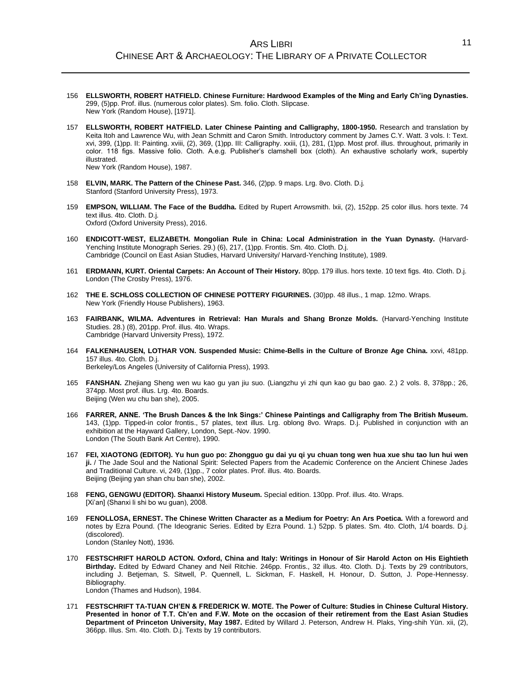- 156 **ELLSWORTH, ROBERT HATFIELD. Chinese Furniture: Hardwood Examples of the Ming and Early Ch'ing Dynasties.** 299, (5)pp. Prof. illus. (numerous color plates). Sm. folio. Cloth. Slipcase. New York (Random House), [1971].
- 157 **ELLSWORTH, ROBERT HATFIELD. Later Chinese Painting and Calligraphy, 1800-1950.** Research and translation by Keita Itoh and Lawrence Wu, with Jean Schmitt and Caron Smith. Introductory comment by James C.Y. Watt. 3 vols. I: Text. xvi, 399, (1)pp. II: Painting. xviii, (2), 369, (1)pp. III: Calligraphy. xxiii, (1), 281, (1)pp. Most prof. illus. throughout, primarily in color. 118 figs. Massive folio. Cloth. A.e.g. Publisher's clamshell box (cloth). An exhaustive scholarly work, superbly illustrated. New York (Random House), 1987.
- 158 **ELVIN, MARK. The Pattern of the Chinese Past.** 346, (2)pp. 9 maps. Lrg. 8vo. Cloth. D.j. Stanford (Stanford University Press), 1973.
- 159 **EMPSON, WILLIAM. The Face of the Buddha.** Edited by Rupert Arrowsmith. lxii, (2), 152pp. 25 color illus. hors texte. 74 text illus. 4to. Cloth. D.j. Oxford (Oxford University Press), 2016.
- 160 **ENDICOTT-WEST, ELIZABETH. Mongolian Rule in China: Local Administration in the Yuan Dynasty.** (Harvard-Yenching Institute Monograph Series. 29.) (6), 217, (1)pp. Frontis. Sm. 4to. Cloth. D.j. Cambridge (Council on East Asian Studies, Harvard University/ Harvard-Yenching Institute), 1989.
- 161 **ERDMANN, KURT. Oriental Carpets: An Account of Their History.** 80pp. 179 illus. hors texte. 10 text figs. 4to. Cloth. D.j. London (The Crosby Press), 1976.
- 162 **THE E. SCHLOSS COLLECTION OF CHINESE POTTERY FIGURINES.** (30)pp. 48 illus., 1 map. 12mo. Wraps. New York (Friendly House Publishers), 1963.
- 163 **FAIRBANK, WILMA. Adventures in Retrieval: Han Murals and Shang Bronze Molds.** (Harvard-Yenching Institute Studies. 28.) (8), 201pp. Prof. illus. 4to. Wraps. Cambridge (Harvard University Press), 1972.
- 164 **FALKENHAUSEN, LOTHAR VON. Suspended Music: Chime-Bells in the Culture of Bronze Age China.** xxvi, 481pp. 157 illus. 4to. Cloth. D.j. Berkeley/Los Angeles (University of California Press), 1993.
- 165 **FANSHAN.** Zhejiang Sheng wen wu kao gu yan jiu suo. (Liangzhu yi zhi qun kao gu bao gao. 2.) 2 vols. 8, 378pp.; 26, 374pp. Most prof. illus. Lrg. 4to. Boards. Beijing (Wen wu chu ban she), 2005.
- 166 **FARRER, ANNE. 'The Brush Dances & the Ink Sings:' Chinese Paintings and Calligraphy from The British Museum.** 143, (1)pp. Tipped-in color frontis., 57 plates, text illus. Lrg. oblong 8vo. Wraps. D.j. Published in conjunction with an exhibition at the Hayward Gallery, London, Sept.-Nov. 1990. London (The South Bank Art Centre), 1990.
- 167 **FEI, XIAOTONG (EDITOR). Yu hun guo po: Zhongguo gu dai yu qi yu chuan tong wen hua xue shu tao lun hui wen ji.** / The Jade Soul and the National Spirit: Selected Papers from the Academic Conference on the Ancient Chinese Jades and Traditional Culture. vi, 249, (1)pp., 7 color plates. Prof. illus. 4to. Boards. Beijing (Beijing yan shan chu ban she), 2002.
- 168 **FENG, GENGWU (EDITOR). Shaanxi History Museum.** Special edition. 130pp. Prof. illus. 4to. Wraps. [Xi'an] (Shanxi li shi bo wu guan), 2008.
- 169 **FENOLLOSA, ERNEST. The Chinese Written Character as a Medium for Poetry: An Ars Poetica.** With a foreword and notes by Ezra Pound. (The Ideogranic Series. Edited by Ezra Pound. 1.) 52pp. 5 plates. Sm. 4to. Cloth, 1/4 boards. D.j. (discolored). London (Stanley Nott), 1936.
- 170 **FESTSCHRIFT HAROLD ACTON. Oxford, China and Italy: Writings in Honour of Sir Harold Acton on His Eightieth Birthday.** Edited by Edward Chaney and Neil Ritchie. 246pp. Frontis., 32 illus. 4to. Cloth. D.j. Texts by 29 contributors, including J. Betjeman, S. Sitwell, P. Quennell, L. Sickman, F. Haskell, H. Honour, D. Sutton, J. Pope-Hennessy. Bibliography. London (Thames and Hudson), 1984.
- 171 **FESTSCHRIFT TA-TUAN CH'EN & FREDERICK W. MOTE. The Power of Culture: Studies in Chinese Cultural History. Presented in honor of T.T. Ch'en and F.W. Mote on the occasion of their retirement from the East Asian Studies Department of Princeton University, May 1987.** Edited by Willard J. Peterson, Andrew H. Plaks, Ying-shih Yün. xii, (2), 366pp. Illus. Sm. 4to. Cloth. D.j. Texts by 19 contributors.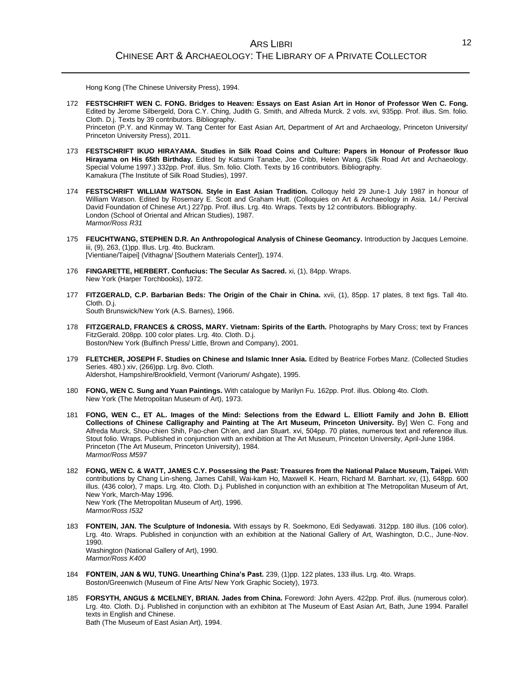Hong Kong (The Chinese University Press), 1994.

- 172 **FESTSCHRIFT WEN C. FONG. Bridges to Heaven: Essays on East Asian Art in Honor of Professor Wen C. Fong.** Edited by Jerome Silbergeld, Dora C.Y. Ching, Judith G. Smith, and Alfreda Murck. 2 vols. xvi, 935pp. Prof. illus. Sm. folio. Cloth. D.j. Texts by 39 contributors. Bibliography. Princeton (P.Y. and Kinmay W. Tang Center for East Asian Art, Department of Art and Archaeology, Princeton University/ Princeton University Press), 2011.
- 173 **FESTSCHRIFT IKUO HIRAYAMA. Studies in Silk Road Coins and Culture: Papers in Honour of Professor Ikuo Hirayama on His 65th Birthday.** Edited by Katsumi Tanabe, Joe Cribb, Helen Wang. (Silk Road Art and Archaeology. Special Volume 1997.) 332pp. Prof. illus. Sm. folio. Cloth. Texts by 16 contributors. Bibliography. Kamakura (The Institute of Silk Road Studies), 1997.
- 174 **FESTSCHRIFT WILLIAM WATSON. Style in East Asian Tradition.** Colloquy held 29 June-1 July 1987 in honour of William Watson. Edited by Rosemary E. Scott and Graham Hutt. (Colloquies on Art & Archaeology in Asia. 14./ Percival David Foundation of Chinese Art.) 227pp. Prof. illus. Lrg. 4to. Wraps. Texts by 12 contributors. Bibliography. London (School of Oriental and African Studies), 1987. *Marmor/Ross R31*
- 175 **FEUCHTWANG, STEPHEN D.R. An Anthropological Analysis of Chinese Geomancy.** Introduction by Jacques Lemoine. iii, (9), 263, (1)pp. Illus. Lrg. 4to. Buckram. [Vientiane/Taipei] (Vithagna/ [Southern Materials Center]), 1974.
- 176 **FINGARETTE, HERBERT. Confucius: The Secular As Sacred.** xi, (1), 84pp. Wraps. New York (Harper Torchbooks), 1972.
- 177 **FITZGERALD, C.P. Barbarian Beds: The Origin of the Chair in China.** xvii, (1), 85pp. 17 plates, 8 text figs. Tall 4to. Cloth. D.j. South Brunswick/New York (A.S. Barnes), 1966.
- 178 **FITZGERALD, FRANCES & CROSS, MARY. Vietnam: Spirits of the Earth.** Photographs by Mary Cross; text by Frances FitzGerald. 208pp. 100 color plates. Lrg. 4to. Cloth. D.j. Boston/New York (Bulfinch Press/ Little, Brown and Company), 2001.
- 179 **FLETCHER, JOSEPH F. Studies on Chinese and Islamic Inner Asia.** Edited by Beatrice Forbes Manz. (Collected Studies Series. 480.) xiv, (266)pp. Lrg. 8vo. Cloth. Aldershot, Hampshire/Brookfield, Vermont (Variorum/ Ashgate), 1995.
- 180 **FONG, WEN C. Sung and Yuan Paintings.** With catalogue by Marilyn Fu. 162pp. Prof. illus. Oblong 4to. Cloth. New York (The Metropolitan Museum of Art), 1973.
- 181 **FONG, WEN C., ET AL. Images of the Mind: Selections from the Edward L. Elliott Family and John B. Elliott Collections of Chinese Calligraphy and Painting at The Art Museum, Princeton University.** By] Wen C. Fong and Alfreda Murck, Shou-chien Shih, Pao-chen Ch'en, and Jan Stuart. xvi, 504pp. 70 plates, numerous text and reference illus. Stout folio. Wraps. Published in conjunction with an exhibition at The Art Museum, Princeton University, April-June 1984. Princeton (The Art Museum, Princeton University), 1984. *Marmor/Ross M597*
- 182 **FONG, WEN C. & WATT, JAMES C.Y. Possessing the Past: Treasures from the National Palace Museum, Taipei.** With contributions by Chang Lin-sheng, James Cahill, Wai-kam Ho, Maxwell K. Hearn, Richard M. Barnhart. xv, (1), 648pp. 600 illus. (436 color), 7 maps. Lrg. 4to. Cloth. D.j. Published in conjunction with an exhibition at The Metropolitan Museum of Art, New York, March-May 1996. New York (The Metropolitan Museum of Art), 1996. *Marmor/Ross I532*
- 183 **FONTEIN, JAN. The Sculpture of Indonesia.** With essays by R. Soekmono, Edi Sedyawati. 312pp. 180 illus. (106 color). Lrg. 4to. Wraps. Published in conjunction with an exhibition at the National Gallery of Art, Washington, D.C., June-Nov. 1990. Washington (National Gallery of Art), 1990.

*Marmor/Ross K400*

- 184 **FONTEIN, JAN & WU, TUNG. Unearthing China's Past.** 239, (1)pp. 122 plates, 133 illus. Lrg. 4to. Wraps. Boston/Greenwich (Museum of Fine Arts/ New York Graphic Society), 1973.
- 185 **FORSYTH, ANGUS & MCELNEY, BRIAN. Jades from China.** Foreword: John Ayers. 422pp. Prof. illus. (numerous color). Lrg. 4to. Cloth. D.j. Published in conjunction with an exhibiton at The Museum of East Asian Art, Bath, June 1994. Parallel texts in English and Chinese. Bath (The Museum of East Asian Art), 1994.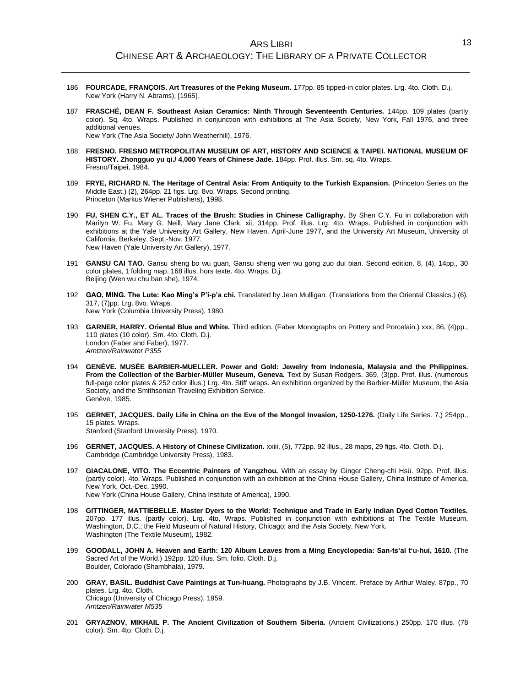- 186 **FOURCADE, FRANÇOIS. Art Treasures of the Peking Museum.** 177pp. 85 tipped-in color plates. Lrg. 4to. Cloth. D.j. New York (Harry N. Abrams), [1965].
- 187 **FRASCHÉ, DEAN F. Southeast Asian Ceramics: Ninth Through Seventeenth Centuries.** 144pp. 109 plates (partly color). Sq. 4to. Wraps. Published in conjunction with exhibitions at The Asia Society, New York, Fall 1976, and three additional venues. New York (The Asia Society/ John Weatherhill), 1976.
- 188 **FRESNO. FRESNO METROPOLITAN MUSEUM OF ART, HISTORY AND SCIENCE & TAIPEI. NATIONAL MUSEUM OF HISTORY. Zhongguo yu qi./ 4,000 Years of Chinese Jade.** 184pp. Prof. illus. Sm. sq. 4to. Wraps. Fresno/Taipei, 1984.
- 189 **FRYE, RICHARD N. The Heritage of Central Asia: From Antiquity to the Turkish Expansion.** (Princeton Series on the Middle East.) (2), 264pp. 21 figs. Lrg. 8vo. Wraps. Second printing. Princeton (Markus Wiener Publishers), 1998.
- 190 **FU, SHEN C.Y., ET AL. Traces of the Brush: Studies in Chinese Calligraphy.** By Shen C.Y. Fu in collaboration with Marilyn W. Fu, Mary G. Neill, Mary Jane Clark. xii, 314pp. Prof. illus. Lrg. 4to. Wraps. Published in conjunction with exhibitions at the Yale University Art Gallery, New Haven, April-June 1977, and the University Art Museum, University of California, Berkeley, Sept.-Nov. 1977. New Haven (Yale University Art Gallery), 1977.
- 191 **GANSU CAI TAO.** Gansu sheng bo wu guan, Gansu sheng wen wu gong zuo dui bian. Second edition. 8, (4), 14pp., 30 color plates, 1 folding map. 168 illus. hors texte. 4to. Wraps. D.j. Beijing (Wen wu chu ban she), 1974.
- 192 **GAO, MING. The Lute: Kao Ming's P'i-p'a chi.** Translated by Jean Mulligan. (Translations from the Oriental Classics.) (6), 317, (7)pp. Lrg. 8vo. Wraps. New York (Columbia University Press), 1980.
- 193 **GARNER, HARRY. Oriental Blue and White.** Third edition. (Faber Monographs on Pottery and Porcelain.) xxx, 86, (4)pp., 110 plates (10 color). Sm. 4to. Cloth. D.j. London (Faber and Faber), 1977. *Arntzen/Rainwater P355*
- 194 **GENÈVE. MUSÉE BARBIER-MUELLER. Power and Gold: Jewelry from Indonesia, Malaysia and the Philippines. From the Collection of the Barbier-Müller Museum, Geneva.** Text by Susan Rodgers. 369, (3)pp. Prof. illus. (numerous full-page color plates & 252 color illus.) Lrg. 4to. Stiff wraps. An exhibition organized by the Barbier-Müller Museum, the Asia Society, and the Smithsonian Traveling Exhibition Service. Genève, 1985.
- 195 **GERNET, JACQUES. Daily Life in China on the Eve of the Mongol Invasion, 1250-1276.** (Daily Life Series. 7.) 254pp., 15 plates. Wraps.

Stanford (Stanford University Press), 1970.

- 196 **GERNET, JACQUES. A History of Chinese Civilization.** xxiii, (5), 772pp. 92 illus., 28 maps, 29 figs. 4to. Cloth. D.j. Cambridge (Cambridge University Press), 1983.
- 197 **GIACALONE, VITO. The Eccentric Painters of Yangzhou.** With an essay by Ginger Cheng-chi Hsü. 92pp. Prof. illus. (partly color). 4to. Wraps. Published in conjunction with an exhibition at the China House Gallery, China Institute of America, New York, Oct.-Dec. 1990. New York (China House Gallery, China Institute of America), 1990.
- 198 **GITTINGER, MATTIEBELLE. Master Dyers to the World: Technique and Trade in Early Indian Dyed Cotton Textiles.** 207pp. 177 illus. (partly color). Lrg. 4to. Wraps. Published in conjunction with exhibitions at The Textile Museum, Washington, D.C.; the Field Museum of Natural History, Chicago; and the Asia Society, New York. Washington (The Textile Museum), 1982.
- 199 **GOODALL, JOHN A. Heaven and Earth: 120 Album Leaves from a Ming Encyclopedia: San-ts'ai t'u-hui, 1610.** (The Sacred Art of the World.) 192pp. 120 illus. Sm. folio. Cloth. D.j. Boulder, Colorado (Shambhala), 1979.
- 200 **GRAY, BASIL. Buddhist Cave Paintings at Tun-huang.** Photographs by J.B. Vincent. Preface by Arthur Waley. 87pp., 70 plates. Lrg. 4to. Cloth. Chicago (University of Chicago Press), 1959. *Arntzen/Rainwater M535*
- 201 **GRYAZNOV, MIKHAIL P. The Ancient Civilization of Southern Siberia.** (Ancient Civilizations.) 250pp. 170 illus. (78 color). Sm. 4to. Cloth. D.j.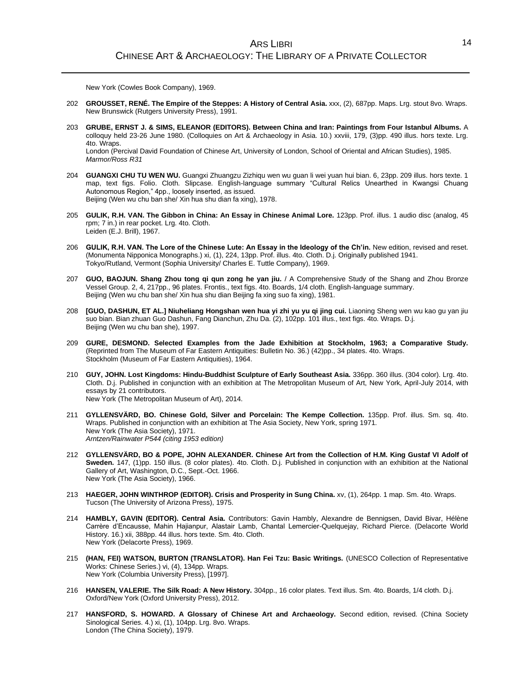New York (Cowles Book Company), 1969.

- 202 **GROUSSET, RENÉ. The Empire of the Steppes: A History of Central Asia.** xxx, (2), 687pp. Maps. Lrg. stout 8vo. Wraps. New Brunswick (Rutgers University Press), 1991.
- 203 **GRUBE, ERNST J. & SIMS, ELEANOR (EDITORS). Between China and Iran: Paintings from Four Istanbul Albums.** A colloquy held 23-26 June 1980. (Colloquies on Art & Archaeology in Asia. 10.) xxviii, 179, (3)pp. 490 illus. hors texte. Lrg. 4to. Wraps.

London (Percival David Foundation of Chinese Art, University of London, School of Oriental and African Studies), 1985. *Marmor/Ross R31*

- 204 **GUANGXI CHU TU WEN WU.** Guangxi Zhuangzu Zizhiqu wen wu guan li wei yuan hui bian. 6, 23pp. 209 illus. hors texte. 1 map, text figs. Folio. Cloth. Slipcase. English-language summary "Cultural Relics Unearthed in Kwangsi Chuang Autonomous Region," 4pp., loosely inserted, as issued. Beijing (Wen wu chu ban she/ Xin hua shu dian fa xing), 1978.
- 205 **GULIK, R.H. VAN. The Gibbon in China: An Essay in Chinese Animal Lore.** 123pp. Prof. illus. 1 audio disc (analog, 45 rpm; 7 in.) in rear pocket. Lrg. 4to. Cloth. Leiden (E.J. Brill), 1967.
- 206 **GULIK, R.H. VAN. The Lore of the Chinese Lute: An Essay in the Ideology of the Ch'in.** New edition, revised and reset. (Monumenta Nipponica Monographs.) xi, (1), 224, 13pp. Prof. illus. 4to. Cloth. D.j. Originally published 1941. Tokyo/Rutland, Vermont (Sophia University/ Charles E. Tuttle Company), 1969.
- 207 **GUO, BAOJUN. Shang Zhou tong qi qun zong he yan jiu.** / A Comprehensive Study of the Shang and Zhou Bronze Vessel Group. 2, 4, 217pp., 96 plates. Frontis., text figs. 4to. Boards, 1/4 cloth. English-language summary. Beijing (Wen wu chu ban she/ Xin hua shu dian Beijing fa xing suo fa xing), 1981.
- 208 **[GUO, DASHUN, ET AL.] Niuheliang Hongshan wen hua yi zhi yu yu qi jing cui.** Liaoning Sheng wen wu kao gu yan jiu suo bian. Bian zhuan Guo Dashun, Fang Dianchun, Zhu Da. (2), 102pp. 101 illus., text figs. 4to. Wraps. D.j. Beijing (Wen wu chu ban she), 1997.
- 209 **GURE, DESMOND. Selected Examples from the Jade Exhibition at Stockholm, 1963; a Comparative Study.** (Reprinted from The Museum of Far Eastern Antiquities: Bulletin No. 36.) (42)pp., 34 plates. 4to. Wraps. Stockholm (Museum of Far Eastern Antiquities), 1964.
- 210 **GUY, JOHN. Lost Kingdoms: Hindu-Buddhist Sculpture of Early Southeast Asia.** 336pp. 360 illus. (304 color). Lrg. 4to. Cloth. D.j. Published in conjunction with an exhibition at The Metropolitan Museum of Art, New York, April-July 2014, with essays by 21 contributors. New York (The Metropolitan Museum of Art), 2014.
- 211 **GYLLENSVÄRD, BO. Chinese Gold, Silver and Porcelain: The Kempe Collection.** 135pp. Prof. illus. Sm. sq. 4to. Wraps. Published in conjunction with an exhibition at The Asia Society, New York, spring 1971. New York (The Asia Society), 1971. *Arntzen/Rainwater P544 (citing 1953 edition)*
- 212 **GYLLENSVÄRD, BO & POPE, JOHN ALEXANDER. Chinese Art from the Collection of H.M. King Gustaf VI Adolf of Sweden.** 147, (1)pp. 150 illus. (8 color plates). 4to. Cloth. D.j. Published in conjunction with an exhibition at the National Gallery of Art, Washington, D.C., Sept.-Oct. 1966. New York (The Asia Society), 1966.
- 213 **HAEGER, JOHN WINTHROP (EDITOR). Crisis and Prosperity in Sung China.** xv, (1), 264pp. 1 map. Sm. 4to. Wraps. Tucson (The University of Arizona Press), 1975.
- 214 **HAMBLY, GAVIN (EDITOR). Central Asia.** Contributors: Gavin Hambly, Alexandre de Bennigsen, David Bivar, Hélène Carrère d'Encausse, Mahin Hajianpur, Alastair Lamb, Chantal Lemercier-Quelquejay, Richard Pierce. (Delacorte World History. 16.) xii, 388pp. 44 illus. hors texte. Sm. 4to. Cloth. New York (Delacorte Press), 1969.
- 215 **(HAN, FEI) WATSON, BURTON (TRANSLATOR). Han Fei Tzu: Basic Writings.** (UNESCO Collection of Representative Works: Chinese Series.) vi, (4), 134pp. Wraps. New York (Columbia University Press), [1997].
- 216 **HANSEN, VALERIE. The Silk Road: A New History.** 304pp., 16 color plates. Text illus. Sm. 4to. Boards, 1/4 cloth. D.j. Oxford/New York (Oxford University Press), 2012.
- 217 **HANSFORD, S. HOWARD. A Glossary of Chinese Art and Archaeology.** Second edition, revised. (China Society Sinological Series. 4.) xi, (1), 104pp. Lrg. 8vo. Wraps. London (The China Society), 1979.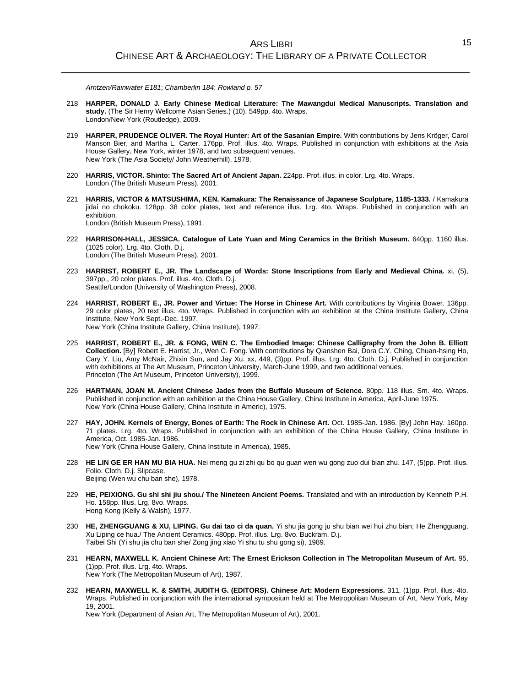*Arntzen/Rainwater E181*; *Chamberlin 184*; *Rowland p. 57*

- 218 **HARPER, DONALD J. Early Chinese Medical Literature: The Mawangdui Medical Manuscripts. Translation and study.** (The Sir Henry Wellcome Asian Series.) (10), 549pp. 4to. Wraps. London/New York (Routledge), 2009.
- 219 **HARPER, PRUDENCE OLIVER. The Royal Hunter: Art of the Sasanian Empire.** With contributions by Jens Kröger, Carol Manson Bier, and Martha L. Carter. 176pp. Prof. illus. 4to. Wraps. Published in conjunction with exhibitions at the Asia House Gallery, New York, winter 1978, and two subsequent venues. New York (The Asia Society/ John Weatherhill), 1978.
- 220 **HARRIS, VICTOR. Shinto: The Sacred Art of Ancient Japan.** 224pp. Prof. illus. in color. Lrg. 4to. Wraps. London (The British Museum Press), 2001.
- 221 **HARRIS, VICTOR & MATSUSHIMA, KEN. Kamakura: The Renaissance of Japanese Sculpture, 1185-1333.** / Kamakura jidai no chokoku. 128pp. 38 color plates, text and reference illus. Lrg. 4to. Wraps. Published in conjunction with an exhibition. London (British Museum Press), 1991.
- 222 **HARRISON-HALL, JESSICA. Catalogue of Late Yuan and Ming Ceramics in the British Museum.** 640pp. 1160 illus. (1025 color). Lrg. 4to. Cloth. D.j. London (The British Museum Press), 2001.
- 223 **HARRIST, ROBERT E., JR. The Landscape of Words: Stone Inscriptions from Early and Medieval China.** xi, (5), 397pp., 20 color plates. Prof. illus. 4to. Cloth. D.j. Seattle/London (University of Washington Press), 2008.
- 224 **HARRIST, ROBERT E., JR. Power and Virtue: The Horse in Chinese Art.** With contributions by Virginia Bower. 136pp. 29 color plates, 20 text illus. 4to. Wraps. Published in conjunction with an exhibition at the China Institute Gallery, China Institute, New York Sept.-Dec. 1997. New York (China Institute Gallery, China Institute), 1997.
- 225 **HARRIST, ROBERT E., JR. & FONG, WEN C. The Embodied Image: Chinese Calligraphy from the John B. Elliott Collection.** [By] Robert E. Harrist, Jr., Wen C. Fong. With contributions by Qianshen Bai, Dora C.Y. Ching, Chuan-hsing Ho, Cary Y. Liu, Amy McNair, Zhixin Sun, and Jay Xu. xx, 449, (3)pp. Prof. illus. Lrg. 4to. Cloth. D.j. Published in conjunction with exhibitions at The Art Museum, Princeton University, March-June 1999, and two additional venues. Princeton (The Art Museum, Princeton University), 1999.
- 226 **HARTMAN, JOAN M. Ancient Chinese Jades from the Buffalo Museum of Science.** 80pp. 118 illus. Sm. 4to. Wraps. Published in conjunction with an exhibition at the China House Gallery, China Institute in America, April-June 1975. New York (China House Gallery, China Institute in Americ), 1975.
- 227 **HAY, JOHN. Kernels of Energy, Bones of Earth: The Rock in Chinese Art.** Oct. 1985-Jan. 1986. [By] John Hay. 160pp. 71 plates. Lrg. 4to. Wraps. Published in conjunction with an exhibition of the China House Gallery, China Institute in America, Oct. 1985-Jan. 1986. New York (China House Gallery, China Institute in America), 1985.
- 228 **HE LIN GE ER HAN MU BIA HUA.** Nei meng gu zi zhi qu bo qu guan wen wu gong zuo dui bian zhu. 147, (5)pp. Prof. illus. Folio. Cloth. D.j. Slipcase. Beijing (Wen wu chu ban she), 1978.
- 229 **HE, PEIXIONG. Gu shi shi jiu shou./ The Nineteen Ancient Poems.** Translated and with an introduction by Kenneth P.H. Ho. 158pp. Illus. Lrg. 8vo. Wraps. Hong Kong (Kelly & Walsh), 1977.
- 230 **HE, ZHENGGUANG & XU, LIPING. Gu dai tao ci da quan.** Yi shu jia gong ju shu bian wei hui zhu bian; He Zhengguang, Xu Liping ce hua./ The Ancient Ceramics. 480pp. Prof. illus. Lrg. 8vo. Buckram. D.j. Taibei Shi (Yi shu jia chu ban she/ Zong jing xiao Yi shu tu shu gong si), 1989.
- 231 **HEARN, MAXWELL K. Ancient Chinese Art: The Ernest Erickson Collection in The Metropolitan Museum of Art.** 95, (1)pp. Prof. illus. Lrg. 4to. Wraps. New York (The Metropolitan Museum of Art), 1987.
- 232 **HEARN, MAXWELL K. & SMITH, JUDITH G. (EDITORS). Chinese Art: Modern Expressions.** 311, (1)pp. Prof. illus. 4to. Wraps. Published in conjunction with the international symposium held at The Metropolitan Museum of Art, New York, May 19, 2001.

New York (Department of Asian Art, The Metropolitan Museum of Art), 2001.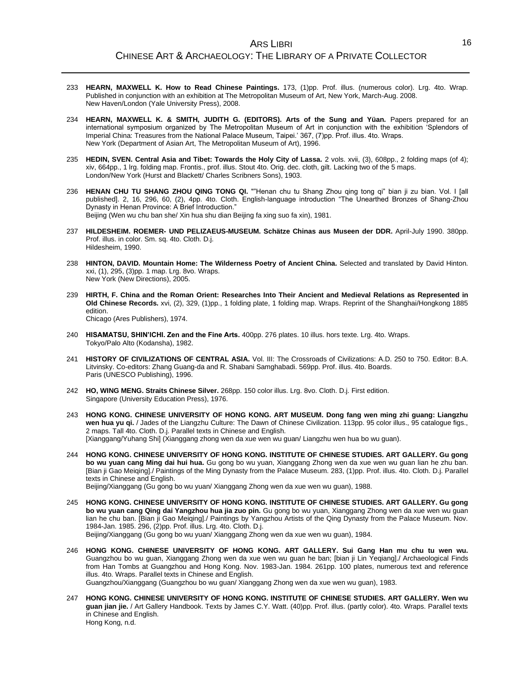- 233 **HEARN, MAXWELL K. How to Read Chinese Paintings.** 173, (1)pp. Prof. illus. (numerous color). Lrg. 4to. Wrap. Published in conjunction with an exhibition at The Metropolitan Museum of Art, New York, March-Aug. 2008. New Haven/London (Yale University Press), 2008.
- 234 **HEARN, MAXWELL K. & SMITH, JUDITH G. (EDITORS). Arts of the Sung and Yüan.** Papers prepared for an international symposium organized by The Metropolitan Museum of Art in conjunction with the exhibition 'Splendors of Imperial China: Treasures from the National Palace Museum, Taipei.' 367, (7)pp. Prof. illus. 4to. Wraps. New York (Department of Asian Art, The Metropolitan Museum of Art), 1996.
- 235 **HEDIN, SVEN. Central Asia and Tibet: Towards the Holy City of Lassa.** 2 vols. xvii, (3), 608pp., 2 folding maps (of 4); xiv, 664pp., 1 lrg. folding map. Frontis., prof. illus. Stout 4to. Orig. dec. cloth, gilt. Lacking two of the 5 maps. London/New York (Hurst and Blackett/ Charles Scribners Sons), 1903.
- 236 **HENAN CHU TU SHANG ZHOU QING TONG QI.** ""Henan chu tu Shang Zhou qing tong qi" bian ji zu bian. Vol. I [all published]. 2, 16, 296, 60, (2), 4pp. 4to. Cloth. English-language introduction "The Unearthed Bronzes of Shang-Zhou Dynasty in Henan Province: A Brief Introduction." Beijing (Wen wu chu ban she/ Xin hua shu dian Beijing fa xing suo fa xin), 1981.
- 237 **HILDESHEIM. ROEMER- UND PELIZAEUS-MUSEUM. Schätze Chinas aus Museen der DDR.** April-July 1990. 380pp. Prof. illus. in color. Sm. sq. 4to. Cloth. D.j. Hildesheim, 1990.
- 238 **HINTON, DAVID. Mountain Home: The Wilderness Poetry of Ancient China.** Selected and translated by David Hinton. xxi, (1), 295, (3)pp. 1 map. Lrg. 8vo. Wraps. New York (New Directions), 2005.
- 239 **HIRTH, F. China and the Roman Orient: Researches Into Their Ancient and Medieval Relations as Represented in Old Chinese Records.** xvi, (2), 329, (1)pp., 1 folding plate, 1 folding map. Wraps. Reprint of the Shanghai/Hongkong 1885 edition. Chicago (Ares Publishers), 1974.

- 240 **HISAMATSU, SHIN'ICHI. Zen and the Fine Arts.** 400pp. 276 plates. 10 illus. hors texte. Lrg. 4to. Wraps. Tokyo/Palo Alto (Kodansha), 1982.
- 241 **HISTORY OF CIVILIZATIONS OF CENTRAL ASIA.** Vol. III: The Crossroads of Civilizations: A.D. 250 to 750. Editor: B.A. Litvinsky. Co-editors: Zhang Guang-da and R. Shabani Samghabadi. 569pp. Prof. illus. 4to. Boards. Paris (UNESCO Publishing), 1996.
- 242 **HO, WING MENG. Straits Chinese Silver.** 268pp. 150 color illus. Lrg. 8vo. Cloth. D.j. First edition. Singapore (University Education Press), 1976.
- 243 **HONG KONG. CHINESE UNIVERSITY OF HONG KONG. ART MUSEUM. Dong fang wen ming zhi guang: Liangzhu wen hua yu qi.** / Jades of the Liangzhu Culture: The Dawn of Chinese Civilization. 113pp. 95 color illus., 95 catalogue figs., 2 maps. Tall 4to. Cloth. D.j. Parallel texts in Chinese and English. [Xianggang/Yuhang Shi] (Xianggang zhong wen da xue wen wu guan/ Liangzhu wen hua bo wu guan).
- 244 **HONG KONG. CHINESE UNIVERSITY OF HONG KONG. INSTITUTE OF CHINESE STUDIES. ART GALLERY. Gu gong bo wu yuan cang Ming dai hui hua.** Gu gong bo wu yuan, Xianggang Zhong wen da xue wen wu guan lian he zhu ban. [Bian ji Gao Meiqing]./ Paintings of the Ming Dynasty from the Palace Museum. 283, (1)pp. Prof. illus. 4to. Cloth. D.j. Parallel texts in Chinese and English.

Beijing/Xianggang (Gu gong bo wu yuan/ Xianggang Zhong wen da xue wen wu guan), 1988.

- 245 **HONG KONG. CHINESE UNIVERSITY OF HONG KONG. INSTITUTE OF CHINESE STUDIES. ART GALLERY. Gu gong bo wu yuan cang Qing dai Yangzhou hua jia zuo pin.** Gu gong bo wu yuan, Xianggang Zhong wen da xue wen wu guan lian he chu ban. [Bian ji Gao Meiqing]./ Paintings by Yangzhou Artists of the Qing Dynasty from the Palace Museum. Nov. 1984-Jan. 1985. 296, (2)pp. Prof. illus. Lrg. 4to. Cloth. D.j. Beijing/Xianggang (Gu gong bo wu yuan/ Xianggang Zhong wen da xue wen wu guan), 1984.
- 246 **HONG KONG. CHINESE UNIVERSITY OF HONG KONG. ART GALLERY. Sui Gang Han mu chu tu wen wu.** Guangzhou bo wu guan, Xianggang Zhong wen da xue wen wu guan he ban; [bian ji Lin Yeqiang]./ Archaeological Finds from Han Tombs at Guangzhou and Hong Kong. Nov. 1983-Jan. 1984. 261pp. 100 plates, numerous text and reference illus. 4to. Wraps. Parallel texts in Chinese and English. Guangzhou/Xianggang (Guangzhou bo wu guan/ Xianggang Zhong wen da xue wen wu guan), 1983.
- 247 **HONG KONG. CHINESE UNIVERSITY OF HONG KONG. INSTITUTE OF CHINESE STUDIES. ART GALLERY. Wen wu guan jian jie.** / Art Gallery Handbook. Texts by James C.Y. Watt. (40)pp. Prof. illus. (partly color). 4to. Wraps. Parallel texts in Chinese and English. Hong Kong, n.d.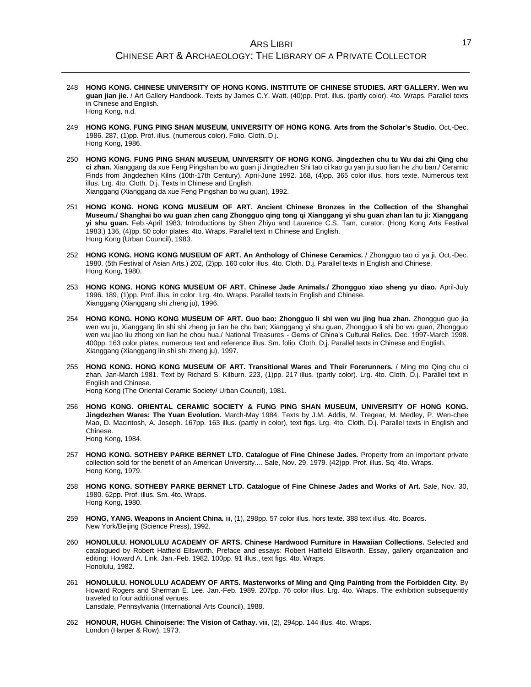- 248 **HONG KONG. CHINESE UNIVERSITY OF HONG KONG. INSTITUTE OF CHINESE STUDIES. ART GALLERY. Wen wu guan jian jie.** / Art Gallery Handbook. Texts by James C.Y. Watt. (40)pp. Prof. illus. (partly color). 4to. Wraps. Parallel texts in Chinese and English. Hong Kong, n.d.
- 249 **HONG KONG. FUNG PING SHAN MUSEUM, UNIVERSITY OF HONG KONG. Arts from the Scholar's Studio.** Oct.-Dec. 1986. 287, (1)pp. Prof. illus. (numerous color). Folio. Cloth. D.j. Hong Kong, 1986.
- 250 **HONG KONG. FUNG PING SHAN MUSEUM, UNIVERSITY OF HONG KONG. Jingdezhen chu tu Wu dai zhi Qing chu ci zhan.** Xianggang da xue Feng Pingshan bo wu guan ji Jingdezhen Shi tao ci kao gu yan jiu suo lian he zhu ban./ Ceramic Finds from Jingdezhen Kilns (10th-17th Century). April-June 1992. 168, (4)pp. 365 color illus. hors texte. Numerous text illus. Lrg. 4to. Cloth. D.j. Texts in Chinese and English. Xianggang (Xianggang da xue Feng Pingshan bo wu guan), 1992.
- 251 **HONG KONG. HONG KONG MUSEUM OF ART. Ancient Chinese Bronzes in the Collection of the Shanghai Museum./ Shanghai bo wu guan zhen cang Zhongguo qing tong qi Xianggang yi shu guan zhan lan tu ji: Xianggang yi shu guan.** Feb.-April 1983. Introductions by Shen Zhiyu and Laurence C.S. Tam, curator. (Hong Kong Arts Festival 1983.) 136, (4)pp. 50 color plates. 4to. Wraps. Parallel text in Chinese and English. Hong Kong (Urban Council), 1983.
- 252 **HONG KONG. HONG KONG MUSEUM OF ART. An Anthology of Chinese Ceramics.** / Zhongguo tao ci ya ji. Oct.-Dec. 1980. (5th Festival of Asian Arts.) 202, (2)pp. 160 color illus. 4to. Cloth. D.j. Parallel texts in English and Chinese. Hong Kong, 1980.
- 253 **HONG KONG. HONG KONG MUSEUM OF ART. Chinese Jade Animals./ Zhongguo xiao sheng yu diao.** April-July 1996. 189, (1)pp. Prof. illus. in color. Lrg. 4to. Wraps. Parallel texts in English and Chinese. Xianggang (Xianggang shi zheng ju), 1996.
- 254 **HONG KONG. HONG KONG MUSEUM OF ART. Guo bao: Zhongguo li shi wen wu jing hua zhan.** Zhongguo guo jia wen wu ju, Xianggang lin shi shi zheng ju lian he chu ban; Xianggang yi shu guan, Zhongguo li shi bo wu guan, Zhongguo wen wu jiao liu zhong xin lian he chou hua./ National Treasures - Gems of China's Cultural Relics. Dec. 1997-March 1998. 400pp. 163 color plates, numerous text and reference illus. Sm. folio. Cloth. D.j. Parallel texts in Chinese and English. Xianggang (Xianggang lin shi shi zheng ju), 1997.
- 255 **HONG KONG. HONG KONG MUSEUM OF ART. Transitional Wares and Their Forerunners.** / Ming mo Qing chu ci zhan. Jan-March 1981. Text by Richard S. Kilburn. 223, (1)pp. 217 illus. (partly color). Lrg. 4to. Cloth. D.j. Parallel text in English and Chinese.

Hong Kong (The Oriental Ceramic Society/ Urban Council), 1981.

- 256 **HONG KONG. ORIENTAL CERAMIC SOCIETY & FUNG PING SHAN MUSEUM, UNIVERSITY OF HONG KONG. Jingdezhen Wares: The Yuan Evolution.** March-May 1984. Texts by J.M. Addis, M. Tregear, M. Medley, P. Wen-chee Mao, D. Macintosh, A. Joseph. 167pp. 163 illus. (partly in color), text figs. Lrg. 4to. Cloth. D.j. Parallel texts in English and Chinese. Hong Kong, 1984.
- 257 **HONG KONG. SOTHEBY PARKE BERNET LTD. Catalogue of Fine Chinese Jades.** Property from an important private collection sold for the benefit of an American University.... Sale, Nov. 29, 1979. (42)pp. Prof. illus. Sq. 4to. Wraps. Hong Kong, 1979.
- 258 **HONG KONG. SOTHEBY PARKE BERNET LTD. Catalogue of Fine Chinese Jades and Works of Art.** Sale, Nov. 30, 1980. 62pp. Prof. illus. Sm. 4to. Wraps. Hong Kong, 1980.
- 259 **HONG, YANG. Weapons in Ancient China.** iii, (1), 298pp. 57 color illus. hors texte. 388 text illus. 4to. Boards. New York/Beijing (Science Press), 1992.
- 260 **HONOLULU. HONOLULU ACADEMY OF ARTS. Chinese Hardwood Furniture in Hawaiian Collections.** Selected and catalogued by Robert Hatfield Ellsworth. Preface and essays: Robert Hatfield Ellsworth. Essay, gallery organization and editing: Howard A. Link. Jan.-Feb. 1982. 100pp. 91 illus., text figs. 4to. Wraps. Honolulu, 1982.
- 261 **HONOLULU. HONOLULU ACADEMY OF ARTS. Masterworks of Ming and Qing Painting from the Forbidden City.** By Howard Rogers and Sherman E. Lee. Jan.-Feb. 1989. 207pp. 76 color illus. Lrg. 4to. Wraps. The exhibition subsequently traveled to four additional venues. Lansdale, Pennsylvania (International Arts Council), 1988.
- 262 **HONOUR, HUGH. Chinoiserie: The Vision of Cathay.** viii, (2), 294pp. 144 illus. 4to. Wraps. London (Harper & Row), 1973.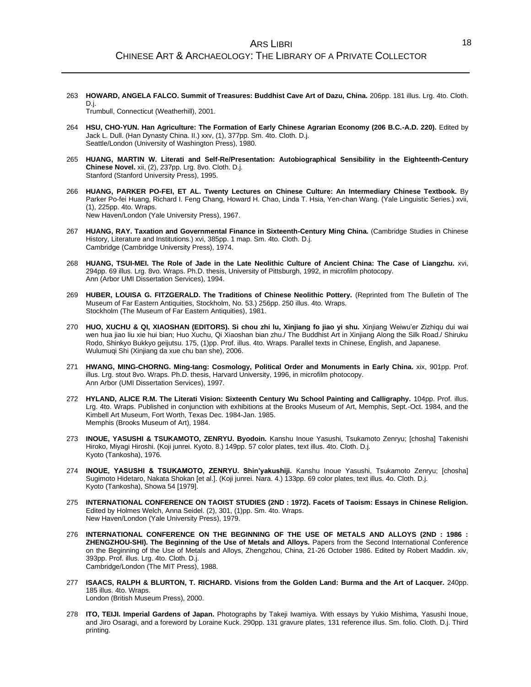263 **HOWARD, ANGELA FALCO. Summit of Treasures: Buddhist Cave Art of Dazu, China.** 206pp. 181 illus. Lrg. 4to. Cloth. D.j.

Trumbull, Connecticut (Weatherhill), 2001.

- 264 **HSU, CHO-YUN. Han Agriculture: The Formation of Early Chinese Agrarian Economy (206 B.C.-A.D. 220).** Edited by Jack L. Dull. (Han Dynasty China. II.) xxv, (1), 377pp. Sm. 4to. Cloth. D.j. Seattle/London (University of Washington Press), 1980.
- 265 **HUANG, MARTIN W. Literati and Self-Re/Presentation: Autobiographical Sensibility in the Eighteenth-Century Chinese Novel.** xii, (2), 237pp. Lrg. 8vo. Cloth. D.j. Stanford (Stanford University Press), 1995.
- 266 **HUANG, PARKER PO-FEI, ET AL. Twenty Lectures on Chinese Culture: An Intermediary Chinese Textbook.** By Parker Po-fei Huang, Richard I. Feng Chang, Howard H. Chao, Linda T. Hsia, Yen-chan Wang. (Yale Linguistic Series.) xvii, (1), 225pp. 4to. Wraps. New Haven/London (Yale University Press), 1967.
- 267 **HUANG, RAY. Taxation and Governmental Finance in Sixteenth-Century Ming China.** (Cambridge Studies in Chinese History, Literature and Institutions.) xvi, 385pp. 1 map. Sm. 4to. Cloth. D.j. Cambridge (Cambridge University Press), 1974.
- 268 **HUANG, TSUI-MEI. The Role of Jade in the Late Neolithic Culture of Ancient China: The Case of Liangzhu.** xvi, 294pp. 69 illus. Lrg. 8vo. Wraps. Ph.D. thesis, University of Pittsburgh, 1992, in microfilm photocopy. Ann (Arbor UMI Dissertation Services), 1994.
- 269 **HUBER, LOUISA G. FITZGERALD. The Traditions of Chinese Neolithic Pottery.** (Reprinted from The Bulletin of The Museum of Far Eastern Antiquities, Stockholm, No. 53.) 256pp. 250 illus. 4to. Wraps. Stockholm (The Museum of Far Eastern Antiquities), 1981.
- 270 **HUO, XUCHU & QI, XIAOSHAN (EDITORS). Si chou zhi lu, Xinjiang fo jiao yi shu.** Xinjiang Weiwu'er Zizhiqu dui wai wen hua jiao liu xie hui bian; Huo Xuchu, Qi Xiaoshan bian zhu./ The Buddhist Art in Xinjiang Along the Silk Road./ Shiruku Rodo, Shinkyo Bukkyo geijutsu. 175, (1)pp. Prof. illus. 4to. Wraps. Parallel texts in Chinese, English, and Japanese. Wulumuqi Shi (Xinjiang da xue chu ban she), 2006.
- 271 **HWANG, MING-CHORNG. Ming-tang: Cosmology, Political Order and Monuments in Early China.** xix, 901pp. Prof. illus. Lrg. stout 8vo. Wraps. Ph.D. thesis, Harvard University, 1996, in microfilm photocopy. Ann Arbor (UMI Dissertation Services), 1997.
- 272 **HYLAND, ALICE R.M. The Literati Vision: Sixteenth Century Wu School Painting and Calligraphy.** 104pp. Prof. illus. Lrg. 4to. Wraps. Published in conjunction with exhibitions at the Brooks Museum of Art, Memphis, Sept.-Oct. 1984, and the Kimbell Art Museum, Fort Worth, Texas Dec. 1984-Jan. 1985. Memphis (Brooks Museum of Art), 1984.
- 273 **INOUE, YASUSHI & TSUKAMOTO, ZENRYU. Byodoin.** Kanshu Inoue Yasushi, Tsukamoto Zenryu; [chosha] Takenishi Hiroko, Miyagi Hiroshi. (Koji junrei. Kyoto. 8.) 149pp. 57 color plates, text illus. 4to. Cloth. D.j. Kyoto (Tankosha), 1976.
- 274 **INOUE, YASUSHI & TSUKAMOTO, ZENRYU. Shin'yakushiji.** Kanshu Inoue Yasushi, Tsukamoto Zenryu; [chosha] Sugimoto Hidetaro, Nakata Shokan [et al.]. (Koji junrei. Nara. 4.) 133pp. 69 color plates, text illus. 4o. Cloth. D.j. Kyoto (Tankosha), Showa 54 [1979].
- 275 **INTERNATIONAL CONFERENCE ON TAOIST STUDIES (2ND : 1972). Facets of Taoism: Essays in Chinese Religion.** Edited by Holmes Welch, Anna Seidel. (2), 301, (1)pp. Sm. 4to. Wraps. New Haven/London (Yale University Press), 1979.
- 276 **INTERNATIONAL CONFERENCE ON THE BEGINNING OF THE USE OF METALS AND ALLOYS (2ND : 1986 : ZHENGZHOU-SHI). The Beginning of the Use of Metals and Alloys.** Papers from the Second International Conference on the Beginning of the Use of Metals and Alloys, Zhengzhou, China, 21-26 October 1986. Edited by Robert Maddin. xiv, 393pp. Prof. illus. Lrg. 4to. Cloth. D.j. Cambridge/London (The MIT Press), 1988.
- 277 **ISAACS, RALPH & BLURTON, T. RICHARD. Visions from the Golden Land: Burma and the Art of Lacquer.** 240pp. 185 illus. 4to. Wraps. London (British Museum Press), 2000.
- 278 **ITO, TEIJI. Imperial Gardens of Japan.** Photographs by Takeji Iwamiya. With essays by Yukio Mishima, Yasushi Inoue, and Jiro Osaragi, and a foreword by Loraine Kuck. 290pp. 131 gravure plates, 131 reference illus. Sm. folio. Cloth. D.j. Third printing.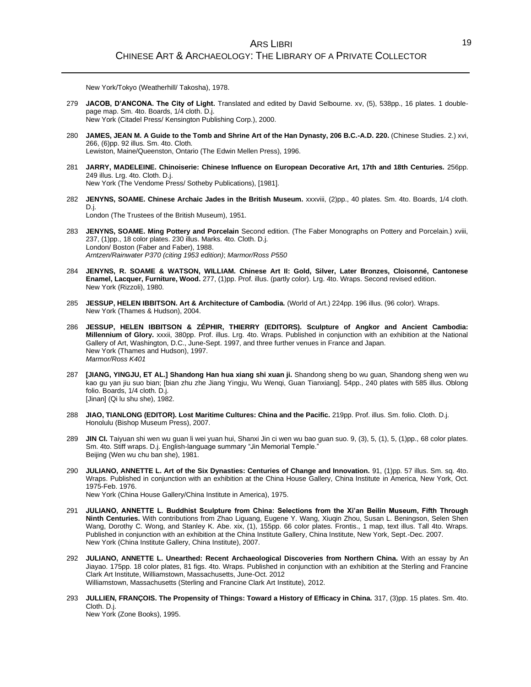New York/Tokyo (Weatherhill/ Takosha), 1978.

- 279 **JACOB, D'ANCONA. The City of Light.** Translated and edited by David Selbourne. xv, (5), 538pp., 16 plates. 1 doublepage map. Sm. 4to. Boards, 1/4 cloth. D.j. New York (Citadel Press/ Kensington Publishing Corp.), 2000.
- 280 **JAMES, JEAN M. A Guide to the Tomb and Shrine Art of the Han Dynasty, 206 B.C.-A.D. 220.** (Chinese Studies. 2.) xvi, 266, (6)pp. 92 illus. Sm. 4to. Cloth. Lewiston, Maine/Queenston, Ontario (The Edwin Mellen Press), 1996.
- 281 **JARRY, MADELEINE. Chinoiserie: Chinese Influence on European Decorative Art, 17th and 18th Centuries.** 256pp. 249 illus. Lrg. 4to. Cloth. D.j. New York (The Vendome Press/ Sotheby Publications), [1981].
- 282 **JENYNS, SOAME. Chinese Archaic Jades in the British Museum.** xxxviii, (2)pp., 40 plates. Sm. 4to. Boards, 1/4 cloth. D.j. London (The Trustees of the British Museum), 1951.
- 283 **JENYNS, SOAME. Ming Pottery and Porcelain** Second edition. (The Faber Monographs on Pottery and Porcelain.) xviii, 237, (1)pp., 18 color plates. 230 illus. Marks. 4to. Cloth. D.j. London/ Boston (Faber and Faber), 1988. *Arntzen/Rainwater P370 (citing 1953 edition)*; *Marmor/Ross P550*
- 284 **JENYNS, R. SOAME & WATSON, WILLIAM. Chinese Art II: Gold, Silver, Later Bronzes, Cloisonné, Cantonese Enamel, Lacquer, Furniture, Wood.** 277, (1)pp. Prof. illus. (partly color). Lrg. 4to. Wraps. Second revised edition. New York (Rizzoli), 1980.
- 285 **JESSUP, HELEN IBBITSON. Art & Architecture of Cambodia.** (World of Art.) 224pp. 196 illus. (96 color). Wraps. New York (Thames & Hudson), 2004.
- 286 **JESSUP, HELEN IBBITSON & ZÉPHIR, THIERRY (EDITORS). Sculpture of Angkor and Ancient Cambodia: Millennium of Glory.** xxxii, 380pp. Prof. illus. Lrg. 4to. Wraps. Published in conjunction with an exhibition at the National Gallery of Art, Washington, D.C., June-Sept. 1997, and three further venues in France and Japan. New York (Thames and Hudson), 1997. *Marmor/Ross K401*
- 287 **[JIANG, YINGJU, ET AL.] Shandong Han hua xiang shi xuan ji.** Shandong sheng bo wu guan, Shandong sheng wen wu kao gu yan jiu suo bian; [bian zhu zhe Jiang Yingju, Wu Wenqi, Guan Tianxiang]. 54pp., 240 plates with 585 illus. Oblong folio. Boards, 1/4 cloth. D.j. [Jinan] (Qi lu shu she), 1982.
- 288 **JIAO, TIANLONG (EDITOR). Lost Maritime Cultures: China and the Pacific.** 219pp. Prof. illus. Sm. folio. Cloth. D.j. Honolulu (Bishop Museum Press), 2007.
- 289 **JIN CI.** Taiyuan shi wen wu guan li wei yuan hui, Shanxi Jin ci wen wu bao guan suo. 9, (3), 5, (1), 5, (1)pp., 68 color plates. Sm. 4to. Stiff wraps. D.j. English-language summary "Jin Memorial Temple." Beijing (Wen wu chu ban she), 1981.
- 290 **JULIANO, ANNETTE L. Art of the Six Dynasties: Centuries of Change and Innovation.** 91, (1)pp. 57 illus. Sm. sq. 4to. Wraps. Published in conjunction with an exhibition at the China House Gallery, China Institute in America, New York, Oct. 1975-Feb. 1976. New York (China House Gallery/China Institute in America), 1975.
- 291 **JULIANO, ANNETTE L. Buddhist Sculpture from China: Selections from the Xi'an Beilin Museum, Fifth Through Ninth Centuries.** With contributions from Zhao Liguang, Eugene Y. Wang, Xiuqin Zhou, Susan L. Beningson, Selen Shen Wang, Dorothy C. Wong, and Stanley K. Abe. xix, (1), 155pp. 66 color plates. Frontis., 1 map, text illus. Tall 4to. Wraps. Published in conjunction with an exhibition at the China Institute Gallery, China Institute, New York, Sept.-Dec. 2007.
- New York (China Institute Gallery, China Institute), 2007. 292 **JULIANO, ANNETTE L. Unearthed: Recent Archaeological Discoveries from Northern China.** With an essay by An Jiayao. 175pp. 18 color plates, 81 figs. 4to. Wraps. Published in conjunction with an exhibition at the Sterling and Francine Clark Art Institute, Williamstown, Massachusetts, June-Oct. 2012 Williamstown, Massachusetts (Sterling and Francine Clark Art Institute), 2012.
- 293 **JULLIEN, FRANÇOIS. The Propensity of Things: Toward a History of Efficacy in China.** 317, (3)pp. 15 plates. Sm. 4to. Cloth. D.j. New York (Zone Books), 1995.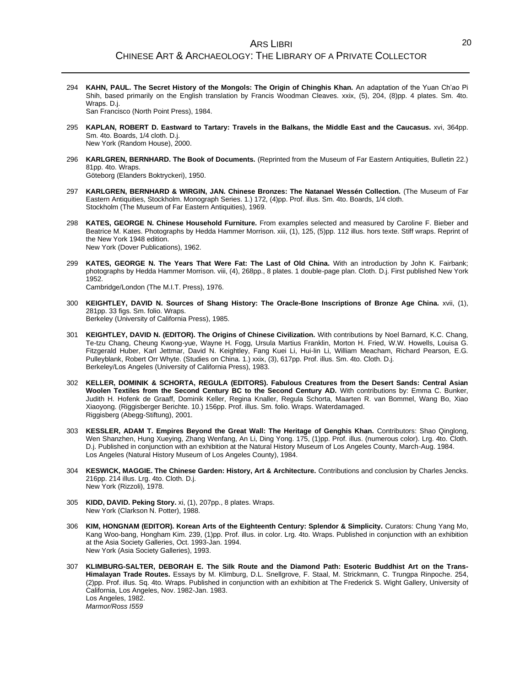- 294 **KAHN, PAUL. The Secret History of the Mongols: The Origin of Chinghis Khan.** An adaptation of the Yuan Ch'ao Pi Shih, based primarily on the English translation by Francis Woodman Cleaves. xxix, (5), 204, (8)pp. 4 plates. Sm. 4to. Wraps. D.j. San Francisco (North Point Press), 1984.
- 295 **KAPLAN, ROBERT D. Eastward to Tartary: Travels in the Balkans, the Middle East and the Caucasus.** xvi, 364pp. Sm. 4to. Boards, 1/4 cloth. D.j. New York (Random House), 2000.
- 296 **KARLGREN, BERNHARD. The Book of Documents.** (Reprinted from the Museum of Far Eastern Antiquities, Bulletin 22.) 81pp. 4to. Wraps.

Göteborg (Elanders Boktryckeri), 1950.

- 297 **KARLGREN, BERNHARD & WIRGIN, JAN. Chinese Bronzes: The Natanael Wessén Collection.** (The Museum of Far Eastern Antiquities, Stockholm. Monograph Series. 1.) 172, (4)pp. Prof. illus. Sm. 4to. Boards, 1/4 cloth. Stockholm (The Museum of Far Eastern Antiquities), 1969.
- 298 **KATES, GEORGE N. Chinese Household Furniture.** From examples selected and measured by Caroline F. Bieber and Beatrice M. Kates. Photographs by Hedda Hammer Morrison. xiii, (1), 125, (5)pp. 112 illus. hors texte. Stiff wraps. Reprint of the New York 1948 edition. New York (Dover Publications), 1962.
- 299 **KATES, GEORGE N. The Years That Were Fat: The Last of Old China.** With an introduction by John K. Fairbank; photographs by Hedda Hammer Morrison. viii, (4), 268pp., 8 plates. 1 double-page plan. Cloth. D.j. First published New York 1952.

Cambridge/London (The M.I.T. Press), 1976.

300 **KEIGHTLEY, DAVID N. Sources of Shang History: The Oracle-Bone Inscriptions of Bronze Age China.** xvii, (1), 281pp. 33 figs. Sm. folio. Wraps.

Berkeley (University of California Press), 1985.

- 301 **KEIGHTLEY, DAVID N. (EDITOR). The Origins of Chinese Civilization.** With contributions by Noel Barnard, K.C. Chang, Te-tzu Chang, Cheung Kwong-yue, Wayne H. Fogg, Ursula Martius Franklin, Morton H. Fried, W.W. Howells, Louisa G. Fitzgerald Huber, Karl Jettmar, David N. Keightley, Fang Kuei Li, Hui-lin Li, William Meacham, Richard Pearson, E.G. Pulleyblank, Robert Orr Whyte. (Studies on China. 1.) xxix, (3), 617pp. Prof. illus. Sm. 4to. Cloth. D.j. Berkeley/Los Angeles (University of California Press), 1983.
- 302 **KELLER, DOMINIK & SCHORTA, REGULA (EDITORS). Fabulous Creatures from the Desert Sands: Central Asian Woolen Textiles from the Second Century BC to the Second Century AD.** With contributions by: Emma C. Bunker, Judith H. Hofenk de Graaff, Dominik Keller, Regina Knaller, Regula Schorta, Maarten R. van Bommel, Wang Bo, Xiao Xiaoyong. (Riggisberger Berichte. 10.) 156pp. Prof. illus. Sm. folio. Wraps. Waterdamaged. Riggisberg (Abegg-Stiftung), 2001.
- 303 **KESSLER, ADAM T. Empires Beyond the Great Wall: The Heritage of Genghis Khan.** Contributors: Shao Qinglong, Wen Shanzhen, Hung Xueying, Zhang Wenfang, An Li, Ding Yong. 175, (1)pp. Prof. illus. (numerous color). Lrg. 4to. Cloth. D.j. Published in conjunction with an exhibition at the Natural History Museum of Los Angeles County, March-Aug. 1984. Los Angeles (Natural History Museum of Los Angeles County), 1984.
- 304 **KESWICK, MAGGIE. The Chinese Garden: History, Art & Architecture.** Contributions and conclusion by Charles Jencks. 216pp. 214 illus. Lrg. 4to. Cloth. D.j. New York (Rizzoli), 1978.
- 305 **KIDD, DAVID. Peking Story.** xi, (1), 207pp., 8 plates. Wraps. New York (Clarkson N. Potter), 1988.
- 306 **KIM, HONGNAM (EDITOR). Korean Arts of the Eighteenth Century: Splendor & Simplicity.** Curators: Chung Yang Mo, Kang Woo-bang, Hongham Kim. 239, (1)pp. Prof. illus. in color. Lrg. 4to. Wraps. Published in conjunction with an exhibition at the Asia Society Galleries, Oct. 1993-Jan. 1994. New York (Asia Society Galleries), 1993.
- 307 **KLIMBURG-SALTER, DEBORAH E. The Silk Route and the Diamond Path: Esoteric Buddhist Art on the Trans-Himalayan Trade Routes.** Essays by M. Klimburg, D.L. Snellgrove, F. Staal, M. Strickmann, C. Trungpa Rinpoche. 254, (2)pp. Prof. illus. Sq. 4to. Wraps. Published in conjunction with an exhibition at The Frederick S. Wight Gallery, University of California, Los Angeles, Nov. 1982-Jan. 1983. Los Angeles, 1982. *Marmor/Ross I559*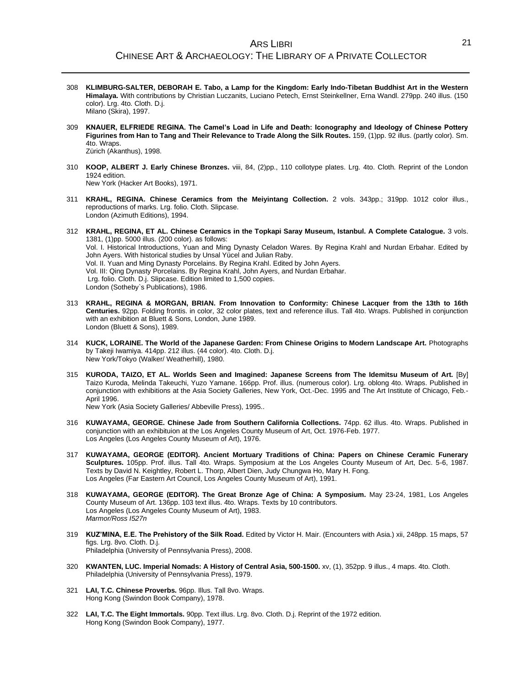- 308 **KLIMBURG-SALTER, DEBORAH E. Tabo, a Lamp for the Kingdom: Early Indo-Tibetan Buddhist Art in the Western Himalaya.** With contributions by Christian Luczanits, Luciano Petech, Ernst Steinkellner, Erna Wandl. 279pp. 240 illus. (150 color). Lrg. 4to. Cloth. D.j. Milano (Skira), 1997.
- 309 **KNAUER, ELFRIEDE REGINA. The Camel's Load in Life and Death: Iconography and Ideology of Chinese Pottery Figurines from Han to Tang and Their Relevance to Trade Along the Silk Routes.** 159, (1)pp. 92 illus. (partly color). Sm. 4to. Wraps. Zürich (Akanthus), 1998.
- 310 **KOOP, ALBERT J. Early Chinese Bronzes.** viii, 84, (2)pp., 110 collotype plates. Lrg. 4to. Cloth. Reprint of the London 1924 edition.

New York (Hacker Art Books), 1971.

- 311 **KRAHL, REGINA. Chinese Ceramics from the Meiyintang Collection.** 2 vols. 343pp.; 319pp. 1012 color illus., reproductions of marks. Lrg. folio. Cloth. Slipcase. London (Azimuth Editions), 1994.
- 312 **KRAHL, REGINA, ET AL. Chinese Ceramics in the Topkapi Saray Museum, Istanbul. A Complete Catalogue.** 3 vols. 1381, (1)pp. 5000 illus. (200 color). as follows: Vol. I. Historical Introductions, Yuan and Ming Dynasty Celadon Wares. By Regina Krahl and Nurdan Erbahar. Edited by John Ayers. With historical studies by Unsal Yücel and Julian Raby. Vol. II. Yuan and Ming Dynasty Porcelains. By Regina Krahl. Edited by John Ayers. Vol. III: Qing Dynasty Porcelains. By Regina Krahl, John Ayers, and Nurdan Erbahar. Lrg. folio. Cloth. D.j. Slipcase. Edition limited to 1,500 copies. London (Sotheby`s Publications), 1986.
- 313 **KRAHL, REGINA & MORGAN, BRIAN. From Innovation to Conformity: Chinese Lacquer from the 13th to 16th Centuries.** 92pp. Folding frontis. in color, 32 color plates, text and reference illus. Tall 4to. Wraps. Published in conjunction with an exhibition at Bluett & Sons, London, June 1989. London (Bluett & Sons), 1989.
- 314 **KUCK, LORAINE. The World of the Japanese Garden: From Chinese Origins to Modern Landscape Art.** Photographs by Takeji Iwamiya. 414pp. 212 illus. (44 color). 4to. Cloth. D.j. New York/Tokyo (Walker/ Weatherhill), 1980.
- 315 **KURODA, TAIZO, ET AL. Worlds Seen and Imagined: Japanese Screens from The Idemitsu Museum of Art.** [By] Taizo Kuroda, Melinda Takeuchi, Yuzo Yamane. 166pp. Prof. illus. (numerous color). Lrg. oblong 4to. Wraps. Published in conjunction with exhibitions at the Asia Society Galleries, New York, Oct.-Dec. 1995 and The Art Institute of Chicago, Feb.- April 1996.

New York (Asia Society Galleries/ Abbeville Press), 1995..

- 316 **KUWAYAMA, GEORGE. Chinese Jade from Southern California Collections.** 74pp. 62 illus. 4to. Wraps. Published in conjunction with an exhibituion at the Los Angeles County Museum of Art, Oct. 1976-Feb. 1977. Los Angeles (Los Angeles County Museum of Art), 1976.
- 317 **KUWAYAMA, GEORGE (EDITOR). Ancient Mortuary Traditions of China: Papers on Chinese Ceramic Funerary Sculptures.** 105pp. Prof. illus. Tall 4to. Wraps. Symposium at the Los Angeles County Museum of Art, Dec. 5-6, 1987. Texts by David N. Keightley, Robert L. Thorp, Albert Dien, Judy Chungwa Ho, Mary H. Fong. Los Angeles (Far Eastern Art Council, Los Angeles County Museum of Art), 1991.
- 318 **KUWAYAMA, GEORGE (EDITOR). The Great Bronze Age of China: A Symposium.** May 23-24, 1981, Los Angeles County Museum of Art. 136pp. 103 text illus. 4to. Wraps. Texts by 10 contributors. Los Angeles (Los Angeles County Museum of Art), 1983. *Marmor/Ross I527n*
- 319 **KUZ'MINA, E.E. The Prehistory of the Silk Road.** Edited by Victor H. Mair. (Encounters with Asia.) xii, 248pp. 15 maps, 57 figs. Lrg. 8vo. Cloth. D.j. Philadelphia (University of Pennsylvania Press), 2008.
- 320 **KWANTEN, LUC. Imperial Nomads: A History of Central Asia, 500-1500.** xv, (1), 352pp. 9 illus., 4 maps. 4to. Cloth. Philadelphia (University of Pennsylvania Press), 1979.
- 321 **LAI, T.C. Chinese Proverbs.** 96pp. Illus. Tall 8vo. Wraps. Hong Kong (Swindon Book Company), 1978.
- 322 **LAI, T.C. The Eight Immortals.** 90pp. Text illus. Lrg. 8vo. Cloth. D.j. Reprint of the 1972 edition. Hong Kong (Swindon Book Company), 1977.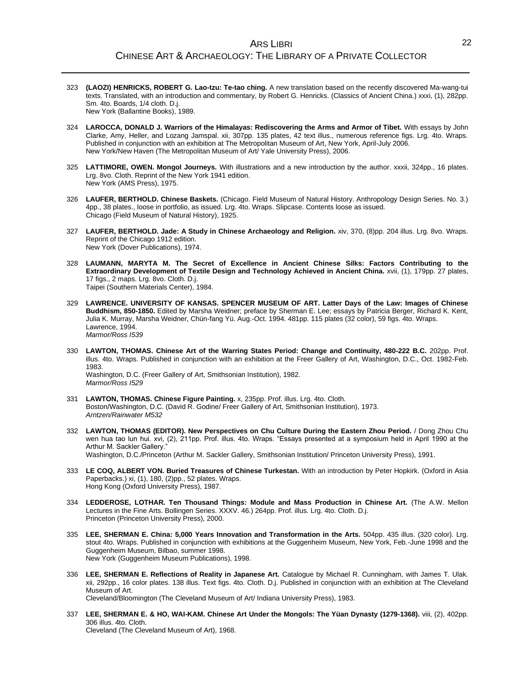- 323 **(LAOZI) HENRICKS, ROBERT G. Lao-tzu: Te-tao ching.** A new translation based on the recently discovered Ma-wang-tui texts. Translated, with an introduction and commentary, by Robert G. Henricks. (Classics of Ancient China.) xxxi, (1), 282pp. Sm. 4to. Boards, 1/4 cloth. D.j. New York (Ballantine Books), 1989.
- 324 **LAROCCA, DONALD J. Warriors of the Himalayas: Rediscovering the Arms and Armor of Tibet.** With essays by John Clarke, Amy, Heller, and Lozang Jamspal. xii, 307pp. 135 plates, 42 text illus., numerous reference figs. Lrg. 4to. Wraps. Published in conjunction with an exhibition at The Metropolitan Museum of Art, New York, April-July 2006. New York/New Haven (The Metropolitan Museum of Art/ Yale University Press), 2006.
- 325 **LATTIMORE, OWEN. Mongol Journeys.** With illustrations and a new introduction by the author. xxxii, 324pp., 16 plates. Lrg. 8vo. Cloth. Reprint of the New York 1941 edition. New York (AMS Press), 1975.
- 326 **LAUFER, BERTHOLD. Chinese Baskets.** (Chicago. Field Museum of Natural History. Anthropology Design Series. No. 3.) 4pp., 38 plates., loose in portfolio, as issued. Lrg. 4to. Wraps. Slipcase. Contents loose as issued. Chicago (Field Museum of Natural History), 1925.
- 327 **LAUFER, BERTHOLD. Jade: A Study in Chinese Archaeology and Religion.** xiv, 370, (8)pp. 204 illus. Lrg. 8vo. Wraps. Reprint of the Chicago 1912 edition. New York (Dover Publications), 1974.
- 328 **LAUMANN, MARYTA M. The Secret of Excellence in Ancient Chinese Silks: Factors Contributing to the Extraordinary Development of Textile Design and Technology Achieved in Ancient China.** xvii, (1), 179pp. 27 plates, 17 figs., 2 maps. Lrg. 8vo. Cloth. D.j. Taipei (Southern Materials Center), 1984.
- 329 **LAWRENCE. UNIVERSITY OF KANSAS. SPENCER MUSEUM OF ART. Latter Days of the Law: Images of Chinese Buddhism, 850-1850.** Edited by Marsha Weidner; preface by Sherman E. Lee; essays by Patricia Berger, Richard K. Kent, Julia K. Murray, Marsha Weidner, Chün-fang Yü. Aug.-Oct. 1994. 481pp. 115 plates (32 color), 59 figs. 4to. Wraps. Lawrence, 1994. *Marmor/Ross I539*
- 330 **LAWTON, THOMAS. Chinese Art of the Warring States Period: Change and Continuity, 480-222 B.C.** 202pp. Prof. illus. 4to. Wraps. Published in conjunction with an exhibition at the Freer Gallery of Art, Washington, D.C., Oct. 1982-Feb. 1983. Washington, D.C. (Freer Gallery of Art, Smithsonian Institution), 1982. *Marmor/Ross I529*
- 331 **LAWTON, THOMAS. Chinese Figure Painting.** x, 235pp. Prof. illus. Lrg. 4to. Cloth. Boston/Washington, D.C. (David R. Godine/ Freer Gallery of Art, Smithsonian Institution), 1973. *Arntzen/Rainwater M532*
- 332 **LAWTON, THOMAS (EDITOR). New Perspectives on Chu Culture During the Eastern Zhou Period.** / Dong Zhou Chu wen hua tao lun hui. xvi, (2), 211pp. Prof. illus. 4to. Wraps. "Essays presented at a symposium held in April 1990 at the Arthur M. Sackler Gallery." Washington, D.C./Princeton (Arthur M. Sackler Gallery, Smithsonian Institution/ Princeton University Press), 1991.
- 333 **LE COQ, ALBERT VON. Buried Treasures of Chinese Turkestan.** With an introduction by Peter Hopkirk. (Oxford in Asia Paperbacks.) xi, (1), 180, (2)pp., 52 plates. Wraps. Hong Kong (Oxford University Press), 1987.
- 334 **LEDDEROSE, LOTHAR. Ten Thousand Things: Module and Mass Production in Chinese Art.** (The A.W. Mellon Lectures in the Fine Arts. Bollingen Series. XXXV. 46.) 264pp. Prof. illus. Lrg. 4to. Cloth. D.j. Princeton (Princeton University Press), 2000.
- 335 **LEE, SHERMAN E. China: 5,000 Years Innovation and Transformation in the Arts.** 504pp. 435 illus. (320 color). Lrg. stout 4to. Wraps. Published in conjunction with exhibitions at the Guggenheim Museum, New York, Feb.-June 1998 and the Guggenheim Museum, Bilbao, summer 1998. New York (Guggenheim Museum Publications), 1998.
- 336 **LEE, SHERMAN E. Reflections of Reality in Japanese Art.** Catalogue by Michael R. Cunningham, with James T. Ulak. xii, 292pp., 16 color plates. 138 illus. Text figs. 4to. Cloth. D.j. Published in conjunction with an exhibition at The Cleveland Museum of Art. Cleveland/Bloomington (The Cleveland Museum of Art/ Indiana University Press), 1983.
- 337 **LEE, SHERMAN E. & HO, WAI-KAM. Chinese Art Under the Mongols: The Yüan Dynasty (1279-1368).** viii, (2), 402pp. 306 illus. 4to. Cloth. Cleveland (The Cleveland Museum of Art), 1968.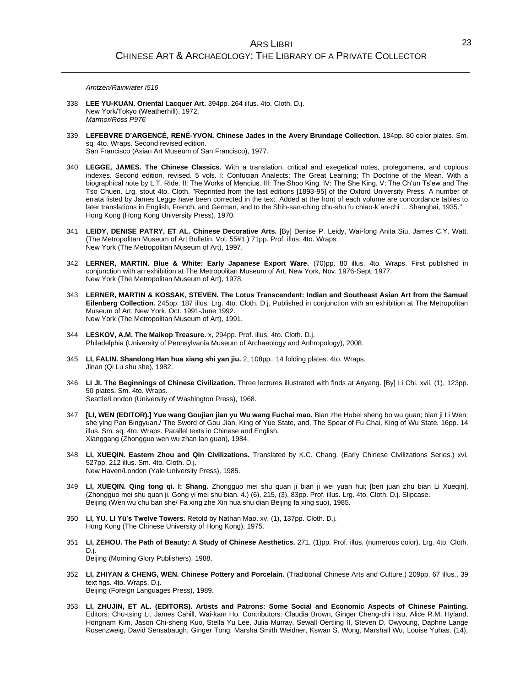*Arntzen/Rainwater I516*

- 338 **LEE YU-KUAN. Oriental Lacquer Art.** 394pp. 264 illus. 4to. Cloth. D.j. New York/Tokyo (Weatherhill), 1972. *Marmor/Ross P976*
- 339 **LEFEBVRE D'ARGENCÉ, RENÉ-YVON. Chinese Jades in the Avery Brundage Collection.** 184pp. 80 color plates. Sm. sq. 4to. Wraps. Second revised edition.

San Francisco (Asian Art Museum of San Francisco), 1977.

- 340 **LEGGE, JAMES. The Chinese Classics.** With a translation, critical and exegetical notes, prolegomena, and copious indexes. Second edition, revised. 5 vols. I: Confucian Analects; The Great Learning; Th Doctrine of the Mean. With a biographical note by L.T. Ride. II: The Works of Mencius. III: The Shoo King. IV: The She King. V: The Ch'un Ts'ew and The Tso Chuen. Lrg. stout 4to. Cloth. "Reprinted from the last editions [1893-95] of the Oxford University Press. A number of errata listed by James Legge have been corrected in the text. Added at the front of each volume are concordance tables to later translations in English, French, and German, and to the Shih-san-ching chu-shu fu chiao-k`an-chi ... Shanghai, 1935." Hong Kong (Hong Kong University Press), 1970.
- 341 **LEIDY, DENISE PATRY, ET AL. Chinese Decorative Arts.** [By] Denise P. Leidy, Wai-fong Anita Siu, James C.Y. Watt. (The Metropolitan Museum of Art Bulletin. Vol. 55#1.) 71pp. Prof. illus. 4to. Wraps. New York (The Metropolitan Museum of Art), 1997.
- 342 **LERNER, MARTIN. Blue & White: Early Japanese Export Ware.** (70)pp. 80 illus. 4to. Wraps. First published in conjunction with an exhibition at The Metropolitan Museum of Art, New York, Nov. 1976-Sept. 1977. New York (The Metropolitan Museum of Art), 1978.
- 343 **LERNER, MARTIN & KOSSAK, STEVEN. The Lotus Transcendent: Indian and Southeast Asian Art from the Samuel Eilenberg Collection.** 245pp. 187 illus. Lrg. 4to. Cloth. D.j. Published in conjunction with an exhibition at The Metropolitan Museum of Art, New York, Oct. 1991-June 1992. New York (The Metropolitan Museum of Art), 1991.
- 344 **LESKOV, A.M. The Maikop Treasure.** x, 294pp. Prof. illus. 4to. Cloth. D.j. Philadelphia (University of Pennsylvania Museum of Archaeology and Anhropology), 2008.
- 345 **LI, FALIN. Shandong Han hua xiang shi yan jiu.** 2, 108pp., 14 folding plates. 4to. Wraps. Jinan (Qi Lu shu she), 1982.
- 346 **LI JI. The Beginnings of Chinese Civilization.** Three lectures illustrated with finds at Anyang. [By] Li Chi. xvii, (1), 123pp. 50 plates. Sm. 4to. Wraps. Seattle/London (University of Washington Press), 1968.
- 347 **[LI, WEN (EDITOR).] Yue wang Goujian jian yu Wu wang Fuchai mao.** Bian zhe Hubei sheng bo wu guan; bian ji Li Wen; she ying Pan Bingyuan./ The Sword of Gou Jian, King of Yue State, and, The Spear of Fu Chai, King of Wu State. 16pp. 14 illus. Sm. sq. 4to. Wraps. Parallel texts in Chinese and English. Xianggang (Zhongguo wen wu zhan lan guan), 1984.
- 348 **LI, XUEQIN. Eastern Zhou and Qin Civilizations.** Translated by K.C. Chang. (Early Chinese Civilizations Series.) xvi, 527pp. 212 illus. Sm. 4to. Cloth. D.j. New Haven/London (Yale University Press), 1985.
- 349 **LI, XUEQIN. Qing tong qi. I: Shang.** Zhongguo mei shu quan ji bian ji wei yuan hui; [ben juan zhu bian Li Xueqin]. (Zhongguo mei shu quan ji. Gong yi mei shu bian. 4.) (6), 215, (3), 83pp. Prof. illus. Lrg. 4to. Cloth. D.j. Slipcase. Beijing (Wen wu chu ban she/ Fa xing zhe Xin hua shu dian Beijing fa xing suo), 1985.
- 350 **LI, YU. Li Yü's Twelve Towers.** Retold by Nathan Mao. xv, (1), 137pp. Cloth. D.j. Hong Kong (The Chinese University of Hong Kong), 1975.
- 351 **LI, ZEHOU. The Path of Beauty: A Study of Chinese Aesthetics.** 271, (1)pp. Prof. illus. (numerous color). Lrg. 4to. Cloth. D.j. Beijing (Morning Glory Publishers), 1988.
- 352 **LI, ZHIYAN & CHENG, WEN. Chinese Pottery and Porcelain.** (Traditional Chinese Arts and Culture.) 209pp. 67 illus., 39 text figs. 4to. Wraps. D.j. Beijing (Foreign Languages Press), 1989.
- 353 **LI, ZHUJIN, ET AL. (EDITORS). Artists and Patrons: Some Social and Economic Aspects of Chinese Painting.** Editors: Chu-tsing Li, James Cahill, Wai-kam Ho. Contributors: Claudia Brown, Ginger Cheng-chi Hsu, Alice R.M. Hyland, Hongnam Kim, Jason Chi-sheng Kuo, Stella Yu Lee, Julia Murray, Sewall Oertling II, Steven D. Owyoung, Daphne Lange Rosenzweig, David Sensabaugh, Ginger Tong, Marsha Smith Weidner, Kswan S. Wong, Marshall Wu, Louise Yuhas. (14),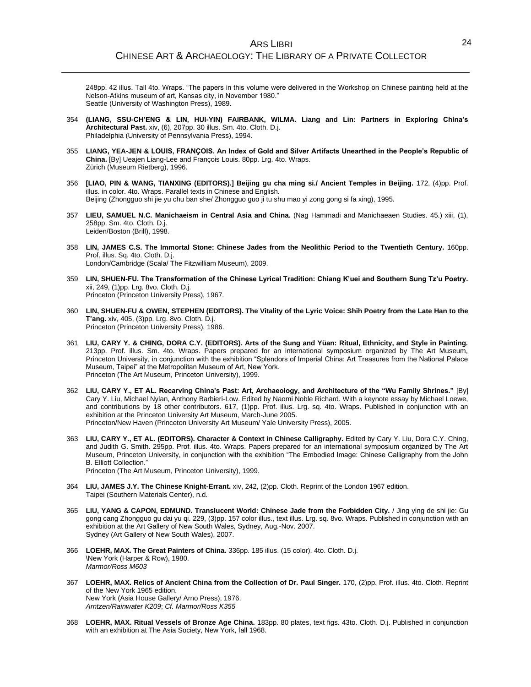248pp. 42 illus. Tall 4to. Wraps. "The papers in this volume were delivered in the Workshop on Chinese painting held at the Nelson-Atkins museum of art, Kansas city, in November 1980." Seattle (University of Washington Press), 1989.

- 354 **(LIANG, SSU-CH'ENG & LIN, HUI-YIN) FAIRBANK, WILMA. Liang and Lin: Partners in Exploring China's Architectural Past.** xiv, (6), 207pp. 30 illus. Sm. 4to. Cloth. D.j. Philadelphia (University of Pennsylvania Press), 1994.
- 355 **LIANG, YEA-JEN & LOUIS, FRANÇOIS. An Index of Gold and Silver Artifacts Unearthed in the People's Republic of China.** [By] Ueajen Liang-Lee and François Louis. 80pp. Lrg. 4to. Wraps. Zürich (Museum Rietberg), 1996.
- 356 **[LIAO, PIN & WANG, TIANXING (EDITORS).] Beijing gu cha ming si./ Ancient Temples in Beijing.** 172, (4)pp. Prof. illus. in color. 4to. Wraps. Parallel texts in Chinese and English. Beijing (Zhongguo shi jie yu chu ban she/ Zhongguo guo ji tu shu mao yi zong gong si fa xing), 1995.
- 357 **LIEU, SAMUEL N.C. Manichaeism in Central Asia and China.** (Nag Hammadi and Manichaeaen Studies. 45.) xiii, (1), 258pp. Sm. 4to. Cloth. D.j. Leiden/Boston (Brill), 1998.
- 358 **LIN, JAMES C.S. The Immortal Stone: Chinese Jades from the Neolithic Period to the Twentieth Century.** 160pp. Prof. illus. Sq. 4to. Cloth. D.j. London/Cambridge (Scala/ The Fitzwilliam Museum), 2009.
- 359 **LIN, SHUEN-FU. The Transformation of the Chinese Lyrical Tradition: Chiang K'uei and Southern Sung Tz'u Poetry.** xii, 249, (1)pp. Lrg. 8vo. Cloth. D.j. Princeton (Princeton University Press), 1967.
- 360 **LIN, SHUEN-FU & OWEN, STEPHEN (EDITORS). The Vitality of the Lyric Voice: Shih Poetry from the Late Han to the T'ang.** xiv, 405, (3)pp. Lrg. 8vo. Cloth. D.j. Princeton (Princeton University Press), 1986.
- 361 **LIU, CARY Y. & CHING, DORA C.Y. (EDITORS). Arts of the Sung and Yüan: Ritual, Ethnicity, and Style in Painting.** 213pp. Prof. illus. Sm. 4to. Wraps. Papers prepared for an international symposium organized by The Art Museum, Princeton University, in conjunction with the exhibition "Splendors of Imperial China: Art Treasures from the National Palace Museum, Taipei" at the Metropolitan Museum of Art, New York. Princeton (The Art Museum, Princeton University), 1999.
- 362 **LIU, CARY Y., ET AL. Recarving China's Past: Art, Archaeology, and Architecture of the "Wu Family Shrines."** [By] Cary Y. Liu, Michael Nylan, Anthony Barbieri-Low. Edited by Naomi Noble Richard. With a keynote essay by Michael Loewe, and contributions by 18 other contributors. 617, (1)pp. Prof. illus. Lrg. sq. 4to. Wraps. Published in conjunction with an exhibition at the Princeton University Art Museum, March-June 2005. Princeton/New Haven (Princeton University Art Museum/ Yale University Press), 2005.
- 363 **LIU, CARY Y., ET AL. (EDITORS). Character & Context in Chinese Calligraphy.** Edited by Cary Y. Liu, Dora C.Y. Ching, and Judith G. Smith. 295pp. Prof. illus. 4to. Wraps. Papers prepared for an international symposium organized by The Art Museum, Princeton University, in conjunction with the exhibition "The Embodied Image: Chinese Calligraphy from the John B. Elliott Collection." Princeton (The Art Museum, Princeton University), 1999.
- 364 **LIU, JAMES J.Y. The Chinese Knight-Errant.** xiv, 242, (2)pp. Cloth. Reprint of the London 1967 edition. Taipei (Southern Materials Center), n.d.
- 365 **LIU, YANG & CAPON, EDMUND. Translucent World: Chinese Jade from the Forbidden City.** / Jing ying de shi jie: Gu gong cang Zhongguo gu dai yu qi. 229, (3)pp. 157 color illus., text illus. Lrg. sq. 8vo. Wraps. Published in conjunction with an exhibition at the Art Gallery of New South Wales, Sydney, Aug.-Nov. 2007. Sydney (Art Gallery of New South Wales), 2007.
- 366 **LOEHR, MAX. The Great Painters of China.** 336pp. 185 illus. (15 color). 4to. Cloth. D.j. \New York (Harper & Row), 1980. *Marmor/Ross M603*
- 367 **LOEHR, MAX. Relics of Ancient China from the Collection of Dr. Paul Singer.** 170, (2)pp. Prof. illus. 4to. Cloth. Reprint of the New York 1965 edition. New York (Asia House Gallery/ Arno Press), 1976. *Arntzen/Rainwater K209*; *Cf. Marmor/Ross K355*
- 368 **LOEHR, MAX. Ritual Vessels of Bronze Age China.** 183pp. 80 plates, text figs. 43to. Cloth. D.j. Published in conjunction with an exhibition at The Asia Society, New York, fall 1968.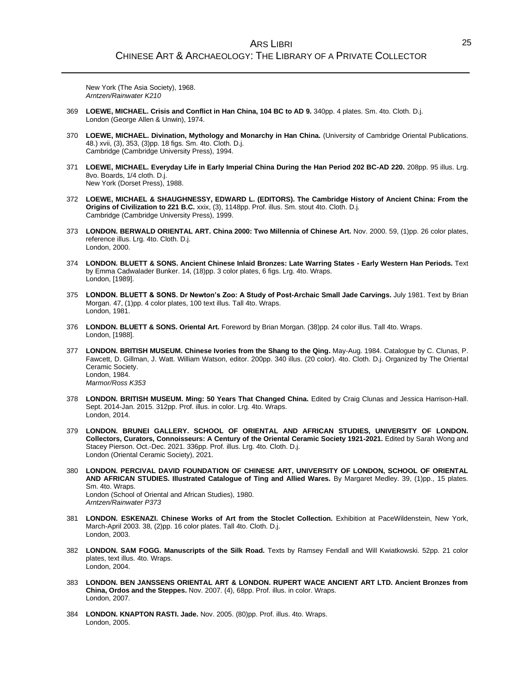New York (The Asia Society), 1968. *Arntzen/Rainwater K210*

- 369 **LOEWE, MICHAEL. Crisis and Conflict in Han China, 104 BC to AD 9.** 340pp. 4 plates. Sm. 4to. Cloth. D.j. London (George Allen & Unwin), 1974.
- 370 **LOEWE, MICHAEL. Divination, Mythology and Monarchy in Han China.** (University of Cambridge Oriental Publications. 48.) xvii, (3), 353, (3)pp. 18 figs. Sm. 4to. Cloth. D.j. Cambridge (Cambridge University Press), 1994.
- 371 **LOEWE, MICHAEL. Everyday Life in Early Imperial China During the Han Period 202 BC-AD 220.** 208pp. 95 illus. Lrg. 8vo. Boards, 1/4 cloth. D.j. New York (Dorset Press), 1988.
- 372 **LOEWE, MICHAEL & SHAUGHNESSY, EDWARD L. (EDITORS). The Cambridge History of Ancient China: From the Origins of Civilization to 221 B.C.** xxix, (3), 1148pp. Prof. illus. Sm. stout 4to. Cloth. D.j. Cambridge (Cambridge University Press), 1999.
- 373 **LONDON. BERWALD ORIENTAL ART. China 2000: Two Millennia of Chinese Art.** Nov. 2000. 59, (1)pp. 26 color plates, reference illus. Lrg. 4to. Cloth. D.j. London, 2000.
- 374 **LONDON. BLUETT & SONS. Ancient Chinese Inlaid Bronzes: Late Warring States - Early Western Han Periods.** Text by Emma Cadwalader Bunker. 14, (18)pp. 3 color plates, 6 figs. Lrg. 4to. Wraps. London, [1989].
- 375 **LONDON. BLUETT & SONS. Dr Newton's Zoo: A Study of Post-Archaic Small Jade Carvings.** July 1981. Text by Brian Morgan. 47, (1)pp. 4 color plates, 100 text illus. Tall 4to. Wraps. London, 1981.
- 376 **LONDON. BLUETT & SONS. Oriental Art.** Foreword by Brian Morgan. (38)pp. 24 color illus. Tall 4to. Wraps. London, [1988].
- 377 **LONDON. BRITISH MUSEUM. Chinese Ivories from the Shang to the Qing.** May-Aug. 1984. Catalogue by C. Clunas, P. Fawcett, D. Gillman, J. Watt. William Watson, editor. 200pp. 340 illus. (20 color). 4to. Cloth. D.j. Organized by The Oriental Ceramic Society. London, 1984. *Marmor/Ross K353*
- 378 **LONDON. BRITISH MUSEUM. Ming: 50 Years That Changed China.** Edited by Craig Clunas and Jessica Harrison-Hall. Sept. 2014-Jan. 2015. 312pp. Prof. illus. in color. Lrg. 4to. Wraps. London, 2014.
- 379 **LONDON. BRUNEI GALLERY. SCHOOL OF ORIENTAL AND AFRICAN STUDIES, UNIVERSITY OF LONDON. Collectors, Curators, Connoisseurs: A Century of the Oriental Ceramic Society 1921-2021.** Edited by Sarah Wong and Stacey Pierson. Oct.-Dec. 2021. 336pp. Prof. illus. Lrg. 4to. Cloth. D.j. London (Oriental Ceramic Society), 2021.
- 380 **LONDON. PERCIVAL DAVID FOUNDATION OF CHINESE ART, UNIVERSITY OF LONDON, SCHOOL OF ORIENTAL AND AFRICAN STUDIES. Illustrated Catalogue of Ting and Allied Wares.** By Margaret Medley. 39, (1)pp., 15 plates. Sm. 4to. Wraps. London (School of Oriental and African Studies), 1980. *Arntzen/Rainwater P373*
- 381 **LONDON. ESKENAZI. Chinese Works of Art from the Stoclet Collection.** Exhibition at PaceWildenstein, New York, March-April 2003. 38, (2)pp. 16 color plates. Tall 4to. Cloth. D.j. London, 2003.
- 382 **LONDON. SAM FOGG. Manuscripts of the Silk Road.** Texts by Ramsey Fendall and Will Kwiatkowski. 52pp. 21 color plates, text illus. 4to. Wraps. London, 2004.
- 383 **LONDON. BEN JANSSENS ORIENTAL ART & LONDON. RUPERT WACE ANCIENT ART LTD. Ancient Bronzes from China, Ordos and the Steppes.** Nov. 2007. (4), 68pp. Prof. illus. in color. Wraps. London, 2007.
- 384 **LONDON. KNAPTON RASTI. Jade.** Nov. 2005. (80)pp. Prof. illus. 4to. Wraps. London, 2005.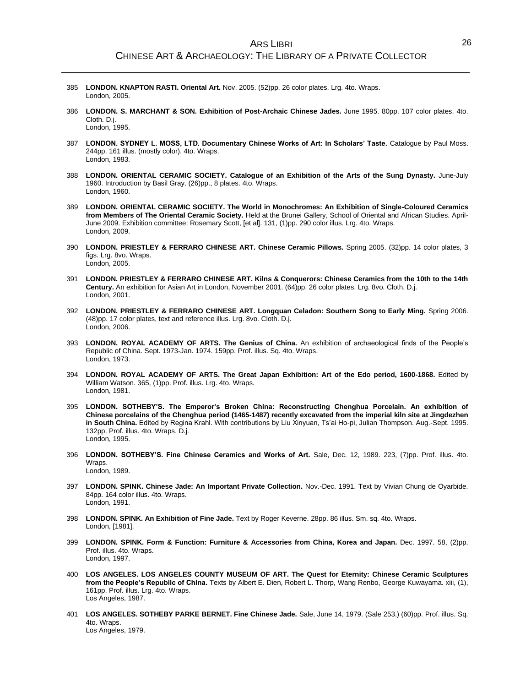- 385 **LONDON. KNAPTON RASTI. Oriental Art.** Nov. 2005. (52)pp. 26 color plates. Lrg. 4to. Wraps. London, 2005.
- 386 **LONDON. S. MARCHANT & SON. Exhibition of Post-Archaic Chinese Jades.** June 1995. 80pp. 107 color plates. 4to. Cloth. D.j. London, 1995.
- 387 **LONDON. SYDNEY L. MOSS, LTD. Documentary Chinese Works of Art: In Scholars' Taste.** Catalogue by Paul Moss. 244pp. 161 illus. (mostly color). 4to. Wraps. London, 1983.
- 388 **LONDON. ORIENTAL CERAMIC SOCIETY. Catalogue of an Exhibition of the Arts of the Sung Dynasty.** June-July 1960. Introduction by Basil Gray. (26)pp., 8 plates. 4to. Wraps. London, 1960.
- 389 **LONDON. ORIENTAL CERAMIC SOCIETY. The World in Monochromes: An Exhibition of Single-Coloured Ceramics from Members of The Oriental Ceramic Society.** Held at the Brunei Gallery, School of Oriental and African Studies. April-June 2009. Exhibition committee: Rosemary Scott, [et al]. 131, (1)pp. 290 color illus. Lrg. 4to. Wraps. London, 2009.
- 390 **LONDON. PRIESTLEY & FERRARO CHINESE ART. Chinese Ceramic Pillows.** Spring 2005. (32)pp. 14 color plates, 3 figs. Lrg. 8vo. Wraps. London, 2005.
- 391 **LONDON. PRIESTLEY & FERRARO CHINESE ART. Kilns & Conquerors: Chinese Ceramics from the 10th to the 14th Century.** An exhibition for Asian Art in London, November 2001. (64)pp. 26 color plates. Lrg. 8vo. Cloth. D.j. London, 2001.
- 392 **LONDON. PRIESTLEY & FERRARO CHINESE ART. Longquan Celadon: Southern Song to Early Ming.** Spring 2006. (48)pp. 17 color plates, text and reference illus. Lrg. 8vo. Cloth. D.j. London, 2006.
- 393 **LONDON. ROYAL ACADEMY OF ARTS. The Genius of China.** An exhibition of archaeological finds of the People's Republic of China. Sept. 1973-Jan. 1974. 159pp. Prof. illus. Sq. 4to. Wraps. London, 1973.
- 394 **LONDON. ROYAL ACADEMY OF ARTS. The Great Japan Exhibition: Art of the Edo period, 1600-1868.** Edited by William Watson. 365, (1)pp. Prof. illus. Lrg. 4to. Wraps. London, 1981.
- 395 **LONDON. SOTHEBY'S. The Emperor's Broken China: Reconstructing Chenghua Porcelain. An exhibition of Chinese porcelains of the Chenghua period (1465-1487) recently excavated from the imperial kiln site at Jingdezhen in South China.** Edited by Regina Krahl. With contributions by Liu Xinyuan, Ts'ai Ho-pi, Julian Thompson. Aug.-Sept. 1995. 132pp. Prof. illus. 4to. Wraps. D.j. London, 1995.
- 396 **LONDON. SOTHEBY'S. Fine Chinese Ceramics and Works of Art.** Sale, Dec. 12, 1989. 223, (7)pp. Prof. illus. 4to. Wraps. London, 1989.
- 397 **LONDON. SPINK. Chinese Jade: An Important Private Collection.** Nov.-Dec. 1991. Text by Vivian Chung de Oyarbide. 84pp. 164 color illus. 4to. Wraps. London, 1991.
- 398 **LONDON. SPINK. An Exhibition of Fine Jade.** Text by Roger Keverne. 28pp. 86 illus. Sm. sq. 4to. Wraps. London, [1981].
- 399 **LONDON. SPINK. Form & Function: Furniture & Accessories from China, Korea and Japan.** Dec. 1997. 58, (2)pp. Prof. illus. 4to. Wraps. London, 1997.
- 400 **LOS ANGELES. LOS ANGELES COUNTY MUSEUM OF ART. The Quest for Eternity: Chinese Ceramic Sculptures from the People's Republic of China.** Texts by Albert E. Dien, Robert L. Thorp, Wang Renbo, George Kuwayama. xiii, (1), 161pp. Prof. illus. Lrg. 4to. Wraps. Los Angeles, 1987.
- 401 **LOS ANGELES. SOTHEBY PARKE BERNET. Fine Chinese Jade.** Sale, June 14, 1979. (Sale 253.) (60)pp. Prof. illus. Sq. 4to. Wraps. Los Angeles, 1979.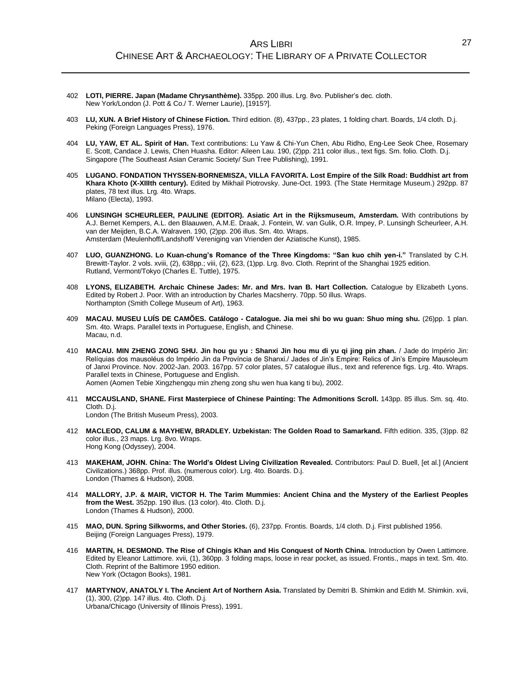- 402 **LOTI, PIERRE. Japan (Madame Chrysanthème).** 335pp. 200 illus. Lrg. 8vo. Publisher's dec. cloth. New York/London (J. Pott & Co./ T. Werner Laurie), [1915?].
- 403 **LU, XUN. A Brief History of Chinese Fiction.** Third edition. (8), 437pp., 23 plates, 1 folding chart. Boards, 1/4 cloth. D.j. Peking (Foreign Languages Press), 1976.
- 404 **LU, YAW, ET AL. Spirit of Han.** Text contributions: Lu Yaw & Chi-Yun Chen, Abu Ridho, Eng-Lee Seok Chee, Rosemary E. Scott, Candace J. Lewis, Chen Huasha. Editor: Aileen Lau. 190, (2)pp. 211 color illus., text figs. Sm. folio. Cloth. D.j. Singapore (The Southeast Asian Ceramic Society/ Sun Tree Publishing), 1991.
- 405 **LUGANO. FONDATION THYSSEN-BORNEMISZA, VILLA FAVORITA. Lost Empire of the Silk Road: Buddhist art from Khara Khoto (X-XIIIth century).** Edited by Mikhail Piotrovsky. June-Oct. 1993. (The State Hermitage Museum.) 292pp. 87 plates, 78 text illus. Lrg. 4to. Wraps. Milano (Electa), 1993.
- 406 **LUNSINGH SCHEURLEER, PAULINE (EDITOR). Asiatic Art in the Rijksmuseum, Amsterdam.** With contributions by A.J. Bernet Kempers, A.L. den Blaauwen, A.M.E. Draak, J. Fontein, W. van Gulik, O.R. Impey, P. Lunsingh Scheurleer, A.H. van der Meijden, B.C.A. Walraven. 190, (2)pp. 206 illus. Sm. 4to. Wraps. Amsterdam (Meulenhoff/Landshoff/ Vereniging van Vrienden der Aziatische Kunst), 1985.
- 407 **LUO, GUANZHONG. Lo Kuan-chung's Romance of the Three Kingdoms: "San kuo chih yen-i."** Translated by C.H. Brewitt-Taylor. 2 vols. xviii, (2), 638pp.; viii, (2), 623, (1)pp. Lrg. 8vo. Cloth. Reprint of the Shanghai 1925 edition. Rutland, Vermont/Tokyo (Charles E. Tuttle), 1975.
- 408 **LYONS, ELIZABETH. Archaic Chinese Jades: Mr. and Mrs. Ivan B. Hart Collection.** Catalogue by Elizabeth Lyons. Edited by Robert J. Poor. With an introduction by Charles Macsherry. 70pp. 50 illus. Wraps. Northampton (Smith College Museum of Art), 1963.
- 409 **MACAU. MUSEU LUÍS DE CAMÕES. Catálogo - Catalogue. Jia mei shi bo wu guan: Shuo ming shu.** (26)pp. 1 plan. Sm. 4to. Wraps. Parallel texts in Portuguese, English, and Chinese. Macau, n.d.
- 410 **MACAU. MIN ZHENG ZONG SHU. Jin hou gu yu : Shanxi Jin hou mu di yu qi jing pin zhan.** / Jade do Império Jin: Relíquias dos mausoléus do Império Jin da Província de Shanxi./ Jades of Jin's Empire: Relics of Jin's Empire Mausoleum of Janxi Province. Nov. 2002-Jan. 2003. 167pp. 57 color plates, 57 catalogue illus., text and reference figs. Lrg. 4to. Wraps. Parallel texts in Chinese, Portuguese and English. Aomen (Aomen Tebie Xingzhengqu min zheng zong shu wen hua kang ti bu), 2002.
- 411 **MCCAUSLAND, SHANE. First Masterpiece of Chinese Painting: The Admonitions Scroll.** 143pp. 85 illus. Sm. sq. 4to. Cloth. D.j. London (The British Museum Press), 2003.
- 412 **MACLEOD, CALUM & MAYHEW, BRADLEY. Uzbekistan: The Golden Road to Samarkand.** Fifth edition. 335, (3)pp. 82 color illus., 23 maps. Lrg. 8vo. Wraps. Hong Kong (Odyssey), 2004.
- 413 **MAKEHAM, JOHN. China: The World's Oldest Living Civilization Revealed.** Contributors: Paul D. Buell, [et al.] (Ancient Civilizations.) 368pp. Prof. illus. (numerous color). Lrg. 4to. Boards. D.j. London (Thames & Hudson), 2008.
- 414 **MALLORY, J.P. & MAIR, VICTOR H. The Tarim Mummies: Ancient China and the Mystery of the Earliest Peoples from the West.** 352pp. 190 illus. (13 color). 4to. Cloth. D.j. London (Thames & Hudson), 2000.
- 415 **MAO, DUN. Spring Silkworms, and Other Stories.** (6), 237pp. Frontis. Boards, 1/4 cloth. D.j. First published 1956. Beijing (Foreign Languages Press), 1979.
- 416 **MARTIN, H. DESMOND. The Rise of Chingis Khan and His Conquest of North China.** Introduction by Owen Lattimore. Edited by Eleanor Lattimore. xvii, (1), 360pp. 3 folding maps, loose in rear pocket, as issued. Frontis., maps in text. Sm. 4to. Cloth. Reprint of the Baltimore 1950 edition. New York (Octagon Books), 1981.
- 417 **MARTYNOV, ANATOLY I. The Ancient Art of Northern Asia.** Translated by Demitri B. Shimkin and Edith M. Shimkin. xvii, (1), 300, (2)pp. 147 illus. 4to. Cloth. D.j. Urbana/Chicago (University of Illinois Press), 1991.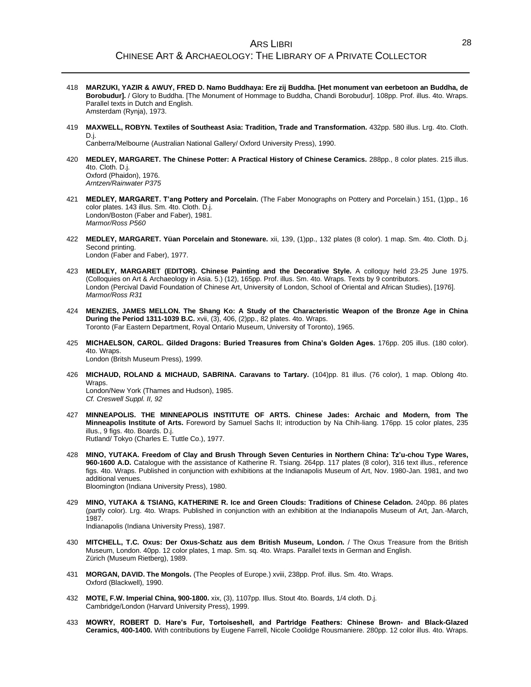- 418 **MARZUKI, YAZIR & AWUY, FRED D. Namo Buddhaya: Ere zij Buddha. [Het monument van eerbetoon an Buddha, de Borobudur].** / Glory to Buddha. [The Monument of Hommage to Buddha, Chandi Borobudur]. 108pp. Prof. illus. 4to. Wraps. Parallel texts in Dutch and English. Amsterdam (Rynja), 1973.
- 419 **MAXWELL, ROBYN. Textiles of Southeast Asia: Tradition, Trade and Transformation.** 432pp. 580 illus. Lrg. 4to. Cloth. D.j.

Canberra/Melbourne (Australian National Gallery/ Oxford University Press), 1990.

- 420 **MEDLEY, MARGARET. The Chinese Potter: A Practical History of Chinese Ceramics.** 288pp., 8 color plates. 215 illus. 4to. Cloth. D.j. Oxford (Phaidon), 1976. *Arntzen/Rainwater P375*
- 421 **MEDLEY, MARGARET. T'ang Pottery and Porcelain.** (The Faber Monographs on Pottery and Porcelain.) 151, (1)pp., 16 color plates. 143 illus. Sm. 4to. Cloth. D.j. London/Boston (Faber and Faber), 1981. *Marmor/Ross P560*
- 422 **MEDLEY, MARGARET. Yüan Porcelain and Stoneware.** xii, 139, (1)pp., 132 plates (8 color). 1 map. Sm. 4to. Cloth. D.j. Second printing. London (Faber and Faber), 1977.
- 423 **MEDLEY, MARGARET (EDITOR). Chinese Painting and the Decorative Style.** A colloquy held 23-25 June 1975. (Colloquies on Art & Archaeology in Asia. 5.) (12), 165pp. Prof. illus. Sm. 4to. Wraps. Texts by 9 contributors. London (Percival David Foundation of Chinese Art, University of London, School of Oriental and African Studies), [1976]. *Marmor/Ross R31*
- 424 **MENZIES, JAMES MELLON. The Shang Ko: A Study of the Characteristic Weapon of the Bronze Age in China During the Period 1311-1039 B.C.** xvii, (3), 406, (2)pp., 82 plates. 4to. Wraps. Toronto (Far Eastern Department, Royal Ontario Museum, University of Toronto), 1965.
- 425 **MICHAELSON, CAROL. Gilded Dragons: Buried Treasures from China's Golden Ages.** 176pp. 205 illus. (180 color). 4to. Wraps. London (Britsh Museum Press), 1999.
- 426 **MICHAUD, ROLAND & MICHAUD, SABRINA. Caravans to Tartary.** (104)pp. 81 illus. (76 color), 1 map. Oblong 4to. Wraps. London/New York (Thames and Hudson), 1985. *Cf. Creswell Suppl. II, 92*
- 427 **MINNEAPOLIS. THE MINNEAPOLIS INSTITUTE OF ARTS. Chinese Jades: Archaic and Modern, from The Minneapolis Institute of Arts.** Foreword by Samuel Sachs II; introduction by Na Chih-liang. 176pp. 15 color plates, 235 illus., 9 figs. 4to. Boards. D.j. Rutland/ Tokyo (Charles E. Tuttle Co.), 1977.
- 428 **MINO, YUTAKA. Freedom of Clay and Brush Through Seven Centuries in Northern China: Tz'u-chou Type Wares, 960-1600 A.D.** Catalogue with the assistance of Katherine R. Tsiang. 264pp. 117 plates (8 color), 316 text illus., reference figs. 4to. Wraps. Published in conjunction with exhibitions at the Indianapolis Museum of Art, Nov. 1980-Jan. 1981, and two additional venues. Bloomington (Indiana University Press), 1980.
	-
- 429 **MINO, YUTAKA & TSIANG, KATHERINE R. Ice and Green Clouds: Traditions of Chinese Celadon.** 240pp. 86 plates (partly color). Lrg. 4to. Wraps. Published in conjunction with an exhibition at the Indianapolis Museum of Art, Jan.-March, 1987. Indianapolis (Indiana University Press), 1987.
- 430 **MITCHELL, T.C. Oxus: Der Oxus-Schatz aus dem British Museum, London.** / The Oxus Treasure from the British Museum, London. 40pp. 12 color plates, 1 map. Sm. sq. 4to. Wraps. Parallel texts in German and English. Zürich (Museum Rietberg), 1989.
- 431 **MORGAN, DAVID. The Mongols.** (The Peoples of Europe.) xviii, 238pp. Prof. illus. Sm. 4to. Wraps. Oxford (Blackwell), 1990.
- 432 **MOTE, F.W. Imperial China, 900-1800.** xix, (3), 1107pp. Illus. Stout 4to. Boards, 1/4 cloth. D.j. Cambridge/London (Harvard University Press), 1999.
- 433 **MOWRY, ROBERT D. Hare's Fur, Tortoiseshell, and Partridge Feathers: Chinese Brown- and Black-Glazed Ceramics, 400-1400.** With contributions by Eugene Farrell, Nicole Coolidge Rousmaniere. 280pp. 12 color illus. 4to. Wraps.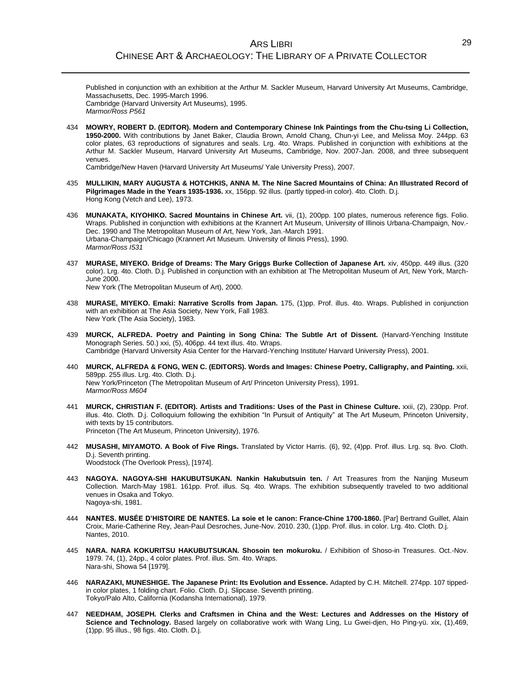Published in conjunction with an exhibition at the Arthur M. Sackler Museum, Harvard University Art Museums, Cambridge, Massachusetts, Dec. 1995-March 1996. Cambridge (Harvard University Art Museums), 1995. *Marmor/Ross P561*

434 **MOWRY, ROBERT D. (EDITOR). Modern and Contemporary Chinese Ink Paintings from the Chu-tsing Li Collection, 1950-2000.** With contributions by Janet Baker, Claudia Brown, Arnold Chang, Chun-yi Lee, and Melissa Moy. 244pp. 63 color plates, 63 reproductions of signatures and seals. Lrg. 4to. Wraps. Published in conjunction with exhibitions at the Arthur M. Sackler Museum, Harvard University Art Museums, Cambridge, Nov. 2007-Jan. 2008, and three subsequent venues.

Cambridge/New Haven (Harvard University Art Museums/ Yale University Press), 2007.

- 435 **MULLIKIN, MARY AUGUSTA & HOTCHKIS, ANNA M. The Nine Sacred Mountains of China: An Illustrated Record of Pilgrimages Made in the Years 1935-1936.** xx, 156pp. 92 illus. (partly tipped-in color). 4to. Cloth. D.j. Hong Kong (Vetch and Lee), 1973.
- 436 **MUNAKATA, KIYOHIKO. Sacred Mountains in Chinese Art.** vii, (1), 200pp. 100 plates, numerous reference figs. Folio. Wraps. Published in conjunction with exhibitions at the Krannert Art Museum, University of Illinois Urbana-Champaign, Nov.- Dec. 1990 and The Metropolitan Museum of Art, New York, Jan.-March 1991. Urbana-Champaign/Chicago (Krannert Art Museum. University of llinois Press), 1990. *Marmor/Ross I531*
- 437 **MURASE, MIYEKO. Bridge of Dreams: The Mary Griggs Burke Collection of Japanese Art.** xiv, 450pp. 449 illus. (320 color). Lrg. 4to. Cloth. D.j. Published in conjunction with an exhibition at The Metropolitan Museum of Art, New York, March-June 2000.

New York (The Metropolitan Museum of Art), 2000.

- 438 **MURASE, MIYEKO. Emaki: Narrative Scrolls from Japan.** 175, (1)pp. Prof. illus. 4to. Wraps. Published in conjunction with an exhibition at The Asia Society, New York, Fall 1983. New York (The Asia Society), 1983.
- 439 **MURCK, ALFREDA. Poetry and Painting in Song China: The Subtle Art of Dissent.** (Harvard-Yenching Institute Monograph Series. 50.) xxi, (5), 406pp. 44 text illus. 4to. Wraps. Cambridge (Harvard University Asia Center for the Harvard-Yenching Institute/ Harvard University Press), 2001.
- 440 **MURCK, ALFREDA & FONG, WEN C. (EDITORS). Words and Images: Chinese Poetry, Calligraphy, and Painting.** xxii, 589pp. 255 illus. Lrg. 4to. Cloth. D.j. New York/Princeton (The Metropolitan Museum of Art/ Princeton University Press), 1991. *Marmor/Ross M604*
- 441 **MURCK, CHRISTIAN F. (EDITOR). Artists and Traditions: Uses of the Past in Chinese Culture.** xxii, (2), 230pp. Prof. illus. 4to. Cloth. D.j. Colloquium following the exhibition "In Pursuit of Antiquity" at The Art Museum, Princeton University, with texts by 15 contributors. Princeton (The Art Museum, Princeton University), 1976.
- 442 **MUSASHI, MIYAMOTO. A Book of Five Rings.** Translated by Victor Harris. (6), 92, (4)pp. Prof. illus. Lrg. sq. 8vo. Cloth. D.j. Seventh printing. Woodstock (The Overlook Press), [1974].
- 443 **NAGOYA. NAGOYA-SHI HAKUBUTSUKAN. Nankin Hakubutsuin ten.** / Art Treasures from the Nanjing Museum Collection. March-May 1981. 161pp. Prof. illus. Sq. 4to. Wraps. The exhibition subsequently traveled to two additional venues in Osaka and Tokyo. Nagoya-shi, 1981.
- 444 **NANTES. MUSÉE D'HISTOIRE DE NANTES. La soie et le canon: France-Chine 1700-1860.** [Par] Bertrand Guillet, Alain Croix, Marie-Catherine Rey, Jean-Paul Desroches, June-Nov. 2010. 230, (1)pp. Prof. illus. in color. Lrg. 4to. Cloth. D.j. Nantes, 2010.
- 445 **NARA. NARA KOKURITSU HAKUBUTSUKAN. Shosoin ten mokuroku.** / Exhibition of Shoso-in Treasures. Oct.-Nov. 1979. 74, (1), 24pp., 4 color plates. Prof. illus. Sm. 4to. Wraps. Nara-shi, Showa 54 [1979].
- 446 **NARAZAKI, MUNESHIGE. The Japanese Print: Its Evolution and Essence.** Adapted by C.H. Mitchell. 274pp. 107 tippedin color plates, 1 folding chart. Folio. Cloth. D.j. Slipcase. Seventh printing. Tokyo/Palo Alto, California (Kodansha International), 1979.
- 447 **NEEDHAM, JOSEPH. Clerks and Craftsmen in China and the West: Lectures and Addresses on the History of Science and Technology.** Based largely on collaborative work with Wang Ling, Lu Gwei-djen, Ho Ping-yü. xix, (1),469, (1)pp. 95 illus., 98 figs. 4to. Cloth. D.j.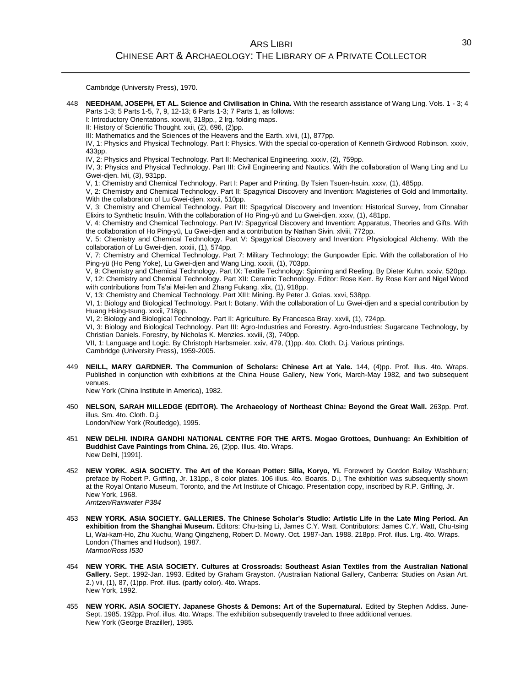Cambridge (University Press), 1970.

448 **NEEDHAM, JOSEPH, ET AL. Science and Civilisation in China.** With the research assistance of Wang Ling. Vols. 1 - 3; 4 Parts 1-3; 5 Parts 1-5, 7, 9, 12-13; 6 Parts 1-3; 7 Parts 1, as follows:

I: Introductory Orientations. xxxviii, 318pp., 2 lrg. folding maps.

II: History of Scientific Thought. xxii, (2), 696, (2)pp.

III: Mathematics and the Sciences of the Heavens and the Earth. xlvii, (1), 877pp.

IV, 1: Physics and Physical Technology. Part I: Physics. With the special co-operation of Kenneth Girdwood Robinson. xxxiv, 433pp.

IV, 2: Physics and Physical Technology. Part II: Mechanical Engineering. xxxiv, (2), 759pp.

IV, 3: Physics and Physical Technology. Part III: Civil Engineering and Nautics. With the collaboration of Wang Ling and Lu Gwei-djen. lvii, (3), 931pp.

V, 1: Chemistry and Chemical Technology. Part I: Paper and Printing. By Tsien Tsuen-hsuin. xxxv, (1), 485pp.

V, 2: Chemistry and Chemical Technology. Part II: Spagyrical Discovery and Invention: Magisteries of Gold and Immortality. With the collaboration of Lu Gwei-dien. xxxii, 510pp.

V, 3: Chemistry and Chemical Technology. Part III: Spagyrical Discovery and Invention: Historical Survey, from Cinnabar Elixirs to Synthetic Insulin. With the collaboration of Ho Ping-yü and Lu Gwei-djen. xxxv, (1), 481pp.

V, 4: Chemistry and Chemical Technology. Part IV: Spagyrical Discovery and Invention: Apparatus, Theories and Gifts. With the collaboration of Ho Ping-yü, Lu Gwei-djen and a contribution by Nathan Sivin. xlviii, 772pp.

V, 5: Chemistry and Chemical Technology. Part V: Spagyrical Discovery and Invention: Physiological Alchemy. With the collaboration of Lu Gwei-djen. xxxiii, (1), 574pp.

V, 7: Chemistry and Chemical Technology. Part 7: Military Technology; the Gunpowder Epic. With the collaboration of Ho Ping-yü (Ho Peng Yoke), Lu Gwei-djen and Wang Ling. xxxiii, (1), 703pp.

V, 9: Chemistry and Chemical Technology. Part IX: Textile Technology: Spinning and Reeling. By Dieter Kuhn. xxxiv, 520pp. V, 12: Chemistry and Chemical Technology. Part XII: Ceramic Technology. Editor: Rose Kerr. By Rose Kerr and Nigel Wood with contributions from Ts'ai Mei-fen and Zhang Fukang. xlix, (1), 918pp.

V, 13: Chemistry and Chemical Technology. Part XIII: Mining. By Peter J. Golas. xxvi, 538pp.

VI, 1: Biology and Biological Technology. Part I: Botany. With the collaboration of Lu Gwei-djen and a special contribution by Huang Hsing-tsung. xxxii, 718pp.

VI, 2: Biology and Biological Technology. Part II: Agriculture. By Francesca Bray. xxvii, (1), 724pp.

VI, 3: Biology and Biological Technology. Part III: Agro-Industries and Forestry. Agro-Industries: Sugarcane Technology, by Christian Daniels. Forestry, by Nicholas K. Menzies. xxviii, (3), 740pp.

VII, 1: Language and Logic. By Christoph Harbsmeier. xxiv, 479, (1)pp. 4to. Cloth. D.j. Various printings.

Cambridge (University Press), 1959-2005.

449 **NEILL, MARY GARDNER. The Communion of Scholars: Chinese Art at Yale.** 144, (4)pp. Prof. illus. 4to. Wraps. Published in conjunction with exhibitions at the China House Gallery, New York, March-May 1982, and two subsequent venues.

New York (China Institute in America), 1982.

450 **NELSON, SARAH MILLEDGE (EDITOR). The Archaeology of Northeast China: Beyond the Great Wall.** 263pp. Prof. illus. Sm. 4to. Cloth. D.j.

London/New York (Routledge), 1995.

- 451 **NEW DELHI. INDIRA GANDHI NATIONAL CENTRE FOR THE ARTS. Mogao Grottoes, Dunhuang: An Exhibition of Buddhist Cave Paintings from China.** 26, (2)pp. Illus. 4to. Wraps. New Delhi, [1991].
- 452 **NEW YORK. ASIA SOCIETY. The Art of the Korean Potter: Silla, Koryo, Yi.** Foreword by Gordon Bailey Washburn; preface by Robert P. Griffing, Jr. 131pp., 8 color plates. 106 illus. 4to. Boards. D.j. The exhibition was subsequently shown at the Royal Ontario Museum, Toronto, and the Art Institute of Chicago. Presentation copy, inscribed by R.P. Griffing, Jr. New York, 1968. *Arntzen/Rainwater P384*
- 453 **NEW YORK. ASIA SOCIETY. GALLERIES. The Chinese Scholar's Studio: Artistic Life in the Late Ming Period. An exhibition from the Shanghai Museum.** Editors: Chu-tsing Li, James C.Y. Watt. Contributors: James C.Y. Watt, Chu-tsing Li, Wai-kam-Ho, Zhu Xuchu, Wang Qingzheng, Robert D. Mowry. Oct. 1987-Jan. 1988. 218pp. Prof. illus. Lrg. 4to. Wraps. London (Thames and Hudson), 1987. *Marmor/Ross I530*
- 454 **NEW YORK. THE ASIA SOCIETY. Cultures at Crossroads: Southeast Asian Textiles from the Australian National Gallery.** Sept. 1992-Jan. 1993. Edited by Graham Grayston. (Australian National Gallery, Canberra: Studies on Asian Art. 2.) vii, (1), 87, (1)pp. Prof. illus. (partly color). 4to. Wraps. New York, 1992.
- 455 **NEW YORK. ASIA SOCIETY. Japanese Ghosts & Demons: Art of the Supernatural.** Edited by Stephen Addiss. June-Sept. 1985. 192pp. Prof. illus. 4to. Wraps. The exhibition subsequently traveled to three additional venues. New York (George Braziller), 1985.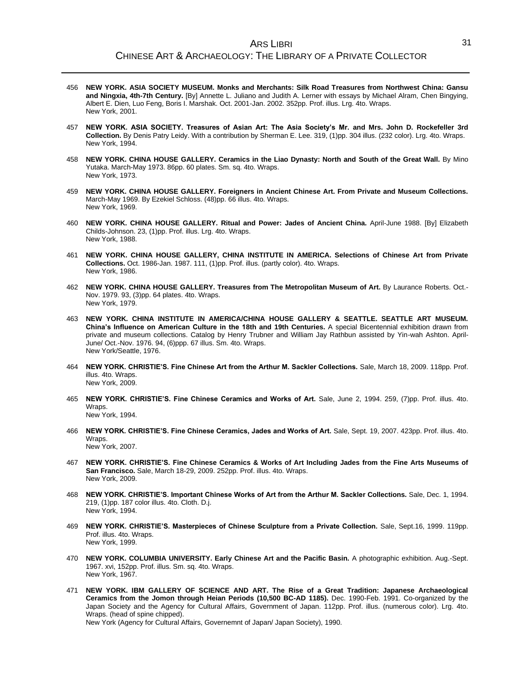- 456 **NEW YORK. ASIA SOCIETY MUSEUM. Monks and Merchants: Silk Road Treasures from Northwest China: Gansu and Ningxia, 4th-7th Century.** [By] Annette L. Juliano and Judith A. Lerner with essays by Michael Alram, Chen Bingying, Albert E. Dien, Luo Feng, Boris I. Marshak. Oct. 2001-Jan. 2002. 352pp. Prof. illus. Lrg. 4to. Wraps. New York, 2001.
- 457 **NEW YORK. ASIA SOCIETY. Treasures of Asian Art: The Asia Society's Mr. and Mrs. John D. Rockefeller 3rd Collection.** By Denis Patry Leidy. With a contribution by Sherman E. Lee. 319, (1)pp. 304 illus. (232 color). Lrg. 4to. Wraps. New York, 1994.
- 458 **NEW YORK. CHINA HOUSE GALLERY. Ceramics in the Liao Dynasty: North and South of the Great Wall.** By Mino Yutaka. March-May 1973. 86pp. 60 plates. Sm. sq. 4to. Wraps. New York, 1973.
- 459 **NEW YORK. CHINA HOUSE GALLERY. Foreigners in Ancient Chinese Art. From Private and Museum Collections.** March-May 1969. By Ezekiel Schloss. (48)pp. 66 illus. 4to. Wraps. New York, 1969.
- 460 **NEW YORK. CHINA HOUSE GALLERY. Ritual and Power: Jades of Ancient China.** April-June 1988. [By] Elizabeth Childs-Johnson. 23, (1)pp. Prof. illus. Lrg. 4to. Wraps. New York, 1988.
- 461 **NEW YORK. CHINA HOUSE GALLERY, CHINA INSTITUTE IN AMERICA. Selections of Chinese Art from Private Collections.** Oct. 1986-Jan. 1987. 111, (1)pp. Prof. illus. (partly color). 4to. Wraps. New York, 1986.
- 462 **NEW YORK. CHINA HOUSE GALLERY. Treasures from The Metropolitan Museum of Art.** By Laurance Roberts. Oct.- Nov. 1979. 93, (3)pp. 64 plates. 4to. Wraps. New York, 1979.
- 463 **NEW YORK. CHINA INSTITUTE IN AMERICA/CHINA HOUSE GALLERY & SEATTLE. SEATTLE ART MUSEUM. China's Influence on American Culture in the 18th and 19th Centuries.** A special Bicentennial exhibition drawn from private and museum collections. Catalog by Henry Trubner and William Jay Rathbun assisted by Yin-wah Ashton. April-June/ Oct.-Nov. 1976. 94, (6)ppp. 67 illus. Sm. 4to. Wraps. New York/Seattle, 1976.
- 464 **NEW YORK. CHRISTIE'S. Fine Chinese Art from the Arthur M. Sackler Collections.** Sale, March 18, 2009. 118pp. Prof. illus. 4to. Wraps. New York, 2009.
- 465 **NEW YORK. CHRISTIE'S. Fine Chinese Ceramics and Works of Art.** Sale, June 2, 1994. 259, (7)pp. Prof. illus. 4to. Wraps. New York, 1994.
- 466 **NEW YORK. CHRISTIE'S. Fine Chinese Ceramics, Jades and Works of Art.** Sale, Sept. 19, 2007. 423pp. Prof. illus. 4to. Wraps. New York, 2007.
- 467 **NEW YORK. CHRISTIE'S. Fine Chinese Ceramics & Works of Art Including Jades from the Fine Arts Museums of San Francisco.** Sale, March 18-29, 2009. 252pp. Prof. illus. 4to. Wraps. New York, 2009.
- 468 **NEW YORK. CHRISTIE'S. Important Chinese Works of Art from the Arthur M. Sackler Collections.** Sale, Dec. 1, 1994. 219, (1)pp. 187 color illus. 4to. Cloth. D.j. New York, 1994.
- 469 **NEW YORK. CHRISTIE'S. Masterpieces of Chinese Sculpture from a Private Collection.** Sale, Sept.16, 1999. 119pp. Prof. illus. 4to. Wraps. New York, 1999.
- 470 **NEW YORK. COLUMBIA UNIVERSITY. Early Chinese Art and the Pacific Basin.** A photographic exhibition. Aug.-Sept. 1967. xvi, 152pp. Prof. illus. Sm. sq. 4to. Wraps. New York, 1967.
- 471 **NEW YORK. IBM GALLERY OF SCIENCE AND ART. The Rise of a Great Tradition: Japanese Archaeological Ceramics from the Jomon through Heian Periods (10,500 BC-AD 1185).** Dec. 1990-Feb. 1991. Co-organized by the Japan Society and the Agency for Cultural Affairs, Government of Japan. 112pp. Prof. illus. (numerous color). Lrg. 4to. Wraps. (head of spine chipped).

New York (Agency for Cultural Affairs, Governemnt of Japan/ Japan Society), 1990.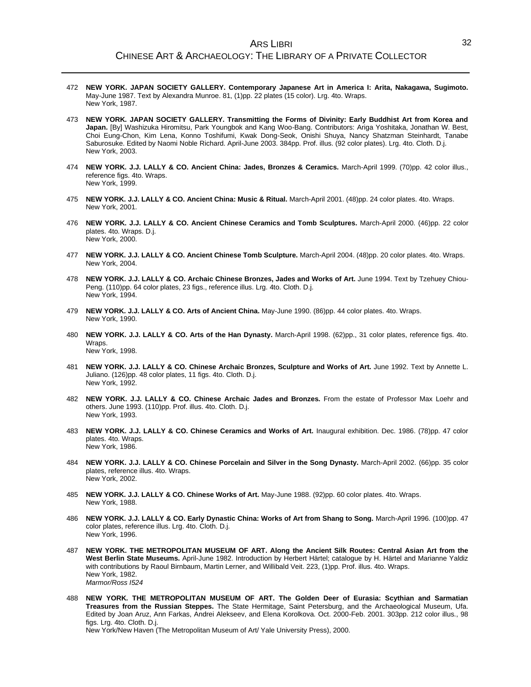## ARS LIBRI CHINESE ART & ARCHAEOLOGY: THE LIBRARY OF A PRIVATE COLLECTOR

- 472 **NEW YORK. JAPAN SOCIETY GALLERY. Contemporary Japanese Art in America I: Arita, Nakagawa, Sugimoto.** May-June 1987. Text by Alexandra Munroe. 81, (1)pp. 22 plates (15 color). Lrg. 4to. Wraps. New York, 1987.
- 473 **NEW YORK. JAPAN SOCIETY GALLERY. Transmitting the Forms of Divinity: Early Buddhist Art from Korea and Japan.** [By] Washizuka Hiromitsu, Park Youngbok and Kang Woo-Bang. Contributors: Ariga Yoshitaka, Jonathan W. Best, Choi Eung-Chon, Kim Lena, Konno Toshifumi, Kwak Dong-Seok, Onishi Shuya, Nancy Shatzman Steinhardt, Tanabe Saburosuke. Edited by Naomi Noble Richard. April-June 2003. 384pp. Prof. illus. (92 color plates). Lrg. 4to. Cloth. D.j. New York, 2003.
- 474 **NEW YORK. J.J. LALLY & CO. Ancient China: Jades, Bronzes & Ceramics.** March-April 1999. (70)pp. 42 color illus., reference figs. 4to. Wraps. New York, 1999.
- 475 **NEW YORK. J.J. LALLY & CO. Ancient China: Music & Ritual.** March-April 2001. (48)pp. 24 color plates. 4to. Wraps. New York, 2001.
- 476 **NEW YORK. J.J. LALLY & CO. Ancient Chinese Ceramics and Tomb Sculptures.** March-April 2000. (46)pp. 22 color plates. 4to. Wraps. D.j. New York, 2000.
- 477 **NEW YORK. J.J. LALLY & CO. Ancient Chinese Tomb Sculpture.** March-April 2004. (48)pp. 20 color plates. 4to. Wraps. New York, 2004.
- 478 **NEW YORK. J.J. LALLY & CO. Archaic Chinese Bronzes, Jades and Works of Art.** June 1994. Text by Tzehuey Chiou-Peng. (110)pp. 64 color plates, 23 figs., reference illus. Lrg. 4to. Cloth. D.j. New York, 1994.
- 479 **NEW YORK. J.J. LALLY & CO. Arts of Ancient China.** May-June 1990. (86)pp. 44 color plates. 4to. Wraps. New York, 1990.
- 480 **NEW YORK. J.J. LALLY & CO. Arts of the Han Dynasty.** March-April 1998. (62)pp., 31 color plates, reference figs. 4to. Wraps. New York, 1998.
- 481 **NEW YORK. J.J. LALLY & CO. Chinese Archaic Bronzes, Sculpture and Works of Art.** June 1992. Text by Annette L. Juliano. (126)pp. 48 color plates, 11 figs. 4to. Cloth. D.j. New York, 1992.
- 482 **NEW YORK. J.J. LALLY & CO. Chinese Archaic Jades and Bronzes.** From the estate of Professor Max Loehr and others. June 1993. (110)pp. Prof. illus. 4to. Cloth. D.j. New York, 1993.
- 483 **NEW YORK. J.J. LALLY & CO. Chinese Ceramics and Works of Art.** Inaugural exhibition. Dec. 1986. (78)pp. 47 color plates. 4to. Wraps. New York, 1986.
- 484 **NEW YORK. J.J. LALLY & CO. Chinese Porcelain and Silver in the Song Dynasty.** March-April 2002. (66)pp. 35 color plates, reference illus. 4to. Wraps. New York, 2002.
- 485 **NEW YORK. J.J. LALLY & CO. Chinese Works of Art.** May-June 1988. (92)pp. 60 color plates. 4to. Wraps. New York, 1988.
- 486 **NEW YORK. J.J. LALLY & CO. Early Dynastic China: Works of Art from Shang to Song.** March-April 1996. (100)pp. 47 color plates, reference illus. Lrg. 4to. Cloth. D.j. New York, 1996.
- 487 **NEW YORK. THE METROPOLITAN MUSEUM OF ART. Along the Ancient Silk Routes: Central Asian Art from the**  West Berlin State Museums. April-June 1982. Introduction by Herbert Härtel; catalogue by H. Härtel and Marianne Yaldiz with contributions by Raoul Birnbaum, Martin Lerner, and Willibald Veit. 223, (1)pp. Prof. illus. 4to. Wraps. New York, 1982. *Marmor/Ross I524*
- 488 **NEW YORK. THE METROPOLITAN MUSEUM OF ART. The Golden Deer of Eurasia: Scythian and Sarmatian Treasures from the Russian Steppes.** The State Hermitage, Saint Petersburg, and the Archaeological Museum, Ufa. Edited by Joan Aruz, Ann Farkas, Andrei Alekseev, and Elena Korolkova. Oct. 2000-Feb. 2001. 303pp. 212 color illus., 98 figs. Lrg. 4to. Cloth. D.j.

New York/New Haven (The Metropolitan Museum of Art/ Yale University Press), 2000.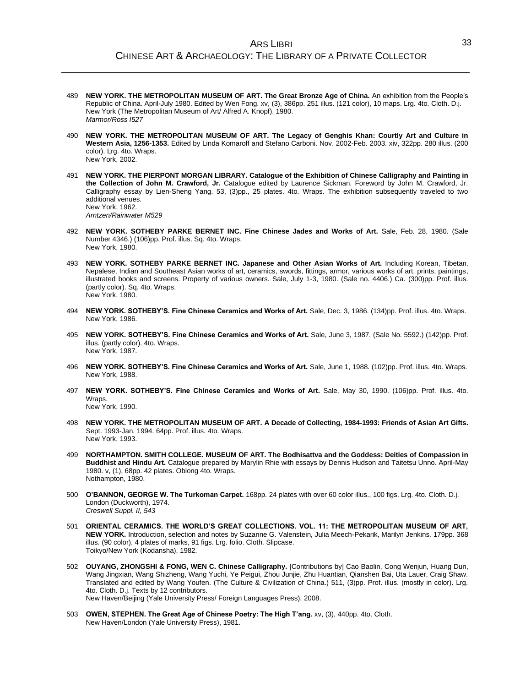- 489 **NEW YORK. THE METROPOLITAN MUSEUM OF ART. The Great Bronze Age of China.** An exhibition from the People's Republic of China. April-July 1980. Edited by Wen Fong. xv, (3), 386pp. 251 illus. (121 color), 10 maps. Lrg. 4to. Cloth. D.j. New York (The Metropolitan Museum of Art/ Alfred A. Knopf), 1980. *Marmor/Ross I527*
- 490 **NEW YORK. THE METROPOLITAN MUSEUM OF ART. The Legacy of Genghis Khan: Courtly Art and Culture in Western Asia, 1256-1353.** Edited by Linda Komaroff and Stefano Carboni. Nov. 2002-Feb. 2003. xiv, 322pp. 280 illus. (200 color). Lrg. 4to. Wraps. New York, 2002.
- 491 **NEW YORK. THE PIERPONT MORGAN LIBRARY. Catalogue of the Exhibition of Chinese Calligraphy and Painting in the Collection of John M. Crawford, Jr.** Catalogue edited by Laurence Sickman. Foreword by John M. Crawford, Jr. Calligraphy essay by Lien-Sheng Yang. 53, (3)pp., 25 plates. 4to. Wraps. The exhibition subsequently traveled to two additional venues. New York, 1962. *Arntzen/Rainwater M529*
- 492 **NEW YORK. SOTHEBY PARKE BERNET INC. Fine Chinese Jades and Works of Art.** Sale, Feb. 28, 1980. (Sale Number 4346.) (106)pp. Prof. illus. Sq. 4to. Wraps. New York, 1980.
- 493 **NEW YORK. SOTHEBY PARKE BERNET INC. Japanese and Other Asian Works of Art.** Including Korean, Tibetan, Nepalese, Indian and Southeast Asian works of art, ceramics, swords, fittings, armor, various works of art, prints, paintings, illustrated books and screens. Property of various owners. Sale, July 1-3, 1980. (Sale no. 4406.) Ca. (300)pp. Prof. illus. (partly color). Sq. 4to. Wraps. New York, 1980.
- 494 **NEW YORK. SOTHEBY'S. Fine Chinese Ceramics and Works of Art.** Sale, Dec. 3, 1986. (134)pp. Prof. illus. 4to. Wraps. New York, 1986.
- 495 **NEW YORK. SOTHEBY'S. Fine Chinese Ceramics and Works of Art.** Sale, June 3, 1987. (Sale No. 5592.) (142)pp. Prof. illus. (partly color). 4to. Wraps. New York, 1987.
- 496 **NEW YORK. SOTHEBY'S. Fine Chinese Ceramics and Works of Art.** Sale, June 1, 1988. (102)pp. Prof. illus. 4to. Wraps. New York, 1988.
- 497 **NEW YORK. SOTHEBY'S. Fine Chinese Ceramics and Works of Art.** Sale, May 30, 1990. (106)pp. Prof. illus. 4to. Wraps.

New York, 1990.

- 498 **NEW YORK. THE METROPOLITAN MUSEUM OF ART. A Decade of Collecting, 1984-1993: Friends of Asian Art Gifts.** Sept. 1993-Jan. 1994. 64pp. Prof. illus. 4to. Wraps. New York, 1993.
- 499 **NORTHAMPTON. SMITH COLLEGE. MUSEUM OF ART. The Bodhisattva and the Goddess: Deities of Compassion in Buddhist and Hindu Art.** Catalogue prepared by Marylin Rhie with essays by Dennis Hudson and Taitetsu Unno. April-May 1980. v, (1), 68pp. 42 plates. Oblong 4to. Wraps. Nothampton, 1980.
- 500 **O'BANNON, GEORGE W. The Turkoman Carpet.** 168pp. 24 plates with over 60 color illus., 100 figs. Lrg. 4to. Cloth. D.j. London (Duckworth), 1974. *Creswell Suppl. II, 543*
- 501 **ORIENTAL CERAMICS. THE WORLD'S GREAT COLLECTIONS. VOL. 11: THE METROPOLITAN MUSEUM OF ART, NEW YORK.** Introduction, selection and notes by Suzanne G. Valenstein, Julia Meech-Pekarik, Marilyn Jenkins. 179pp. 368 illus. (90 color), 4 plates of marks, 91 figs. Lrg. folio. Cloth. Slipcase. Toikyo/New York (Kodansha), 1982.
- 502 **OUYANG, ZHONGSHI & FONG, WEN C. Chinese Calligraphy.** [Contributions by] Cao Baolin, Cong Wenjun, Huang Dun, Wang Jingxian, Wang Shizheng, Wang Yuchi, Ye Peigui, Zhou Junjie, Zhu Huantian, Qianshen Bai, Uta Lauer, Craig Shaw. Translated and edited by Wang Youfen. (The Culture & Civilization of China.) 511, (3)pp. Prof. illus. (mostly in color). Lrg. 4to. Cloth. D.j. Texts by 12 contributors. New Haven/Beijing (Yale University Press/ Foreign Languages Press), 2008.
- 503 **OWEN, STEPHEN. The Great Age of Chinese Poetry: The High T'ang.** xv, (3), 440pp. 4to. Cloth. New Haven/London (Yale University Press), 1981.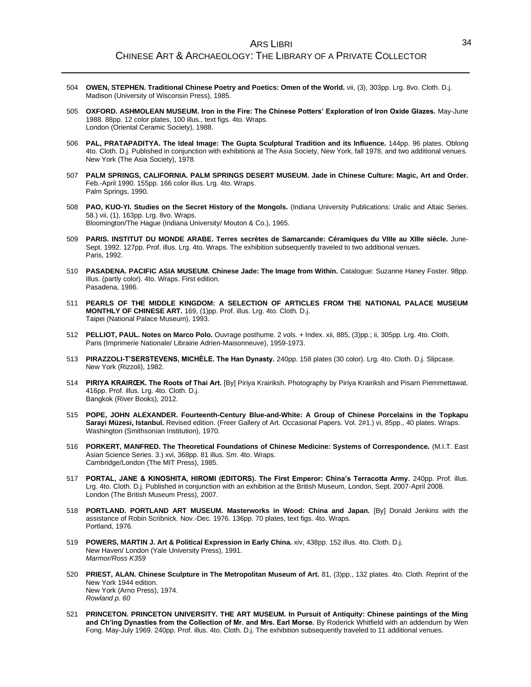- 504 **OWEN, STEPHEN. Traditional Chinese Poetry and Poetics: Omen of the World.** vii, (3), 303pp. Lrg. 8vo. Cloth. D.j. Madison (University of Wisconsin Press), 1985.
- 505 **OXFORD. ASHMOLEAN MUSEUM. Iron in the Fire: The Chinese Potters' Exploration of Iron Oxide Glazes.** May-June 1988. 88pp. 12 color plates, 100 illus., text figs. 4to. Wraps. London (Oriental Ceramic Society), 1988.
- 506 **PAL, PRATAPADITYA. The Ideal Image: The Gupta Sculptural Tradition and its Influence.** 144pp. 96 plates. Oblong 4to. Cloth. D.j. Published in conjunction with exhibitions at The Asia Society, New York, fall 1978, and two additional venues. New York (The Asia Society), 1978.
- 507 **PALM SPRINGS, CALIFORNIA. PALM SPRINGS DESERT MUSEUM. Jade in Chinese Culture: Magic, Art and Order.** Feb.-April 1990. 155pp. 166 color illus. Lrg. 4to. Wraps. Palm Springs, 1990.
- 508 **PAO, KUO-YI. Studies on the Secret History of the Mongols.** (Indiana University Publications: Uralic and Altaic Series. 58.) vii, (1), 163pp. Lrg. 8vo. Wraps. Bloomington/The Hague (Indiana University/ Mouton & Co.), 1965.
- 509 **PARIS. INSTITUT DU MONDE ARABE. Terres secrètes de Samarcande: Céramiques du VIIIe au XIIIe siècle.** June-Sept. 1992. 127pp. Prof. illus. Lrg. 4to. Wraps. The exhibition subsequently traveled to two additional venues. Paris, 1992.
- 510 **PASADENA. PACIFIC ASIA MUSEUM. Chinese Jade: The Image from Within.** Catalogue: Suzanne Haney Foster. 98pp. Illus. (partly color). 4to. Wraps. First edition. Pasadena, 1986.
- 511 **PEARLS OF THE MIDDLE KINGDOM: A SELECTION OF ARTICLES FROM THE NATIONAL PALACE MUSEUM MONTHLY OF CHINESE ART.** 169, (1)pp. Prof. illus. Lrg. 4to. Cloth. D.j. Taipei (National Palace Museum), 1993.
- 512 **PELLIOT, PAUL. Notes on Marco Polo.** Ouvrage posthume. 2 vols. + Index. xii, 885, (3)pp.; ii, 305pp. Lrg. 4to. Cloth. Paris (Imprimerie Nationale/ Librairie Adrien-Maisonneuve), 1959-1973.
- 513 **PIRAZZOLI-T'SERSTEVENS, MICHÈLE. The Han Dynasty.** 240pp. 158 plates (30 color). Lrg. 4to. Cloth. D.j. Slipcase. New York (Rizzoli), 1982.
- 514 **PIRIYA KRAIRŒK. The Roots of Thai Art.** [By] Piriya Krairiksh. Photography by Piriya Krairiksh and Pisarn Piemmettawat. 416pp. Prof. illus. Lrg. 4to. Cloth. D.j. Bangkok (River Books), 2012.
- 515 **POPE, JOHN ALEXANDER. Fourteenth-Century Blue-and-White: A Group of Chinese Porcelains in the Topkapu Sarayi Müzesi, Istanbul.** Revised edition. (Freer Gallery of Art. Occasional Papers. Vol. 2#1.) vi, 85pp., 40 plates. Wraps. Washington (Smithsonian Institution), 1970.
- 516 **PORKERT, MANFRED. The Theoretical Foundations of Chinese Medicine: Systems of Correspondence.** (M.I.T. East Asian Science Series. 3.) xvi, 368pp. 81 illus. Sm. 4to. Wraps. Cambridge/London (The MIT Press), 1985.
- 517 **PORTAL, JANE & KINOSHITA, HIROMI (EDITORS). The First Emperor: China's Terracotta Army.** 240pp. Prof. illus. Lrg. 4to. Cloth. D.j. Published in conjunction with an exhibition at the British Museum, London, Sept. 2007-April 2008. London (The British Museum Press), 2007.
- 518 **PORTLAND. PORTLAND ART MUSEUM. Masterworks in Wood: China and Japan.** [By] Donald Jenkins with the assistance of Robin Scribnick. Nov.-Dec. 1976. 136pp. 70 plates, text figs. 4to. Wraps. Portland, 1976.
- 519 **POWERS, MARTIN J. Art & Political Expression in Early China.** xiv, 438pp. 152 illus. 4to. Cloth. D.j. New Haven/ London (Yale University Press), 1991. *Marmor/Ross K359*
- 520 **PRIEST, ALAN. Chinese Sculpture in The Metropolitan Museum of Art.** 81, (3)pp., 132 plates. 4to. Cloth. Reprint of the New York 1944 edition. New York (Arno Press), 1974. *Rowland p. 60*
- 521 **PRINCETON. PRINCETON UNIVERSITY. THE ART MUSEUM. In Pursuit of Antiquity: Chinese paintings of the Ming and Ch'ing Dynasties from the Collection of Mr. and Mrs. Earl Morse.** By Roderick Whitfield with an addendum by Wen Fong. May-July 1969. 240pp. Prof. illus. 4to. Cloth. D.j. The exhibition subsequently traveled to 11 additional venues.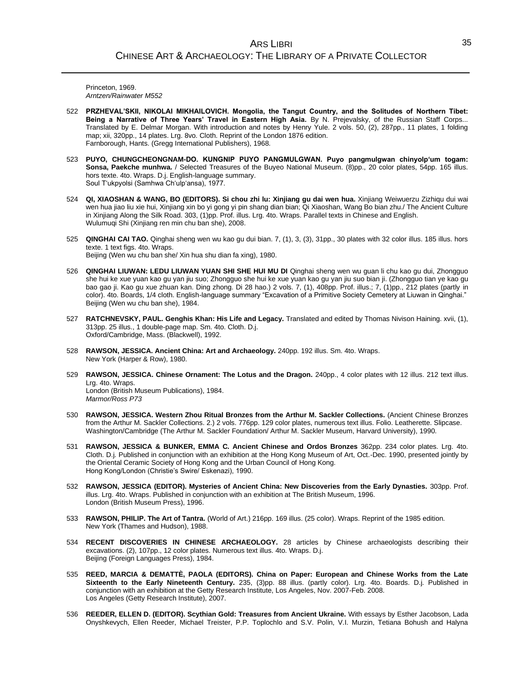Princeton, 1969. *Arntzen/Rainwater M552*

- 522 **PRZHEVAL'SKII, NIKOLAI MIKHAILOVICH. Mongolia, the Tangut Country, and the Solitudes of Northern Tibet: Being a Narrative of Three Years' Travel in Eastern High Asia.** By N. Prejevalsky, of the Russian Staff Corps... Translated by E. Delmar Morgan. With introduction and notes by Henry Yule. 2 vols. 50, (2), 287pp., 11 plates, 1 folding map; xii, 320pp., 14 plates. Lrg. 8vo. Cloth. Reprint of the London 1876 edition. Farnborough, Hants. (Gregg International Publishers), 1968.
- 523 **PUYO, CHUNGCHEONGNAM-DO. KUNGNIP PUYO PANGMULGWAN. Puyo pangmulgwan chinyolp'um togam: Sonsa, Paekche munhwa.** / Selected Treasures of the Buyeo National Museum. (8)pp., 20 color plates, 54pp. 165 illus. hors texte. 4to. Wraps. D.j. English-language summary. Soul T'ukpyolsi (Samhwa Ch'ulp'ansa), 1977.
- 524 **QI, XIAOSHAN & WANG, BO (EDITORS). Si chou zhi lu: Xinjiang gu dai wen hua.** Xinjiang Weiwuerzu Zizhiqu dui wai wen hua jiao liu xie hui, Xinjiang xin bo yi gong yi pin shang dian bian; Qi Xiaoshan, Wang Bo bian zhu./ The Ancient Culture in Xinjiang Along the Silk Road. 303, (1)pp. Prof. illus. Lrg. 4to. Wraps. Parallel texts in Chinese and English. Wulumuqi Shi (Xinjiang ren min chu ban she), 2008.
- 525 **QINGHAI CAI TAO.** Qinghai sheng wen wu kao gu dui bian. 7, (1), 3, (3), 31pp., 30 plates with 32 color illus. 185 illus. hors texte. 1 text figs. 4to. Wraps. Beijing (Wen wu chu ban she/ Xin hua shu dian fa xing), 1980.
- 526 **QINGHAI LIUWAN: LEDU LIUWAN YUAN SHI SHE HUI MU DI** Qinghai sheng wen wu guan li chu kao gu dui, Zhongguo she hui ke xue yuan kao gu yan jiu suo; Zhongguo she hui ke xue yuan kao gu yan jiu suo bian ji. (Zhongguo tian ye kao gu bao gao ji. Kao gu xue zhuan kan. Ding zhong. Di 28 hao.) 2 vols. 7, (1), 408pp. Prof. illus.; 7, (1)pp., 212 plates (partly in color). 4to. Boards, 1/4 cloth. English-language summary "Excavation of a Primitive Society Cemetery at Liuwan in Qinghai." Beijing (Wen wu chu ban she), 1984.
- 527 **RATCHNEVSKY, PAUL. Genghis Khan: His Life and Legacy.** Translated and edited by Thomas Nivison Haining. xvii, (1), 313pp. 25 illus., 1 double-page map. Sm. 4to. Cloth. D.j. Oxford/Cambridge, Mass. (Blackwell), 1992.
- 528 **RAWSON, JESSICA. Ancient China: Art and Archaeology.** 240pp. 192 illus. Sm. 4to. Wraps. New York (Harper & Row), 1980.
- 529 **RAWSON, JESSICA. Chinese Ornament: The Lotus and the Dragon.** 240pp., 4 color plates with 12 illus. 212 text illus. Lrg. 4to. Wraps. London (British Museum Publications), 1984. *Marmor/Ross P73*
- 530 **RAWSON, JESSICA. Western Zhou Ritual Bronzes from the Arthur M. Sackler Collections.** (Ancient Chinese Bronzes from the Arthur M. Sackler Collections. 2.) 2 vols. 776pp. 129 color plates, numerous text illus. Folio. Leatherette. Slipcase. Washington/Cambridge (The Arthur M. Sackler Foundation/ Arthur M. Sackler Museum, Harvard University), 1990.
- 531 **RAWSON, JESSICA & BUNKER, EMMA C. Ancient Chinese and Ordos Bronzes** 362pp. 234 color plates. Lrg. 4to. Cloth. D.j. Published in conjunction with an exhibition at the Hong Kong Museum of Art, Oct.-Dec. 1990, presented jointly by the Oriental Ceramic Society of Hong Kong and the Urban Council of Hong Kong. Hong Kong/London (Christie's Swire/ Eskenazi), 1990.
- 532 **RAWSON, JESSICA (EDITOR). Mysteries of Ancient China: New Discoveries from the Early Dynasties.** 303pp. Prof. illus. Lrg. 4to. Wraps. Published in conjunction with an exhibition at The British Museum, 1996. London (British Museum Press), 1996.
- 533 **RAWSON, PHILIP. The Art of Tantra.** (World of Art.) 216pp. 169 illus. (25 color). Wraps. Reprint of the 1985 edition. New York (Thames and Hudson), 1988.
- 534 **RECENT DISCOVERIES IN CHINESE ARCHAEOLOGY.** 28 articles by Chinese archaeologists describing their excavations. (2), 107pp., 12 color plates. Numerous text illus. 4to. Wraps. D.j. Beijing (Foreign Languages Press), 1984.
- 535 **REED, MARCIA & DEMATTÈ, PAOLA (EDITORS). China on Paper: European and Chinese Works from the Late Sixteenth to the Early Nineteenth Century.** 235, (3)pp. 88 illus. (partly color). Lrg. 4to. Boards. D.j. Published in conjunction with an exhibition at the Getty Research Institute, Los Angeles, Nov. 2007-Feb. 2008. Los Angeles (Getty Research Institute), 2007.
- 536 **REEDER, ELLEN D. (EDITOR). Scythian Gold: Treasures from Ancient Ukraine.** With essays by Esther Jacobson, Lada Onyshkevych, Ellen Reeder, Michael Treister, P.P. Toplochlo and S.V. Polin, V.I. Murzin, Tetiana Bohush and Halyna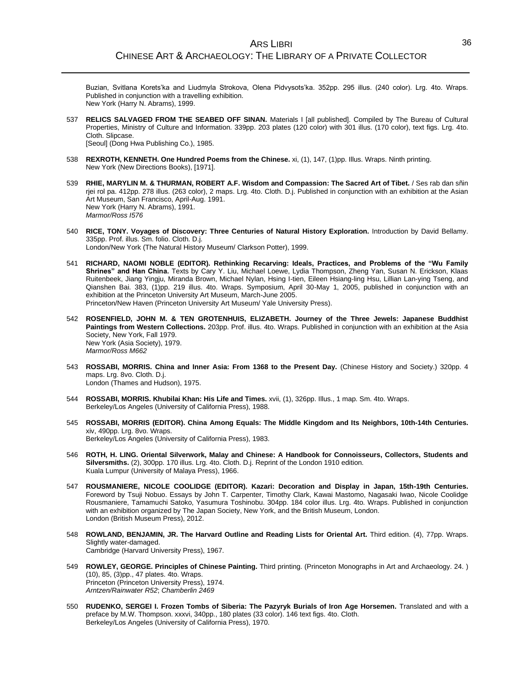Buzian, Svitlana Korets'ka and Liudmyla Strokova, Olena Pidvysots'ka. 352pp. 295 illus. (240 color). Lrg. 4to. Wraps. Published in conjunction with a travelling exhibition. New York (Harry N. Abrams), 1999.

- 537 **RELICS SALVAGED FROM THE SEABED OFF SINAN.** Materials I [all published]. Compiled by The Bureau of Cultural Properties, Ministry of Culture and Information. 339pp. 203 plates (120 color) with 301 illus. (170 color), text figs. Lrg. 4to. Cloth. Slipcase. [Seoul] (Dong Hwa Publishing Co.), 1985.
- 538 **REXROTH, KENNETH. One Hundred Poems from the Chinese.** xi, (1), 147, (1)pp. Illus. Wraps. Ninth printing. New York (New Directions Books), [1971].
- 539 **RHIE, MARYLIN M. & THURMAN, ROBERT A.F. Wisdom and Compassion: The Sacred Art of Tibet.** / Ses rab dan sñin rjei rol pa. 412pp. 278 illus. (263 color), 2 maps. Lrg. 4to. Cloth. D.j. Published in conjunction with an exhibition at the Asian Art Museum, San Francisco, April-Aug. 1991. New York (Harry N. Abrams), 1991. *Marmor/Ross I576*
- 540 **RICE, TONY. Voyages of Discovery: Three Centuries of Natural History Exploration.** Introduction by David Bellamy. 335pp. Prof. illus. Sm. folio. Cloth. D.j. London/New York (The Natural History Museum/ Clarkson Potter), 1999.
- 541 **RICHARD, NAOMI NOBLE (EDITOR). Rethinking Recarving: Ideals, Practices, and Problems of the "Wu Family Shrines" and Han China.** Texts by Cary Y. Liu, Michael Loewe, Lydia Thompson, Zheng Yan, Susan N. Erickson, Klaas Ruitenbeek, Jiang Yingju, Miranda Brown, Michael Nylan, Hsing I-tien, Eileen Hsiang-ling Hsu, Lillian Lan-ying Tseng, and Qianshen Bai. 383, (1)pp. 219 illus. 4to. Wraps. Symposium, April 30-May 1, 2005, published in conjunction with an exhibition at the Princeton University Art Museum, March-June 2005. Princeton/New Haven (Princeton University Art Museum/ Yale University Press).
- 542 **ROSENFIELD, JOHN M. & TEN GROTENHUIS, ELIZABETH. Journey of the Three Jewels: Japanese Buddhist Paintings from Western Collections.** 203pp. Prof. illus. 4to. Wraps. Published in conjunction with an exhibition at the Asia Society, New York, Fall 1979. New York (Asia Society), 1979. *Marmor/Ross M662*
- 543 **ROSSABI, MORRIS. China and Inner Asia: From 1368 to the Present Day.** (Chinese History and Society.) 320pp. 4 maps. Lrg. 8vo. Cloth. D.j. London (Thames and Hudson), 1975.
- 544 **ROSSABI, MORRIS. Khubilai Khan: His Life and Times.** xvii, (1), 326pp. Illus., 1 map. Sm. 4to. Wraps. Berkeley/Los Angeles (University of California Press), 1988.
- 545 **ROSSABI, MORRIS (EDITOR). China Among Equals: The Middle Kingdom and Its Neighbors, 10th-14th Centuries.** xiv, 490pp. Lrg. 8vo. Wraps. Berkeley/Los Angeles (University of California Press), 1983.
- 546 **ROTH, H. LING. Oriental Silverwork, Malay and Chinese: A Handbook for Connoisseurs, Collectors, Students and Silversmiths.** (2), 300pp. 170 illus. Lrg. 4to. Cloth. D.j. Reprint of the London 1910 edition. Kuala Lumpur (University of Malaya Press), 1966.
- 547 **ROUSMANIERE, NICOLE COOLIDGE (EDITOR). Kazari: Decoration and Display in Japan, 15th-19th Centuries.** Foreword by Tsuji Nobuo. Essays by John T. Carpenter, Timothy Clark, Kawai Mastomo, Nagasaki Iwao, Nicole Coolidge Rousmaniere, Tamamuchi Satoko, Yasumura Toshinobu. 304pp. 184 color illus. Lrg. 4to. Wraps. Published in conjunction with an exhibition organized by The Japan Society, New York, and the British Museum, London. London (British Museum Press), 2012.
- 548 **ROWLAND, BENJAMIN, JR. The Harvard Outline and Reading Lists for Oriental Art.** Third edition. (4), 77pp. Wraps. Slightly water-damaged. Cambridge (Harvard University Press), 1967.
- 549 **ROWLEY, GEORGE. Principles of Chinese Painting.** Third printing. (Princeton Monographs in Art and Archaeology. 24. ) (10), 85, (3)pp., 47 plates. 4to. Wraps. Princeton (Princeton University Press), 1974. *Arntzen/Rainwater R52*; *Chamberlin 2469*
- 550 **RUDENKO, SERGEI I. Frozen Tombs of Siberia: The Pazyryk Burials of Iron Age Horsemen.** Translated and with a preface by M.W. Thompson. xxxvi, 340pp., 180 plates (33 color). 146 text figs. 4to. Cloth. Berkeley/Los Angeles (University of California Press), 1970.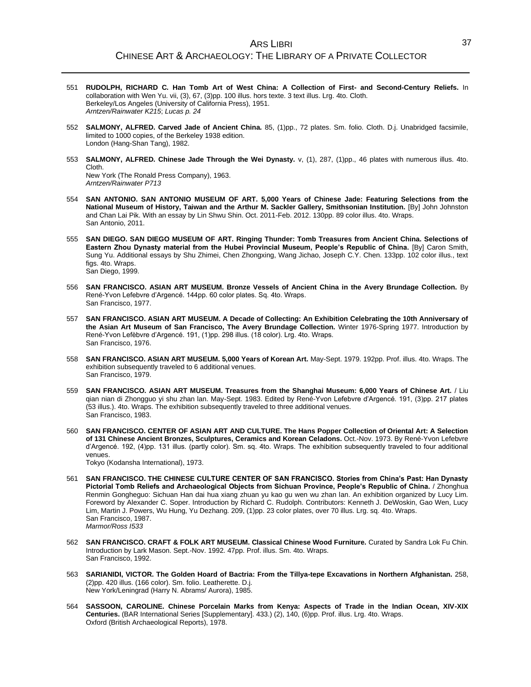- 551 **RUDOLPH, RICHARD C. Han Tomb Art of West China: A Collection of First- and Second-Century Reliefs.** In collaboration with Wen Yu. vii, (3), 67, (3)pp. 100 illus. hors texte. 3 text illus. Lrg. 4to. Cloth. Berkeley/Los Angeles (University of California Press), 1951. *Arntzen/Rainwater K215*; *Lucas p. 24*
- 552 **SALMONY, ALFRED. Carved Jade of Ancient China.** 85, (1)pp., 72 plates. Sm. folio. Cloth. D.j. Unabridged facsimile, limited to 1000 copies, of the Berkeley 1938 edition. London (Hang-Shan Tang), 1982.
- 553 **SALMONY, ALFRED. Chinese Jade Through the Wei Dynasty.** v, (1), 287, (1)pp., 46 plates with numerous illus. 4to. Cloth. New York (The Ronald Press Company), 1963.

*Arntzen/Rainwater P713*

- 554 **SAN ANTONIO. SAN ANTONIO MUSEUM OF ART. 5,000 Years of Chinese Jade: Featuring Selections from the National Museum of History, Taiwan and the Arthur M. Sackler Gallery, Smithsonian Institution.** [By] John Johnston and Chan Lai Pik. With an essay by Lin Shwu Shin. Oct. 2011-Feb. 2012. 130pp. 89 color illus. 4to. Wraps. San Antonio, 2011.
- 555 **SAN DIEGO. SAN DIEGO MUSEUM OF ART. Ringing Thunder: Tomb Treasures from Ancient China. Selections of Eastern Zhou Dynasty material from the Hubei Provincial Museum, People's Republic of China.** [By] Caron Smith, Sung Yu. Additional essays by Shu Zhimei, Chen Zhongxing, Wang Jichao, Joseph C.Y. Chen. 133pp. 102 color illus., text figs. 4to. Wraps. San Diego, 1999.
- 556 **SAN FRANCISCO. ASIAN ART MUSEUM. Bronze Vessels of Ancient China in the Avery Brundage Collection.** By René-Yvon Lefebvre d'Argencé. 144pp. 60 color plates. Sq. 4to. Wraps. San Francisco, 1977.
- 557 **SAN FRANCISCO. ASIAN ART MUSEUM. A Decade of Collecting: An Exhibition Celebrating the 10th Anniversary of the Asian Art Museum of San Francisco, The Avery Brundage Collection.** Winter 1976-Spring 1977. Introduction by René-Yvon Lefèbvre d'Argencé. 191, (1)pp. 298 illus. (18 color). Lrg. 4to. Wraps. San Francisco, 1976.
- 558 **SAN FRANCISCO. ASIAN ART MUSEUM. 5,000 Years of Korean Art.** May-Sept. 1979. 192pp. Prof. illus. 4to. Wraps. The exhibition subsequently traveled to 6 additional venues. San Francisco, 1979.
- 559 **SAN FRANCISCO. ASIAN ART MUSEUM. Treasures from the Shanghai Museum: 6,000 Years of Chinese Art.** / Liu qian nian di Zhongguo yi shu zhan lan. May-Sept. 1983. Edited by René-Yvon Lefebvre d'Argencé. 191, (3)pp. 217 plates (53 illus.). 4to. Wraps. The exhibition subsequently traveled to three additional venues. San Francisco, 1983.
- 560 **SAN FRANCISCO. CENTER OF ASIAN ART AND CULTURE. The Hans Popper Collection of Oriental Art: A Selection of 131 Chinese Ancient Bronzes, Sculptures, Ceramics and Korean Celadons.** Oct.-Nov. 1973. By René-Yvon Lefebvre d'Argencé. 192, (4)pp. 131 illus. (partly color). Sm. sq. 4to. Wraps. The exhibition subsequently traveled to four additional venues.

Tokyo (Kodansha International), 1973.

- 561 **SAN FRANCISCO. THE CHINESE CULTURE CENTER OF SAN FRANCISCO. Stories from China's Past: Han Dynasty Pictorial Tomb Reliefs and Archaeological Objects from Sichuan Province, People's Republic of China.** / Zhonghua Renmin Gongheguo: Sichuan Han dai hua xiang zhuan yu kao gu wen wu zhan lan. An exhibition organized by Lucy Lim. Foreword by Alexander C. Soper. Introduction by Richard C. Rudolph. Contributors: Kenneth J. DeWoskin, Gao Wen, Lucy Lim, Martin J. Powers, Wu Hung, Yu Dezhang. 209, (1)pp. 23 color plates, over 70 illus. Lrg. sq. 4to. Wraps. San Francisco, 1987. *Marmor/Ross I533*
- 562 **SAN FRANCISCO. CRAFT & FOLK ART MUSEUM. Classical Chinese Wood Furniture.** Curated by Sandra Lok Fu Chin. Introduction by Lark Mason. Sept.-Nov. 1992. 47pp. Prof. illus. Sm. 4to. Wraps. San Francisco, 1992.
- 563 **SARIANIDI, VICTOR. The Golden Hoard of Bactria: From the Tillya-tepe Excavations in Northern Afghanistan.** 258, (2)pp. 420 illus. (166 color). Sm. folio. Leatherette. D.j. New York/Leningrad (Harry N. Abrams/ Aurora), 1985.
- 564 **SASSOON, CAROLINE. Chinese Porcelain Marks from Kenya: Aspects of Trade in the Indian Ocean, XIV-XIX Centuries.** (BAR International Series [Supplementary]. 433.) (2), 140, (6)pp. Prof. illus. Lrg. 4to. Wraps. Oxford (British Archaeological Reports), 1978.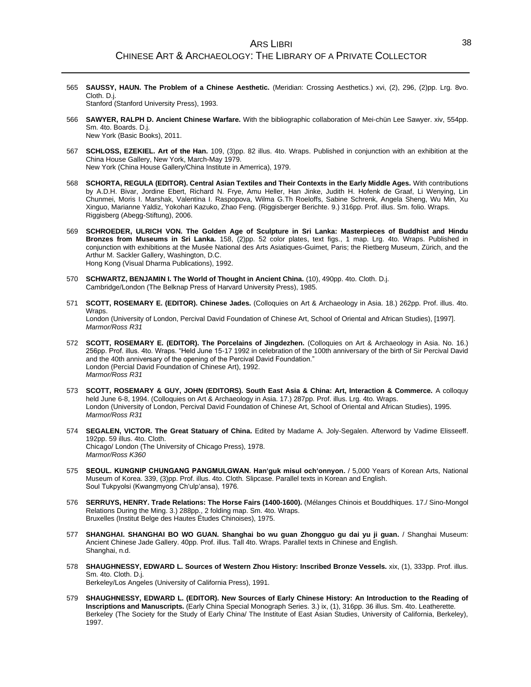565 **SAUSSY, HAUN. The Problem of a Chinese Aesthetic.** (Meridian: Crossing Aesthetics.) xvi, (2), 296, (2)pp. Lrg. 8vo. Cloth. D.j.

Stanford (Stanford University Press), 1993.

- 566 **SAWYER, RALPH D. Ancient Chinese Warfare.** With the bibliographic collaboration of Mei-chün Lee Sawyer. xiv, 554pp. Sm. 4to. Boards. D.j. New York (Basic Books), 2011.
- 567 **SCHLOSS, EZEKIEL. Art of the Han.** 109, (3)pp. 82 illus. 4to. Wraps. Published in conjunction with an exhibition at the China House Gallery, New York, March-May 1979. New York (China House Gallery/China Institute in Amerrica), 1979.
- 568 **SCHORTA, REGULA (EDITOR). Central Asian Textiles and Their Contexts in the Early Middle Ages.** With contributions by A.D.H. Bivar, Jordine Ebert, Richard N. Frye, Amu Heller, Han Jinke, Judith H. Hofenk de Graaf, Li Wenying, Lin Chunmei, Moris I. Marshak, Valentina I. Raspopova, Wilma G.Th Roeloffs, Sabine Schrenk, Angela Sheng, Wu Min, Xu Xinguo, Marianne Yaldiz, Yokohari Kazuko, Zhao Feng. (Riggisberger Berichte. 9.) 316pp. Prof. illus. Sm. folio. Wraps. Riggisberg (Abegg-Stiftung), 2006.
- 569 **SCHROEDER, ULRICH VON. The Golden Age of Sculpture in Sri Lanka: Masterpieces of Buddhist and Hindu Bronzes from Museums in Sri Lanka.** 158, (2)pp. 52 color plates, text figs., 1 map. Lrg. 4to. Wraps. Published in conjunction with exhibitions at the Musée National des Arts Asiatiques-Guimet, Paris; the Rietberg Museum, Zürich, and the Arthur M. Sackler Gallery, Washington, D.C. Hong Kong (Visual Dharma Publications), 1992.
- 570 **SCHWARTZ, BENJAMIN I. The World of Thought in Ancient China.** (10), 490pp. 4to. Cloth. D.j. Cambridge/London (The Belknap Press of Harvard University Press), 1985.
- 571 **SCOTT, ROSEMARY E. (EDITOR). Chinese Jades.** (Colloquies on Art & Archaeology in Asia. 18.) 262pp. Prof. illus. 4to. Wraps. London (University of London, Percival David Foundation of Chinese Art, School of Oriental and African Studies), [1997]. *Marmor/Ross R31*
- 572 **SCOTT, ROSEMARY E. (EDITOR). The Porcelains of Jingdezhen.** (Colloquies on Art & Archaeology in Asia. No. 16.) 256pp. Prof. illus. 4to. Wraps. "Held June 15-17 1992 in celebration of the 100th anniversary of the birth of Sir Percival David and the 40th anniversary of the opening of the Percival David Foundation." London (Percial David Foundation of Chinese Art), 1992. *Marmor/Ross R31*
- 573 **SCOTT, ROSEMARY & GUY, JOHN (EDITORS). South East Asia & China: Art, Interaction & Commerce.** A colloquy held June 6-8, 1994. (Colloquies on Art & Archaeology in Asia. 17.) 287pp. Prof. illus. Lrg. 4to. Wraps. London (University of London, Percival David Foundation of Chinese Art, School of Oriental and African Studies), 1995. *Marmor/Ross R31*
- 574 **SEGALEN, VICTOR. The Great Statuary of China.** Edited by Madame A. Joly-Segalen. Afterword by Vadime Elisseeff. 192pp. 59 illus. 4to. Cloth. Chicago/ London (The University of Chicago Press), 1978. *Marmor/Ross K360*
- 575 **SEOUL. KUNGNIP CHUNGANG PANGMULGWAN. Han'guk misul och'onnyon.** / 5,000 Years of Korean Arts, National Museum of Korea. 339, (3)pp. Prof. illus. 4to. Cloth. Slipcase. Parallel texts in Korean and English. Soul Tukpyolsi (Kwangmyong Ch'ulp'ansa), 1976.
- 576 **SERRUYS, HENRY. Trade Relations: The Horse Fairs (1400-1600).** (Mélanges Chinois et Bouddhiques. 17./ Sino-Mongol Relations During the Ming. 3.) 288pp., 2 folding map. Sm. 4to. Wraps. Bruxelles (Institut Belge des Hautes Études Chinoises), 1975.
- 577 **SHANGHAI. SHANGHAI BO WO GUAN. Shanghai bo wu guan Zhongguo gu dai yu ji guan.** / Shanghai Museum: Ancient Chinese Jade Gallery. 40pp. Prof. illus. Tall 4to. Wraps. Parallel texts in Chinese and English. Shanghai, n.d.
- 578 **SHAUGHNESSY, EDWARD L. Sources of Western Zhou History: Inscribed Bronze Vessels.** xix, (1), 333pp. Prof. illus. Sm. 4to. Cloth. D.j. Berkeley/Los Angeles (University of California Press), 1991.
- 579 **SHAUGHNESSY, EDWARD L. (EDITOR). New Sources of Early Chinese History: An Introduction to the Reading of Inscriptions and Manuscripts.** (Early China Special Monograph Series. 3.) ix, (1), 316pp. 36 illus. Sm. 4to. Leatherette. Berkeley (The Society for the Study of Early China/ The Institute of East Asian Studies, University of California, Berkeley),

1997.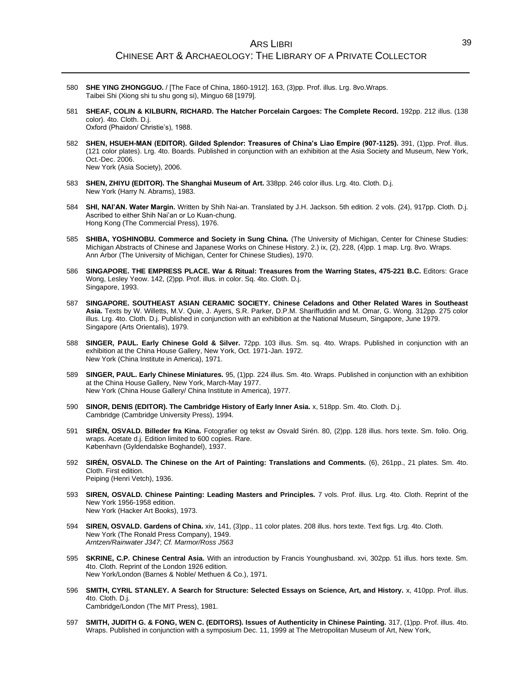- 580 **SHE YING ZHONGGUO.** / [The Face of China, 1860-1912]. 163, (3)pp. Prof. illus. Lrg. 8vo.Wraps. Taibei Shi (Xiong shi tu shu gong si), Minguo 68 [1979].
- 581 **SHEAF, COLIN & KILBURN, RICHARD. The Hatcher Porcelain Cargoes: The Complete Record.** 192pp. 212 illus. (138 color). 4to. Cloth. D.j. Oxford (Phaidon/ Christie's), 1988.
- 582 **SHEN, HSUEH-MAN (EDITOR). Gilded Splendor: Treasures of China's Liao Empire (907-1125).** 391, (1)pp. Prof. illus. (121 color plates). Lrg. 4to. Boards. Published in conjunction with an exhibition at the Asia Society and Museum, New York, Oct.-Dec. 2006. New York (Asia Society), 2006.
- 583 **SHEN, ZHIYU (EDITOR). The Shanghai Museum of Art.** 338pp. 246 color illus. Lrg. 4to. Cloth. D.j. New York (Harry N. Abrams), 1983.
- 584 **SHI, NAI'AN. Water Margin.** Written by Shih Nai-an. Translated by J.H. Jackson. 5th edition. 2 vols. (24), 917pp. Cloth. D.j. Ascribed to either Shih Nai'an or Lo Kuan-chung. Hong Kong (The Commercial Press), 1976.
- 585 **SHIBA, YOSHINOBU. Commerce and Society in Sung China.** (The University of Michigan, Center for Chinese Studies: Michigan Abstracts of Chinese and Japanese Works on Chinese History. 2.) ix, (2), 228, (4)pp. 1 map. Lrg. 8vo. Wraps. Ann Arbor (The University of Michigan, Center for Chinese Studies), 1970.
- 586 **SINGAPORE. THE EMPRESS PLACE. War & Ritual: Treasures from the Warring States, 475-221 B.C.** Editors: Grace Wong, Lesley Yeow. 142, (2)pp. Prof. illus. in color. Sq. 4to. Cloth. D.j. Singapore, 1993.
- 587 **SINGAPORE. SOUTHEAST ASIAN CERAMIC SOCIETY. Chinese Celadons and Other Related Wares in Southeast Asia.** Texts by W. Willetts, M.V. Quie, J. Ayers, S.R. Parker, D.P.M. Shariffuddin and M. Omar, G. Wong. 312pp. 275 color illus. Lrg. 4to. Cloth. D.j. Published in conjunction with an exhibition at the National Museum, Singapore, June 1979. Singapore (Arts Orientalis), 1979.
- 588 **SINGER, PAUL. Early Chinese Gold & Silver.** 72pp. 103 illus. Sm. sq. 4to. Wraps. Published in conjunction with an exhibition at the China House Gallery, New York, Oct. 1971-Jan. 1972. New York (China Institute in America), 1971.
- 589 **SINGER, PAUL. Early Chinese Miniatures.** 95, (1)pp. 224 illus. Sm. 4to. Wraps. Published in conjunction with an exhibition at the China House Gallery, New York, March-May 1977. New York (China House Gallery/ China Institute in America), 1977.
- 590 **SINOR, DENIS (EDITOR). The Cambridge History of Early Inner Asia.** x, 518pp. Sm. 4to. Cloth. D.j. Cambridge (Cambridge University Press), 1994.
- 591 **SIRÉN, OSVALD. Billeder fra Kina.** Fotografier og tekst av Osvald Sirén. 80, (2)pp. 128 illus. hors texte. Sm. folio. Orig. wraps. Acetate d.j. Edition limited to 600 copies. Rare. København (Gyldendalske Boghandel), 1937.
- 592 **SIRÉN, OSVALD. The Chinese on the Art of Painting: Translations and Comments.** (6), 261pp., 21 plates. Sm. 4to. Cloth. First edition. Peiping (Henri Vetch), 1936.
- 593 **SIREN, OSVALD. Chinese Painting: Leading Masters and Principles.** 7 vols. Prof. illus. Lrg. 4to. Cloth. Reprint of the New York 1956-1958 edition. New York (Hacker Art Books), 1973.
- 594 **SIREN, OSVALD. Gardens of China.** xiv, 141, (3)pp., 11 color plates. 208 illus. hors texte. Text figs. Lrg. 4to. Cloth. New York (The Ronald Press Company), 1949. *Arntzen/Rainwater J347*; *Cf. Marmor/Ross J563*
- 595 **SKRINE, C.P. Chinese Central Asia.** With an introduction by Francis Younghusband. xvi, 302pp. 51 illus. hors texte. Sm. 4to. Cloth. Reprint of the London 1926 edition. New York/London (Barnes & Noble/ Methuen & Co.), 1971.
- 596 **SMITH, CYRIL STANLEY. A Search for Structure: Selected Essays on Science, Art, and History.** x, 410pp. Prof. illus. 4to. Cloth. D.j. Cambridge/London (The MIT Press), 1981.
- 597 **SMITH, JUDITH G. & FONG, WEN C. (EDITORS). Issues of Authenticity in Chinese Painting.** 317, (1)pp. Prof. illus. 4to. Wraps. Published in conjunction with a symposium Dec. 11, 1999 at The Metropolitan Museum of Art, New York,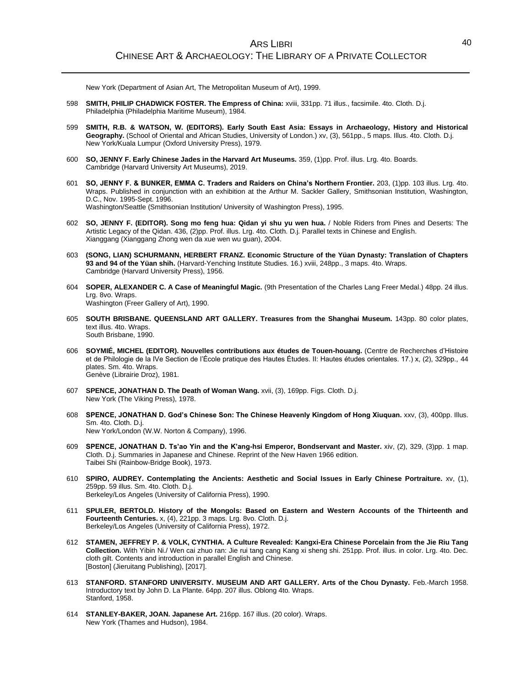New York (Department of Asian Art, The Metropolitan Museum of Art), 1999.

- 598 **SMITH, PHILIP CHADWICK FOSTER. The Empress of China:** xviii, 331pp. 71 illus., facsimile. 4to. Cloth. D.j. Philadelphia (Philadelphia Maritime Museum), 1984.
- 599 **SMITH, R.B. & WATSON, W. (EDITORS). Early South East Asia: Essays in Archaeology, History and Historical Geography.** (School of Oriental and African Studies, University of London.) xv, (3), 561pp., 5 maps. Illus. 4to. Cloth. D.j. New York/Kuala Lumpur (Oxford University Press), 1979.
- 600 **SO, JENNY F. Early Chinese Jades in the Harvard Art Museums.** 359, (1)pp. Prof. illus. Lrg. 4to. Boards. Cambridge (Harvard University Art Museums), 2019.
- 601 **SO, JENNY F. & BUNKER, EMMA C. Traders and Raiders on China's Northern Frontier.** 203, (1)pp. 103 illus. Lrg. 4to. Wraps. Published in conjunction with an exhibition at the Arthur M. Sackler Gallery, Smithsonian Institution, Washington, D.C., Nov. 1995-Sept. 1996. Washington/Seattle (Smithsonian Institution/ University of Washington Press), 1995.
- 602 **SO, JENNY F. (EDITOR). Song mo feng hua: Qidan yi shu yu wen hua.** / Noble Riders from Pines and Deserts: The Artistic Legacy of the Qidan. 436, (2)pp. Prof. illus. Lrg. 4to. Cloth. D.j. Parallel texts in Chinese and English. Xianggang (Xianggang Zhong wen da xue wen wu guan), 2004.
- 603 **(SONG, LIAN) SCHURMANN, HERBERT FRANZ. Economic Structure of the Yüan Dynasty: Translation of Chapters 93 and 94 of the Yüan shih.** (Harvard-Yenching Institute Studies. 16.) xviii, 248pp., 3 maps. 4to. Wraps. Cambridge (Harvard University Press), 1956.
- 604 **SOPER, ALEXANDER C. A Case of Meaningful Magic.** (9th Presentation of the Charles Lang Freer Medal.) 48pp. 24 illus. Lrg. 8vo. Wraps. Washington (Freer Gallery of Art), 1990.
- 605 **SOUTH BRISBANE. QUEENSLAND ART GALLERY. Treasures from the Shanghai Museum.** 143pp. 80 color plates, text illus. 4to. Wraps. South Brisbane, 1990.
- 606 **SOYMIÉ, MICHEL (EDITOR). Nouvelles contributions aux études de Touen-houang.** (Centre de Recherches d'Histoire et de Philologie de la IVe Section de l'École pratique des Hautes Études. II: Hautes études orientales. 17.) x, (2), 329pp., 44 plates. Sm. 4to. Wraps. Genève (Librairie Droz), 1981.
- 607 **SPENCE, JONATHAN D. The Death of Woman Wang.** xvii, (3), 169pp. Figs. Cloth. D.j. New York (The Viking Press), 1978.
- 608 **SPENCE, JONATHAN D. God's Chinese Son: The Chinese Heavenly Kingdom of Hong Xiuquan.** xxv, (3), 400pp. Illus. Sm. 4to. Cloth. D.j. New York/London (W.W. Norton & Company), 1996.
- 609 **SPENCE, JONATHAN D. Ts'ao Yin and the K'ang-hsi Emperor, Bondservant and Master.** xiv, (2), 329, (3)pp. 1 map. Cloth. D.j. Summaries in Japanese and Chinese. Reprint of the New Haven 1966 edition. Taibei Shi (Rainbow-Bridge Book), 1973.
- 610 **SPIRO, AUDREY. Contemplating the Ancients: Aesthetic and Social Issues in Early Chinese Portraiture.** xv, (1), 259pp. 59 illus. Sm. 4to. Cloth. D.j. Berkeley/Los Angeles (University of California Press), 1990.
- 611 **SPULER, BERTOLD. History of the Mongols: Based on Eastern and Western Accounts of the Thirteenth and Fourteenth Centuries.** x, (4), 221pp. 3 maps. Lrg. 8vo. Cloth. D.j.
- Berkeley/Los Angeles (University of California Press), 1972. 612 **STAMEN, JEFFREY P. & VOLK, CYNTHIA. A Culture Revealed: Kangxi-Era Chinese Porcelain from the Jie Riu Tang Collection.** With Yibin Ni./ Wen cai zhuo ran: Jie rui tang cang Kang xi sheng shi. 251pp. Prof. illus. in color. Lrg. 4to. Dec.
- cloth gilt. Contents and introduction in parallel English and Chinese. [Boston] (Jieruitang Publishing), [2017]. 613 **STANFORD. STANFORD UNIVERSITY. MUSEUM AND ART GALLERY. Arts of the Chou Dynasty.** Feb.-March 1958.
- Introductory text by John D. La Plante. 64pp. 207 illus. Oblong 4to. Wraps. Stanford, 1958.
- 614 **STANLEY-BAKER, JOAN. Japanese Art.** 216pp. 167 illus. (20 color). Wraps. New York (Thames and Hudson), 1984.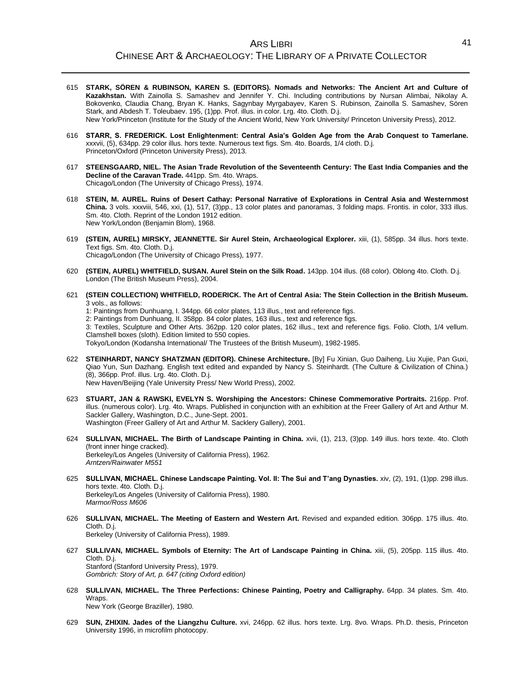- 615 **STARK, SÖREN & RUBINSON, KAREN S. (EDITORS). Nomads and Networks: The Ancient Art and Culture of Kazakhstan.** With Zainolla S. Samashev and Jennifer Y. Chi. Including contributions by Nursan Alimbai, Nikolay A. Bokovenko, Claudia Chang, Bryan K. Hanks, Sagynbay Myrgabayev, Karen S. Rubinson, Zainolla S. Samashev, Sören Stark, and Abdesh T. Toleubaev. 195, (1)pp. Prof. illus. in color. Lrg. 4to. Cloth. D.j. New York/Princeton (Institute for the Study of the Ancient World, New York University/ Princeton University Press), 2012.
- 616 **STARR, S. FREDERICK. Lost Enlightenment: Central Asia's Golden Age from the Arab Conquest to Tamerlane.** xxxvii, (5), 634pp. 29 color illus. hors texte. Numerous text figs. Sm. 4to. Boards, 1/4 cloth. D.j. Princeton/Oxford (Princeton University Press), 2013.
- 617 **STEENSGAARD, NIEL. The Asian Trade Revolution of the Seventeenth Century: The East India Companies and the Decline of the Caravan Trade.** 441pp. Sm. 4to. Wraps. Chicago/London (The University of Chicago Press), 1974.
- 618 **STEIN, M. AUREL. Ruins of Desert Cathay: Personal Narrative of Explorations in Central Asia and Westernmost China.** 3 vols. xxxviii, 546, xxi, (1), 517, (3)pp., 13 color plates and panoramas, 3 folding maps. Frontis. in color, 333 illus. Sm. 4to. Cloth. Reprint of the London 1912 edition. New York/London (Benjamin Blom), 1968.
- 619 **(STEIN, AUREL) MIRSKY, JEANNETTE. Sir Aurel Stein, Archaeological Explorer.** xiii, (1), 585pp. 34 illus. hors texte. Text figs. Sm. 4to. Cloth. D.j. Chicago/London (The University of Chicago Press), 1977.
- 620 **(STEIN, AUREL) WHITFIELD, SUSAN. Aurel Stein on the Silk Road.** 143pp. 104 illus. (68 color). Oblong 4to. Cloth. D.j. London (The British Museum Press), 2004.
- 621 **(STEIN COLLECTION) WHITFIELD, RODERICK. The Art of Central Asia: The Stein Collection in the British Museum.** 3 vols., as follows:
	- 1: Paintings from Dunhuang, I. 344pp. 66 color plates, 113 illus., text and reference figs.
	- 2: Paintings from Dunhuang, II. 358pp. 84 color plates, 163 illus., text and reference figs.
	- 3: Textiles, Sculpture and Other Arts. 362pp. 120 color plates, 162 illus., text and reference figs. Folio. Cloth, 1/4 vellum. Clamshell boxes (sloth). Edition limited to 550 copies.

Tokyo/London (Kodansha International/ The Trustees of the British Museum), 1982-1985.

- 622 **STEINHARDT, NANCY SHATZMAN (EDITOR). Chinese Architecture.** [By] Fu Xinian, Guo Daiheng, Liu Xujie, Pan Guxi, Qiao Yun, Sun Dazhang. English text edited and expanded by Nancy S. Steinhardt. (The Culture & Civilization of China.) (8), 366pp. Prof. illus. Lrg. 4to. Cloth. D.j. New Haven/Beijing (Yale University Press/ New World Press), 2002.
- 623 **STUART, JAN & RAWSKI, EVELYN S. Worshiping the Ancestors: Chinese Commemorative Portraits.** 216pp. Prof. illus. (numerous color). Lrg. 4to. Wraps. Published in conjunction with an exhibition at the Freer Gallery of Art and Arthur M. Sackler Gallery, Washington, D.C., June-Sept. 2001. Washington (Freer Gallery of Art and Arthur M. Sacklery Gallery), 2001.
- 624 **SULLIVAN, MICHAEL. The Birth of Landscape Painting in China.** xvii, (1), 213, (3)pp. 149 illus. hors texte. 4to. Cloth (front inner hinge cracked). Berkeley/Los Angeles (University of California Press), 1962. *Arntzen/Rainwater M551*
- 625 **SULLIVAN, MICHAEL. Chinese Landscape Painting. Vol. II: The Sui and T'ang Dynasties.** xiv, (2), 191, (1)pp. 298 illus. hors texte. 4to. Cloth. D.j. Berkeley/Los Angeles (University of California Press), 1980. *Marmor/Ross M606*
- 626 **SULLIVAN, MICHAEL. The Meeting of Eastern and Western Art.** Revised and expanded edition. 306pp. 175 illus. 4to. Cloth. D.j. Berkeley (University of California Press), 1989.
- 627 **SULLIVAN, MICHAEL. Symbols of Eternity: The Art of Landscape Painting in China.** xiii, (5), 205pp. 115 illus. 4to. Cloth. D.j. Stanford (Stanford University Press), 1979. *Gombrich: Story of Art, p. 647 (citing Oxford edition)*
- 628 **SULLIVAN, MICHAEL. The Three Perfections: Chinese Painting, Poetry and Calligraphy.** 64pp. 34 plates. Sm. 4to. Wraps. New York (George Braziller), 1980.
- 629 **SUN, ZHIXIN. Jades of the Liangzhu Culture.** xvi, 246pp. 62 illus. hors texte. Lrg. 8vo. Wraps. Ph.D. thesis, Princeton University 1996, in microfilm photocopy.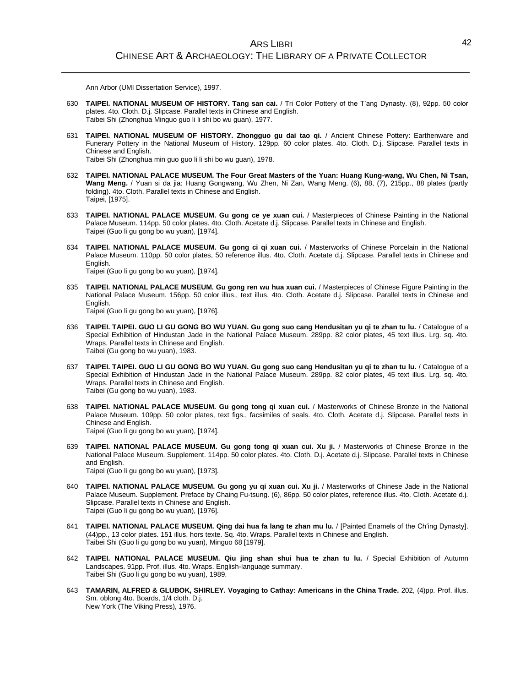Ann Arbor (UMI Dissertation Service), 1997.

- 630 **TAIPEI. NATIONAL MUSEUM OF HISTORY. Tang san cai.** / Tri Color Pottery of the T'ang Dynasty. (8), 92pp. 50 color plates. 4to. Cloth. D.j. Slipcase. Parallel texts in Chinese and English. Taibei Shi (Zhonghua Minguo guo li li shi bo wu guan), 1977.
- 631 **TAIPEI. NATIONAL MUSEUM OF HISTORY. Zhongguo gu dai tao qi.** / Ancient Chinese Pottery: Earthenware and Funerary Pottery in the National Museum of History. 129pp. 60 color plates. 4to. Cloth. D.j. Slipcase. Parallel texts in Chinese and English.

Taibei Shi (Zhonghua min guo guo li li shi bo wu guan), 1978.

- 632 **TAIPEI. NATIONAL PALACE MUSEUM. The Four Great Masters of the Yuan: Huang Kung-wang, Wu Chen, Ni Tsan, Wang Meng.** / Yuan si da jia: Huang Gongwang, Wu Zhen, Ni Zan, Wang Meng. (6), 88, (7), 215pp., 88 plates (partly folding). 4to. Cloth. Parallel texts in Chinese and English. Taipei, [1975].
- 633 **TAIPEI. NATIONAL PALACE MUSEUM. Gu gong ce ye xuan cui.** / Masterpieces of Chinese Painting in the National Palace Museum. 114pp. 50 color plates. 4to. Cloth. Acetate d.j. Slipcase. Parallel texts in Chinese and English. Taipei (Guo li gu gong bo wu yuan), [1974].
- 634 **TAIPEI. NATIONAL PALACE MUSEUM. Gu gong ci qi xuan cui.** / Masterworks of Chinese Porcelain in the National Palace Museum. 110pp. 50 color plates, 50 reference illus. 4to. Cloth. Acetate d.j. Slipcase. Parallel texts in Chinese and English. Taipei (Guo li gu gong bo wu yuan), [1974].
- 635 **TAIPEI. NATIONAL PALACE MUSEUM. Gu gong ren wu hua xuan cui.** / Masterpieces of Chinese Figure Painting in the National Palace Museum. 156pp. 50 color illus., text illus. 4to. Cloth. Acetate d.j. Slipcase. Parallel texts in Chinese and English. Taipei (Guo li gu gong bo wu yuan), [1976].
- 636 **TAIPEI. TAIPEI. GUO LI GU GONG BO WU YUAN. Gu gong suo cang Hendusitan yu qi te zhan tu lu.** / Catalogue of a Special Exhibition of Hindustan Jade in the National Palace Museum. 289pp. 82 color plates, 45 text illus. Lrg. sq. 4to. Wraps. Parallel texts in Chinese and English. Taibei (Gu gong bo wu yuan), 1983.
- 637 **TAIPEI. TAIPEI. GUO LI GU GONG BO WU YUAN. Gu gong suo cang Hendusitan yu qi te zhan tu lu.** / Catalogue of a Special Exhibition of Hindustan Jade in the National Palace Museum. 289pp. 82 color plates, 45 text illus. Lrg. sq. 4to. Wraps. Parallel texts in Chinese and English. Taibei (Gu gong bo wu yuan), 1983.
- 638 **TAIPEI. NATIONAL PALACE MUSEUM. Gu gong tong qi xuan cui.** / Masterworks of Chinese Bronze in the National Palace Museum. 109pp. 50 color plates, text figs., facsimiles of seals. 4to. Cloth. Acetate d.j. Slipcase. Parallel texts in Chinese and English. Taipei (Guo li gu gong bo wu yuan), [1974].
- 639 **TAIPEI. NATIONAL PALACE MUSEUM. Gu gong tong qi xuan cui. Xu ji.** / Masterworks of Chinese Bronze in the National Palace Museum. Supplement. 114pp. 50 color plates. 4to. Cloth. D.j. Acetate d.j. Slipcase. Parallel texts in Chinese and English. Taipei (Guo li gu gong bo wu yuan), [1973].
- 640 **TAIPEI. NATIONAL PALACE MUSEUM. Gu gong yu qi xuan cui. Xu ji.** / Masterworks of Chinese Jade in the National Palace Museum. Supplement. Preface by Chaing Fu-tsung. (6), 86pp. 50 color plates, reference illus. 4to. Cloth. Acetate d.j. Slipcase. Parallel texts in Chinese and English. Taipei (Guo li gu gong bo wu yuan), [1976].
- 641 **TAIPEI. NATIONAL PALACE MUSEUM. Qing dai hua fa lang te zhan mu lu.** / [Painted Enamels of the Ch'ing Dynasty]. (44)pp., 13 color plates. 151 illus. hors texte. Sq. 4to. Wraps. Parallel texts in Chinese and English. Taibei Shi (Guo li gu gong bo wu yuan), Minguo 68 [1979].
- 642 **TAIPEI. NATIONAL PALACE MUSEUM. Qiu jing shan shui hua te zhan tu lu.** / Special Exhibition of Autumn Landscapes. 91pp. Prof. illus. 4to. Wraps. English-language summary. Taibei Shi (Guo li gu gong bo wu yuan), 1989.
- 643 **TAMARIN, ALFRED & GLUBOK, SHIRLEY. Voyaging to Cathay: Americans in the China Trade.** 202, (4)pp. Prof. illus. Sm. oblong 4to. Boards, 1/4 cloth. D.j. New York (The Viking Press), 1976.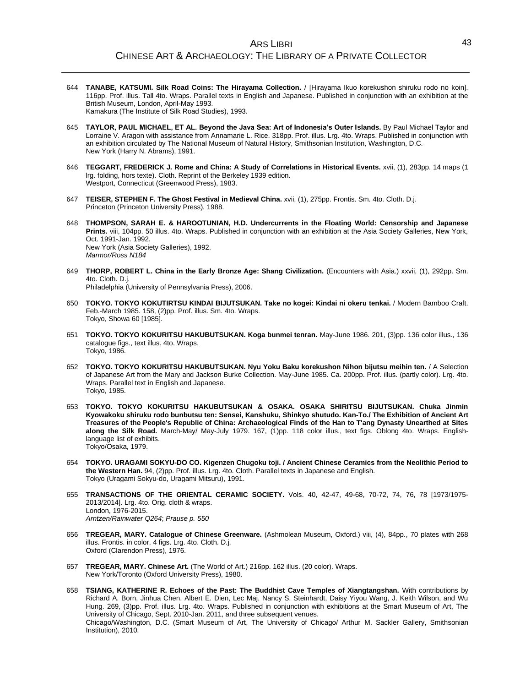- 644 **TANABE, KATSUMI. Silk Road Coins: The Hirayama Collection.** / [Hirayama Ikuo korekushon shiruku rodo no koin]. 116pp. Prof. illus. Tall 4to. Wraps. Parallel texts in English and Japanese. Published in conjunction with an exhibition at the British Museum, London, April-May 1993. Kamakura (The Institute of Silk Road Studies), 1993.
- 645 **TAYLOR, PAUL MICHAEL, ET AL. Beyond the Java Sea: Art of Indonesia's Outer Islands.** By Paul Michael Taylor and Lorraine V. Aragon with assistance from Annamarie L. Rice. 318pp. Prof. illus. Lrg. 4to. Wraps. Published in conjunction with an exhibition circulated by The National Museum of Natural History, Smithsonian Institution, Washington, D.C. New York (Harry N. Abrams), 1991.
- 646 **TEGGART, FREDERICK J. Rome and China: A Study of Correlations in Historical Events.** xvii, (1), 283pp. 14 maps (1 lrg. folding, hors texte). Cloth. Reprint of the Berkeley 1939 edition. Westport, Connecticut (Greenwood Press), 1983.
- 647 **TEISER, STEPHEN F. The Ghost Festival in Medieval China.** xvii, (1), 275pp. Frontis. Sm. 4to. Cloth. D.j. Princeton (Princeton University Press), 1988.
- 648 **THOMPSON, SARAH E. & HAROOTUNIAN, H.D. Undercurrents in the Floating World: Censorship and Japanese Prints.** viii, 104pp. 50 illus. 4to. Wraps. Published in conjunction with an exhibition at the Asia Society Galleries, New York, Oct. 1991-Jan. 1992. New York (Asia Society Galleries), 1992. *Marmor/Ross N184*
- 649 **THORP, ROBERT L. China in the Early Bronze Age: Shang Civilization.** (Encounters with Asia.) xxvii, (1), 292pp. Sm. 4to. Cloth. D.j.

Philadelphia (University of Pennsylvania Press), 2006.

- 650 **TOKYO. TOKYO KOKUTIRTSU KINDAI BIJUTSUKAN. Take no kogei: Kindai ni okeru tenkai.** / Modern Bamboo Craft. Feb.-March 1985. 158, (2)pp. Prof. illus. Sm. 4to. Wraps. Tokyo, Showa 60 [1985].
- 651 **TOKYO. TOKYO KOKURITSU HAKUBUTSUKAN. Koga bunmei tenran.** May-June 1986. 201, (3)pp. 136 color illus., 136 catalogue figs., text illus. 4to. Wraps. Tokyo, 1986.
- 652 **TOKYO. TOKYO KOKURITSU HAKUBUTSUKAN. Nyu Yoku Baku korekushon Nihon bijutsu meihin ten.** / A Selection of Japanese Art from the Mary and Jackson Burke Collection. May-June 1985. Ca. 200pp. Prof. illus. (partly color). Lrg. 4to. Wraps. Parallel text in English and Japanese. Tokyo, 1985.
- 653 **TOKYO. TOKYO KOKURITSU HAKUBUTSUKAN & OSAKA. OSAKA SHIRITSU BIJUTSUKAN. Chuka Jinmin Kyowakoku shiruku rodo bunbutsu ten: Sensei, Kanshuku, Shinkyo shutudo. Kan-To./ The Exhibition of Ancient Art Treasures of the People's Republic of China: Archaeological Finds of the Han to T'ang Dynasty Unearthed at Sites along the Silk Road.** March-May/ May-July 1979. 167, (1)pp. 118 color illus., text figs. Oblong 4to. Wraps. Englishlanguage list of exhibits. Tokyo/Osaka, 1979.
- 654 **TOKYO. URAGAMI SOKYU-DO CO. Kigenzen Chugoku toji. / Ancient Chinese Ceramics from the Neolithic Period to the Western Han.** 94, (2)pp. Prof. illus. Lrg. 4to. Cloth. Parallel texts in Japanese and English. Tokyo (Uragami Sokyu-do, Uragami Mitsuru), 1991.
- 655 **TRANSACTIONS OF THE ORIENTAL CERAMIC SOCIETY.** Vols. 40, 42-47, 49-68, 70-72, 74, 76, 78 [1973/1975- 2013/2014]. Lrg. 4to. Orig. cloth & wraps. London, 1976-2015. *Arntzen/Rainwater Q264*; *Prause p. 550*
- 656 **TREGEAR, MARY. Catalogue of Chinese Greenware.** (Ashmolean Museum, Oxford.) viii, (4), 84pp., 70 plates with 268 illus. Frontis. in color, 4 figs. Lrg. 4to. Cloth. D.j. Oxford (Clarendon Press), 1976.
- 657 **TREGEAR, MARY. Chinese Art.** (The World of Art.) 216pp. 162 illus. (20 color). Wraps. New York/Toronto (Oxford University Press), 1980.
- 658 **TSIANG, KATHERINE R. Echoes of the Past: The Buddhist Cave Temples of Xiangtangshan.** With contributions by Richard A. Born, Jinhua Chen. Albert E. Dien, Lec Maj, Nancy S. Steinhardt, Daisy Yiyou Wang, J. Keith Wilson, and Wu Hung. 269, (3)pp. Prof. illus. Lrg. 4to. Wraps. Published in conjunction with exhibitions at the Smart Museum of Art, The University of Chicago, Sept. 2010-Jan. 2011, and three subsequent venues. Chicago/Washington, D.C. (Smart Museum of Art, The University of Chicago/ Arthur M. Sackler Gallery, Smithsonian Institution), 2010.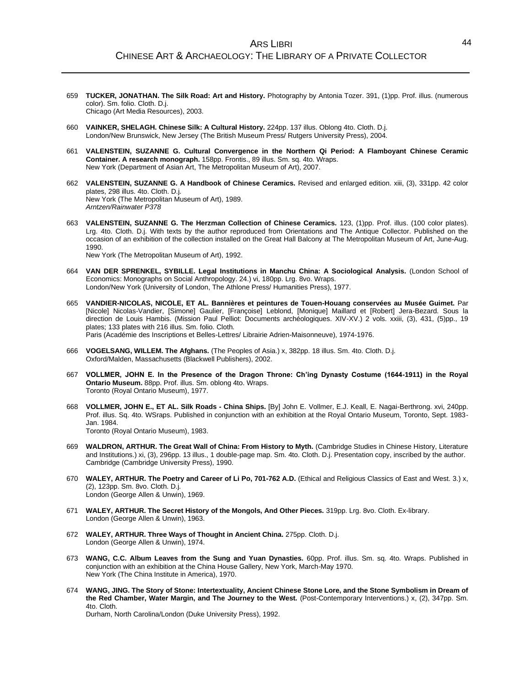- 659 **TUCKER, JONATHAN. The Silk Road: Art and History.** Photography by Antonia Tozer. 391, (1)pp. Prof. illus. (numerous color). Sm. folio. Cloth. D.j. Chicago (Art Media Resources), 2003.
- 660 **VAINKER, SHELAGH. Chinese Silk: A Cultural History.** 224pp. 137 illus. Oblong 4to. Cloth. D.j. London/New Brunswick, New Jersey (The British Museum Press/ Rutgers University Press), 2004.
- 661 **VALENSTEIN, SUZANNE G. Cultural Convergence in the Northern Qi Period: A Flamboyant Chinese Ceramic Container. A research monograph.** 158pp. Frontis., 89 illus. Sm. sq. 4to. Wraps. New York (Department of Asian Art, The Metropolitan Museum of Art), 2007.
- 662 **VALENSTEIN, SUZANNE G. A Handbook of Chinese Ceramics.** Revised and enlarged edition. xiii, (3), 331pp. 42 color plates, 298 illus. 4to. Cloth. D.j. New York (The Metropolitan Museum of Art), 1989. *Arntzen/Rainwater P378*
- 663 **VALENSTEIN, SUZANNE G. The Herzman Collection of Chinese Ceramics.** 123, (1)pp. Prof. illus. (100 color plates). Lrg. 4to. Cloth. D.j. With texts by the author reproduced from Orientations and The Antique Collector. Published on the occasion of an exhibition of the collection installed on the Great Hall Balcony at The Metropolitan Museum of Art, June-Aug. 1990.

New York (The Metropolitan Museum of Art), 1992.

- 664 **VAN DER SPRENKEL, SYBILLE. Legal Institutions in Manchu China: A Sociological Analysis.** (London School of Economics: Monographs on Social Anthropology. 24.) vi, 180pp. Lrg. 8vo. Wraps. London/New York (University of London, The Athlone Press/ Humanities Press), 1977.
- 665 **VANDIER-NICOLAS, NICOLE, ET AL. Bannières et peintures de Touen-Houang conservées au Musée Guimet.** Par [Nicole] Nicolas-Vandier, [Simone] Gaulier, [Françoise] Leblond, [Monique] Maillard et [Robert] Jera-Bezard. Sous la direction de Louis Hambis. (Mission Paul Pelliot: Documents archéologiques. XIV-XV.) 2 vols. xxiii, (3), 431, (5)pp., 19 plates; 133 plates with 216 illus. Sm. folio. Cloth. Paris (Académie des Inscriptions et Belles-Lettres/ Librairie Adrien-Maisonneuve), 1974-1976.
- 666 **VOGELSANG, WILLEM. The Afghans.** (The Peoples of Asia.) x, 382pp. 18 illus. Sm. 4to. Cloth. D.j. Oxford/Malden, Massachusetts (Blackwell Publishers), 2002.
- 667 **VOLLMER, JOHN E. In the Presence of the Dragon Throne: Ch'ing Dynasty Costume (1644-1911) in the Royal Ontario Museum.** 88pp. Prof. illus. Sm. oblong 4to. Wraps. Toronto (Royal Ontario Museum), 1977.
- 668 **VOLLMER, JOHN E., ET AL. Silk Roads - China Ships.** [By] John E. Vollmer, E.J. Keall, E. Nagai-Berthrong. xvi, 240pp. Prof. illus. Sq. 4to. WSraps. Published in conjunction with an exhibition at the Royal Ontario Museum, Toronto, Sept. 1983- Jan. 1984. Toronto (Royal Ontario Museum), 1983.
- 669 **WALDRON, ARTHUR. The Great Wall of China: From History to Myth.** (Cambridge Studies in Chinese History, Literature and Institutions.) xi, (3), 296pp. 13 illus., 1 double-page map. Sm. 4to. Cloth. D.j. Presentation copy, inscribed by the author. Cambridge (Cambridge University Press), 1990.
- 670 **WALEY, ARTHUR. The Poetry and Career of Li Po, 701-762 A.D.** (Ethical and Religious Classics of East and West. 3.) x, (2), 123pp. Sm. 8vo. Cloth. D.j. London (George Allen & Unwin), 1969.
- 671 **WALEY, ARTHUR. The Secret History of the Mongols, And Other Pieces.** 319pp. Lrg. 8vo. Cloth. Ex-library. London (George Allen & Unwin), 1963.
- 672 **WALEY, ARTHUR. Three Ways of Thought in Ancient China.** 275pp. Cloth. D.j. London (George Allen & Unwin), 1974.
- 673 **WANG, C.C. Album Leaves from the Sung and Yuan Dynasties.** 60pp. Prof. illus. Sm. sq. 4to. Wraps. Published in conjunction with an exhibition at the China House Gallery, New York, March-May 1970. New York (The China Institute in America), 1970.
- 674 **WANG, JING. The Story of Stone: Intertextuality, Ancient Chinese Stone Lore, and the Stone Symbolism in Dream of the Red Chamber, Water Margin, and The Journey to the West.** (Post-Contemporary Interventions.) x, (2), 347pp. Sm. 4to. Cloth.

Durham, North Carolina/London (Duke University Press), 1992.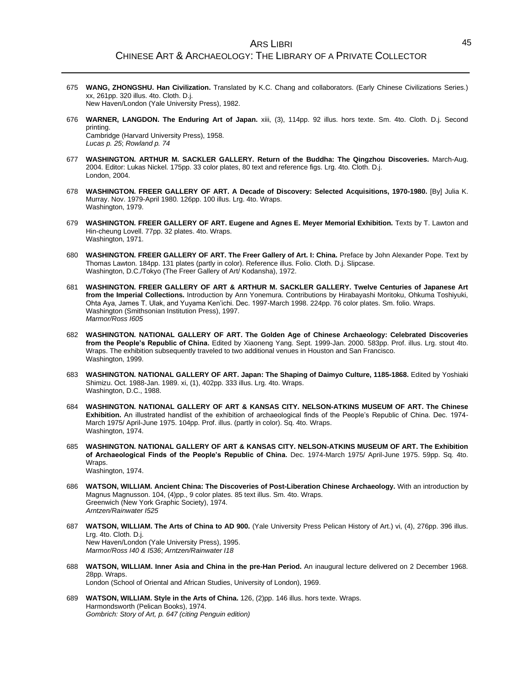- 675 **WANG, ZHONGSHU. Han Civilization.** Translated by K.C. Chang and collaborators. (Early Chinese Civilizations Series.) xx, 261pp. 320 illus. 4to. Cloth. D.j. New Haven/London (Yale University Press), 1982.
- 676 **WARNER, LANGDON. The Enduring Art of Japan.** xiii, (3), 114pp. 92 illus. hors texte. Sm. 4to. Cloth. D.j. Second printing.

Cambridge (Harvard University Press), 1958. *Lucas p. 25*; *Rowland p. 74*

- 677 **WASHINGTON. ARTHUR M. SACKLER GALLERY. Return of the Buddha: The Qingzhou Discoveries.** March-Aug. 2004. Editor: Lukas Nickel. 175pp. 33 color plates, 80 text and reference figs. Lrg. 4to. Cloth. D.j. London, 2004.
- 678 **WASHINGTON. FREER GALLERY OF ART. A Decade of Discovery: Selected Acquisitions, 1970-1980.** [By] Julia K. Murray. Nov. 1979-April 1980. 126pp. 100 illus. Lrg. 4to. Wraps. Washington, 1979.
- 679 **WASHINGTON. FREER GALLERY OF ART. Eugene and Agnes E. Meyer Memorial Exhibition.** Texts by T. Lawton and Hin-cheung Lovell. 77pp. 32 plates. 4to. Wraps. Washington, 1971.
- 680 **WASHINGTON. FREER GALLERY OF ART. The Freer Gallery of Art. I: China.** Preface by John Alexander Pope. Text by Thomas Lawton. 184pp. 131 plates (partly in color). Reference illus. Folio. Cloth. D.j. Slipcase. Washington, D.C./Tokyo (The Freer Gallery of Art/ Kodansha), 1972.
- 681 **WASHINGTON. FREER GALLERY OF ART & ARTHUR M. SACKLER GALLERY. Twelve Centuries of Japanese Art from the Imperial Collections.** Introduction by Ann Yonemura. Contributions by Hirabayashi Moritoku, Ohkuma Toshiyuki, Ohta Aya, James T. Ulak, and Yuyama Ken'ichi. Dec. 1997-March 1998. 224pp. 76 color plates. Sm. folio. Wraps. Washington (Smithsonian Institution Press), 1997. *Marmor/Ross I605*
- 682 **WASHINGTON. NATIONAL GALLERY OF ART. The Golden Age of Chinese Archaeology: Celebrated Discoveries from the People's Republic of China.** Edited by Xiaoneng Yang. Sept. 1999-Jan. 2000. 583pp. Prof. illus. Lrg. stout 4to. Wraps. The exhibition subsequently traveled to two additional venues in Houston and San Francisco. Washington, 1999.
- 683 **WASHINGTON. NATIONAL GALLERY OF ART. Japan: The Shaping of Daimyo Culture, 1185-1868.** Edited by Yoshiaki Shimizu. Oct. 1988-Jan. 1989. xi, (1), 402pp. 333 illus. Lrg. 4to. Wraps. Washington, D.C., 1988.
- 684 **WASHINGTON. NATIONAL GALLERY OF ART & KANSAS CITY. NELSON-ATKINS MUSEUM OF ART. The Chinese Exhibition.** An illustrated handlist of the exhibition of archaeological finds of the People's Republic of China. Dec. 1974- March 1975/ April-June 1975. 104pp. Prof. illus. (partly in color). Sq. 4to. Wraps. Washington, 1974.
- 685 **WASHINGTON. NATIONAL GALLERY OF ART & KANSAS CITY. NELSON-ATKINS MUSEUM OF ART. The Exhibition of Archaeological Finds of the People's Republic of China.** Dec. 1974-March 1975/ April-June 1975. 59pp. Sq. 4to. Wraps. Washington, 1974.
- 686 **WATSON, WILLIAM. Ancient China: The Discoveries of Post-Liberation Chinese Archaeology.** With an introduction by Magnus Magnusson. 104, (4)pp., 9 color plates. 85 text illus. Sm. 4to. Wraps. Greenwich (New York Graphic Society), 1974. *Arntzen/Rainwater I525*
- 687 **WATSON, WILLIAM. The Arts of China to AD 900.** (Yale University Press Pelican History of Art.) vi, (4), 276pp. 396 illus. Lrg. 4to. Cloth. D.j. New Haven/London (Yale University Press), 1995. *Marmor/Ross I40 & I536*; *Arntzen/Rainwater I18*
- 688 **WATSON, WILLIAM. Inner Asia and China in the pre-Han Period.** An inaugural lecture delivered on 2 December 1968. 28pp. Wraps. London (School of Oriental and African Studies, University of London), 1969.
- 689 **WATSON, WILLIAM. Style in the Arts of China.** 126, (2)pp. 146 illus. hors texte. Wraps. Harmondsworth (Pelican Books), 1974. *Gombrich: Story of Art, p. 647 (citing Penguin edition)*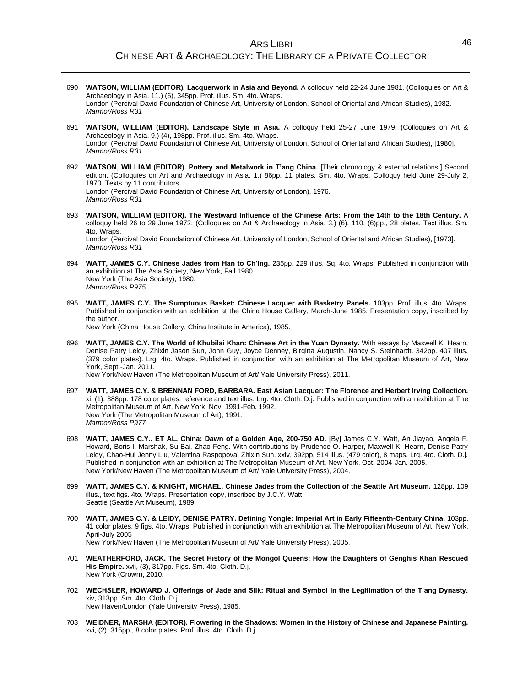- 690 **WATSON, WILLIAM (EDITOR). Lacquerwork in Asia and Beyond.** A colloquy held 22-24 June 1981. (Colloquies on Art & Archaeology in Asia. 11.) (6), 345pp. Prof. illus. Sm. 4to. Wraps. London (Percival David Foundation of Chinese Art, University of London, School of Oriental and African Studies), 1982. *Marmor/Ross R31*
- 691 **WATSON, WILLIAM (EDITOR). Landscape Style in Asia.** A colloquy held 25-27 June 1979. (Colloquies on Art & Archaeology in Asia. 9.) (4), 198pp. Prof. illus. Sm. 4to. Wraps. London (Percival David Foundation of Chinese Art, University of London, School of Oriental and African Studies), [1980]. *Marmor/Ross R31*
- 692 **WATSON, WILLIAM (EDITOR). Pottery and Metalwork in T'ang China.** [Their chronology & external relations.] Second edition. (Colloquies on Art and Archaeology in Asia. 1.) 86pp. 11 plates. Sm. 4to. Wraps. Colloquy held June 29-July 2, 1970. Texts by 11 contributors. London (Percival David Foundation of Chinese Art, University of London), 1976. *Marmor/Ross R31*
- 693 **WATSON, WILLIAM (EDITOR). The Westward Influence of the Chinese Arts: From the 14th to the 18th Century.** A colloquy held 26 to 29 June 1972. (Colloquies on Art & Archaeology in Asia. 3.) (6), 110, (6)pp., 28 plates. Text illus. Sm. 4to. Wraps. London (Percival David Foundation of Chinese Art, University of London, School of Oriental and African Studies), [1973]. *Marmor/Ross R31*
- 694 **WATT, JAMES C.Y. Chinese Jades from Han to Ch'ing.** 235pp. 229 illus. Sq. 4to. Wraps. Published in conjunction with an exhibition at The Asia Society, New York, Fall 1980. New York (The Asia Society), 1980. *Marmor/Ross P975*
- 695 **WATT, JAMES C.Y. The Sumptuous Basket: Chinese Lacquer with Basketry Panels.** 103pp. Prof. illus. 4to. Wraps. Published in conjunction with an exhibition at the China House Gallery, March-June 1985. Presentation copy, inscribed by the author. New York (China House Gallery, China Institute in America), 1985.

696 **WATT, JAMES C.Y. The World of Khubilai Khan: Chinese Art in the Yuan Dynasty.** With essays by Maxwell K. Hearn, Denise Patry Leidy, Zhixin Jason Sun, John Guy, Joyce Denney, Birgitta Augustin, Nancy S. Steinhardt. 342pp. 407 illus. (379 color plates). Lrg. 4to. Wraps. Published in conjunction with an exhibition at The Metropolitan Museum of Art, New York, Sept.-Jan. 2011.

New York/New Haven (The Metropolitan Museum of Art/ Yale University Press), 2011.

- 697 **WATT, JAMES C.Y. & BRENNAN FORD, BARBARA. East Asian Lacquer: The Florence and Herbert Irving Collection.**  xi, (1), 388pp. 178 color plates, reference and text illus. Lrg. 4to. Cloth. D.j. Published in conjunction with an exhibition at The Metropolitan Museum of Art, New York, Nov. 1991-Feb. 1992. New York (The Metropolitan Museum of Art), 1991. *Marmor/Ross P977*
- 698 **WATT, JAMES C.Y., ET AL. China: Dawn of a Golden Age, 200-750 AD.** [By] James C.Y. Watt, An Jiayao, Angela F. Howard, Boris I. Marshak, Su Bai, Zhao Feng. With contributions by Prudence O. Harper, Maxwell K. Hearn, Denise Patry Leidy, Chao-Hui Jenny Liu, Valentina Raspopova, Zhixin Sun. xxiv, 392pp. 514 illus. (479 color), 8 maps. Lrg. 4to. Cloth. D.j. Published in conjunction with an exhibition at The Metropolitan Museum of Art, New York, Oct. 2004-Jan. 2005. New York/New Haven (The Metropolitan Museum of Art/ Yale University Press), 2004.
- 699 **WATT, JAMES C.Y. & KNIGHT, MICHAEL. Chinese Jades from the Collection of the Seattle Art Museum.** 128pp. 109 illus., text figs. 4to. Wraps. Presentation copy, inscribed by J.C.Y. Watt. Seattle (Seattle Art Museum), 1989.
- 700 **WATT, JAMES C.Y. & LEIDY, DENISE PATRY. Defining Yongle: Imperial Art in Early Fifteenth-Century China.** 103pp. 41 color plates, 9 figs. 4to. Wraps. Published in conjunction with an exhibition at The Metropolitan Museum of Art, New York, April-July 2005 New York/New Haven (The Metropolitan Museum of Art/ Yale University Press), 2005.
- 701 **WEATHERFORD, JACK. The Secret History of the Mongol Queens: How the Daughters of Genghis Khan Rescued His Empire.** xvii, (3), 317pp. Figs. Sm. 4to. Cloth. D.j. New York (Crown), 2010.
- 702 **WECHSLER, HOWARD J. Offerings of Jade and Silk: Ritual and Symbol in the Legitimation of the T'ang Dynasty.** xiv, 313pp. Sm. 4to. Cloth. D.j.

New Haven/London (Yale University Press), 1985.

703 **WEIDNER, MARSHA (EDITOR). Flowering in the Shadows: Women in the History of Chinese and Japanese Painting.** xvi, (2), 315pp., 8 color plates. Prof. illus. 4to. Cloth. D.j.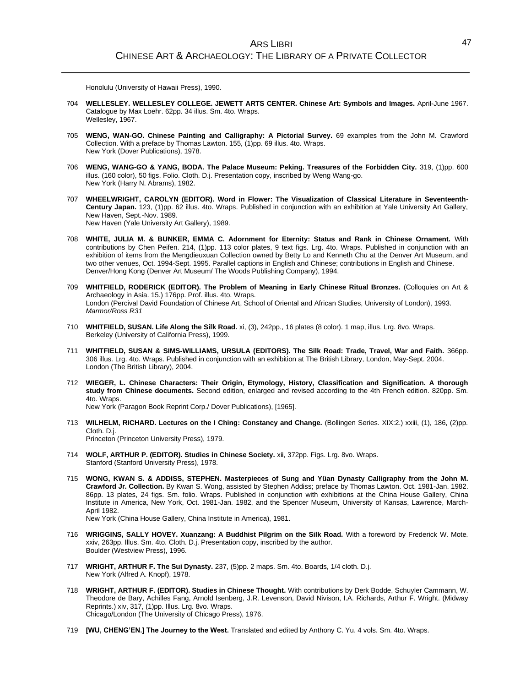Honolulu (University of Hawaii Press), 1990.

- 704 **WELLESLEY. WELLESLEY COLLEGE. JEWETT ARTS CENTER. Chinese Art: Symbols and Images.** April-June 1967. Catalogue by Max Loehr. 62pp. 34 illus. Sm. 4to. Wraps. Wellesley, 1967.
- 705 **WENG, WAN-GO. Chinese Painting and Calligraphy: A Pictorial Survey.** 69 examples from the John M. Crawford Collection. With a preface by Thomas Lawton. 155, (1)pp. 69 illus. 4to. Wraps. New York (Dover Publications), 1978.
- 706 **WENG, WANG-GO & YANG, BODA. The Palace Museum: Peking. Treasures of the Forbidden City.** 319, (1)pp. 600 illus. (160 color), 50 figs. Folio. Cloth. D.j. Presentation copy, inscribed by Weng Wang-go. New York (Harry N. Abrams), 1982.
- 707 **WHEELWRIGHT, CAROLYN (EDITOR). Word in Flower: The Visualization of Classical Literature in Seventeenth-Century Japan.** 123, (1)pp. 62 illus. 4to. Wraps. Published in conjunction with an exhibition at Yale University Art Gallery, New Haven, Sept.-Nov. 1989. New Haven (Yale University Art Gallery), 1989.
- 708 **WHITE, JULIA M. & BUNKER, EMMA C. Adornment for Eternity: Status and Rank in Chinese Ornament.** With contributions by Chen Peifen. 214, (1)pp. 113 color plates, 9 text figs. Lrg. 4to. Wraps. Published in conjunction with an exhibition of items from the Mengdieuxuan Collection owned by Betty Lo and Kenneth Chu at the Denver Art Museum, and two other venues, Oct. 1994-Sept. 1995. Parallel captions in English and Chinese; contributions in English and Chinese. Denver/Hong Kong (Denver Art Museum/ The Woods Publishing Company), 1994.
- 709 **WHITFIELD, RODERICK (EDITOR). The Problem of Meaning in Early Chinese Ritual Bronzes.** (Colloquies on Art & Archaeology in Asia. 15.) 176pp. Prof. illus. 4to. Wraps. London (Percival David Foundation of Chinese Art, School of Oriental and African Studies, University of London), 1993. *Marmor/Ross R31*
- 710 **WHITFIELD, SUSAN. Life Along the Silk Road.** xi, (3), 242pp., 16 plates (8 color). 1 map, illus. Lrg. 8vo. Wraps. Berkeley (University of California Press), 1999.
- 711 **WHITFIELD, SUSAN & SIMS-WILLIAMS, URSULA (EDITORS). The Silk Road: Trade, Travel, War and Faith.** 366pp. 306 illus. Lrg. 4to. Wraps. Published in conjunction with an exhibition at The British Library, London, May-Sept. 2004. London (The British Library), 2004.
- 712 **WIEGER, L. Chinese Characters: Their Origin, Etymology, History, Classification and Signification. A thorough study from Chinese documents.** Second edition, enlarged and revised according to the 4th French edition. 820pp. Sm. 4to. Wraps.

New York (Paragon Book Reprint Corp./ Dover Publications), [1965].

- 713 **WILHELM, RICHARD. Lectures on the I Ching: Constancy and Change.** (Bollingen Series. XIX:2.) xxiii, (1), 186, (2)pp. Cloth. D.j. Princeton (Princeton University Press), 1979.
- 714 **WOLF, ARTHUR P. (EDITOR). Studies in Chinese Society.** xii, 372pp. Figs. Lrg. 8vo. Wraps. Stanford (Stanford University Press), 1978.
- 715 **WONG, KWAN S. & ADDISS, STEPHEN. Masterpieces of Sung and Yüan Dynasty Calligraphy from the John M. Crawford Jr. Collection.** By Kwan S. Wong, assisted by Stephen Addiss; preface by Thomas Lawton. Oct. 1981-Jan. 1982. 86pp. 13 plates, 24 figs. Sm. folio. Wraps. Published in conjunction with exhibitions at the China House Gallery, China Institute in America, New York, Oct. 1981-Jan. 1982, and the Spencer Museum, University of Kansas, Lawrence, March-April 1982.

New York (China House Gallery, China Institute in America), 1981.

- 716 **WRIGGINS, SALLY HOVEY. Xuanzang: A Buddhist Pilgrim on the Silk Road.** With a foreword by Frederick W. Mote. xxiv, 263pp. Illus. Sm. 4to. Cloth. D.j. Presentation copy, inscribed by the author. Boulder (Westview Press), 1996.
- 717 **WRIGHT, ARTHUR F. The Sui Dynasty.** 237, (5)pp. 2 maps. Sm. 4to. Boards, 1/4 cloth. D.j. New York (Alfred A. Knopf), 1978.
- 718 **WRIGHT, ARTHUR F. (EDITOR). Studies in Chinese Thought.** With contributions by Derk Bodde, Schuyler Cammann, W. Theodore de Bary, Achilles Fang, Arnold Isenberg, J.R. Levenson, David Nivison, I.A. Richards, Arthur F. Wright. (Midway Reprints.) xiv, 317, (1)pp. Illus. Lrg. 8vo. Wraps. Chicago/London (The University of Chicago Press), 1976.
- 719 **[WU, CHENG'EN.] The Journey to the West.** Translated and edited by Anthony C. Yu. 4 vols. Sm. 4to. Wraps.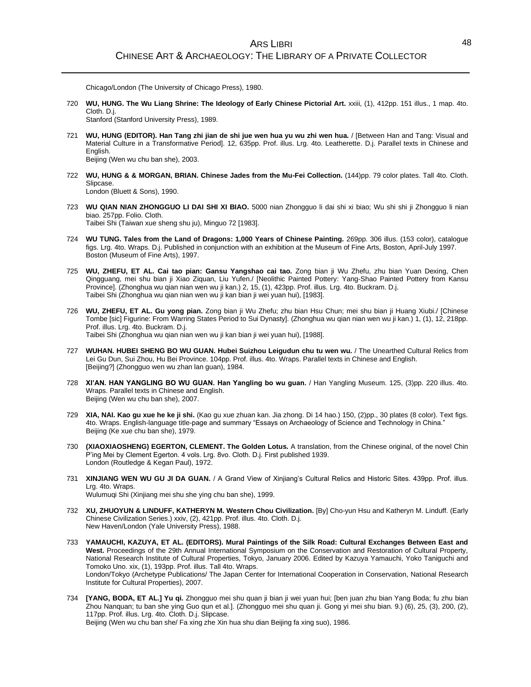Chicago/London (The University of Chicago Press), 1980.

720 **WU, HUNG. The Wu Liang Shrine: The Ideology of Early Chinese Pictorial Art.** xxiii, (1), 412pp. 151 illus., 1 map. 4to. Cloth. D.j.

Stanford (Stanford University Press), 1989.

- 721 **WU, HUNG (EDITOR). Han Tang zhi jian de shi jue wen hua yu wu zhi wen hua.** / [Between Han and Tang: Visual and Material Culture in a Transformative Period]. 12, 635pp. Prof. illus. Lrg. 4to. Leatherette. D.j. Parallel texts in Chinese and English. Beijing (Wen wu chu ban she), 2003.
- 722 **WU, HUNG & & MORGAN, BRIAN. Chinese Jades from the Mu-Fei Collection.** (144)pp. 79 color plates. Tall 4to. Cloth. Slipcase.

London (Bluett & Sons), 1990.

- 723 **WU QIAN NIAN ZHONGGUO LI DAI SHI XI BIAO.** 5000 nian Zhongguo li dai shi xi biao; Wu shi shi ji Zhongguo li nian biao. 257pp. Folio. Cloth. Taibei Shi (Taiwan xue sheng shu ju), Minguo 72 [1983].
- 724 **WU TUNG. Tales from the Land of Dragons: 1,000 Years of Chinese Painting.** 269pp. 306 illus. (153 color), catalogue figs. Lrg. 4to. Wraps. D.j. Published in conjunction with an exhibition at the Museum of Fine Arts, Boston, April-July 1997. Boston (Museum of Fine Arts), 1997.
- 725 **WU, ZHEFU, ET AL. Cai tao pian: Gansu Yangshao cai tao.** Zong bian ji Wu Zhefu, zhu bian Yuan Dexing, Chen Qingguang, mei shu bian ji Xiao Ziquan, Liu Yufen./ [Neolithic Painted Pottery: Yang-Shao Painted Pottery from Kansu Province]. (Zhonghua wu qian nian wen wu ji kan.) 2, 15, (1), 423pp. Prof. illus. Lrg. 4to. Buckram. D.j. Taibei Shi (Zhonghua wu qian nian wen wu ji kan bian ji wei yuan hui), [1983].
- 726 **WU, ZHEFU, ET AL. Gu yong pian.** Zong bian ji Wu Zhefu; zhu bian Hsu Chun; mei shu bian ji Huang Xiubi./ [Chinese Tombe [sic] Figurine: From Warring States Period to Sui Dynasty]. (Zhonghua wu qian nian wen wu ji kan.) 1, (1), 12, 218pp. Prof. illus. Lrg. 4to. Buckram. D.j. Taibei Shi (Zhonghua wu qian nian wen wu ji kan bian ji wei yuan hui), [1988].
- 727 **WUHAN. HUBEI SHENG BO WU GUAN. Hubei Suizhou Leigudun chu tu wen wu.** / The Unearthed Cultural Relics from Lei Gu Dun, Sui Zhou, Hu Bei Province. 104pp. Prof. illus. 4to. Wraps. Parallel texts in Chinese and English. [Beijing?] (Zhongguo wen wu zhan lan guan), 1984.
- 728 **XI'AN. HAN YANGLING BO WU GUAN. Han Yangling bo wu guan.** / Han Yangling Museum. 125, (3)pp. 220 illus. 4to. Wraps. Parallel texts in Chinese and English. Beijing (Wen wu chu ban she), 2007.
- 729 **XIA, NAI. Kao gu xue he ke ji shi.** (Kao gu xue zhuan kan. Jia zhong. Di 14 hao.) 150, (2)pp., 30 plates (8 color). Text figs. 4to. Wraps. English-language title-page and summary "Essays on Archaeology of Science and Technology in China." Beijing (Ke xue chu ban she), 1979.
- 730 **(XIAOXIAOSHENG) EGERTON, CLEMENT. The Golden Lotus.** A translation, from the Chinese original, of the novel Chin P'ing Mei by Clement Egerton. 4 vols. Lrg. 8vo. Cloth. D.j. First published 1939. London (Routledge & Kegan Paul), 1972.
- 731 **XINJIANG WEN WU GU JI DA GUAN.** / A Grand View of Xinjiang's Cultural Relics and Historic Sites. 439pp. Prof. illus. Lrg. 4to. Wraps.

Wulumuqi Shi (Xinjiang mei shu she ying chu ban she), 1999.

- 732 **XU, ZHUOYUN & LINDUFF, KATHERYN M. Western Chou Civilization.** [By] Cho-yun Hsu and Katheryn M. Linduff. (Early Chinese Civilization Series.) xxiv, (2), 421pp. Prof. illus. 4to. Cloth. D.j. New Haven/London (Yale University Press), 1988.
- 733 **YAMAUCHI, KAZUYA, ET AL. (EDITORS). Mural Paintings of the Silk Road: Cultural Exchanges Between East and West.** Proceedings of the 29th Annual International Symposium on the Conservation and Restoration of Cultural Property, National Research Institute of Cultural Properties, Tokyo, January 2006. Edited by Kazuya Yamauchi, Yoko Taniguchi and Tomoko Uno. xix, (1), 193pp. Prof. illus. Tall 4to. Wraps. London/Tokyo (Archetype Publications/ The Japan Center for International Cooperation in Conservation, National Research Institute for Cultural Properties), 2007.
- 734 **[YANG, BODA, ET AL.] Yu qi.** Zhongguo mei shu quan ji bian ji wei yuan hui; [ben juan zhu bian Yang Boda; fu zhu bian Zhou Nanquan; tu ban she ying Guo qun et al.]. (Zhongguo mei shu quan ji. Gong yi mei shu bian. 9.) (6), 25, (3), 200, (2), 117pp. Prof. illus. Lrg. 4to. Cloth. D.j. Slipcase. Beijing (Wen wu chu ban she/ Fa xing zhe Xin hua shu dian Beijing fa xing suo), 1986.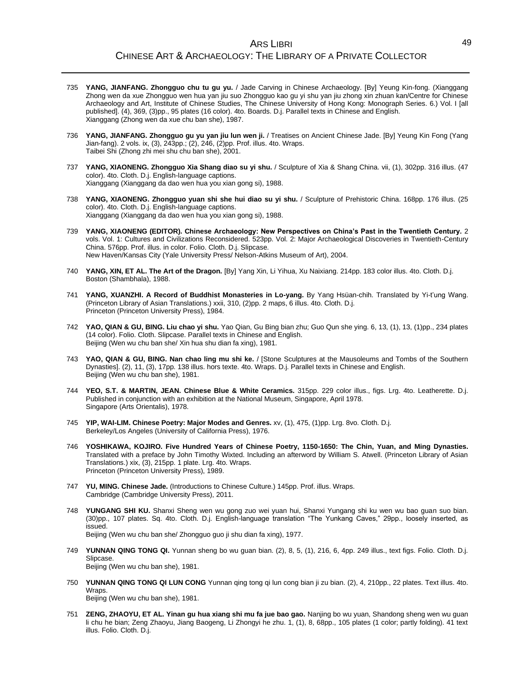- 735 **YANG, JIANFANG. Zhongguo chu tu gu yu.** / Jade Carving in Chinese Archaeology. [By] Yeung Kin-fong. (Xianggang Zhong wen da xue Zhongguo wen hua yan jiu suo Zhongguo kao gu yi shu yan jiu zhong xin zhuan kan/Centre for Chinese Archaeology and Art, Institute of Chinese Studies, The Chinese University of Hong Kong: Monograph Series. 6.) Vol. I [all published]. (4), 369, (3)pp., 95 plates (16 color). 4to. Boards. D.j. Parallel texts in Chinese and English. Xianggang (Zhong wen da xue chu ban she), 1987.
- 736 **YANG, JIANFANG. Zhongguo gu yu yan jiu lun wen ji.** / Treatises on Ancient Chinese Jade. [By] Yeung Kin Fong (Yang Jian-fang). 2 vols. ix, (3), 243pp.; (2), 246, (2)pp. Prof. illus. 4to. Wraps. Taibei Shi (Zhong zhi mei shu chu ban she), 2001.
- 737 **YANG, XIAONENG. Zhongguo Xia Shang diao su yi shu.** / Sculpture of Xia & Shang China. vii, (1), 302pp. 316 illus. (47 color). 4to. Cloth. D.j. English-language captions. Xianggang (Xianggang da dao wen hua you xian gong si), 1988.
- 738 **YANG, XIAONENG. Zhongguo yuan shi she hui diao su yi shu.** / Sculpture of Prehistoric China. 168pp. 176 illus. (25 color). 4to. Cloth. D.j. English-language captions. Xianggang (Xianggang da dao wen hua you xian gong si), 1988.
- 739 **YANG, XIAONENG (EDITOR). Chinese Archaeology: New Perspectives on China's Past in the Twentieth Century.** 2 vols. Vol. 1: Cultures and Civilizations Reconsidered. 523pp. Vol. 2: Major Archaeological Discoveries in Twentieth-Century China. 576pp. Prof. illus. in color. Folio. Cloth. D.j. Slipcase. New Haven/Kansas City (Yale University Press/ Nelson-Atkins Museum of Art), 2004.
- 740 **YANG, XIN, ET AL. The Art of the Dragon.** [By] Yang Xin, Li Yihua, Xu Naixiang. 214pp. 183 color illus. 4to. Cloth. D.j. Boston (Shambhala), 1988.
- 741 **YANG, XUANZHI. A Record of Buddhist Monasteries in Lo-yang.** By Yang Hsüan-chih. Translated by Yi-t'ung Wang. (Princeton Library of Asian Translations.) xxii, 310, (2)pp. 2 maps, 6 illus. 4to. Cloth. D.j. Princeton (Princeton University Press), 1984.
- 742 **YAO, QIAN & GU, BING. Liu chao yi shu.** Yao Qian, Gu Bing bian zhu; Guo Qun she ying. 6, 13, (1), 13, (1)pp., 234 plates (14 color). Folio. Cloth. Slipcase. Parallel texts in Chinese and English. Beijing (Wen wu chu ban she/ Xin hua shu dian fa xing), 1981.
- 743 **YAO, QIAN & GU, BING. Nan chao ling mu shi ke.** / [Stone Sculptures at the Mausoleums and Tombs of the Southern Dynasties]. (2), 11, (3), 17pp. 138 illus. hors texte. 4to. Wraps. D.j. Parallel texts in Chinese and English. Beijing (Wen wu chu ban she), 1981.
- 744 **YEO, S.T. & MARTIN, JEAN. Chinese Blue & White Ceramics.** 315pp. 229 color illus., figs. Lrg. 4to. Leatherette. D.j. Published in conjunction with an exhibition at the National Museum, Singapore, April 1978. Singapore (Arts Orientalis), 1978.
- 745 **YIP, WAI-LIM. Chinese Poetry: Major Modes and Genres.** xv, (1), 475, (1)pp. Lrg. 8vo. Cloth. D.j. Berkeley/Los Angeles (University of California Press), 1976.
- 746 **YOSHIKAWA, KOJIRO. Five Hundred Years of Chinese Poetry, 1150-1650: The Chin, Yuan, and Ming Dynasties.** Translated with a preface by John Timothy Wixted. Including an afterword by William S. Atwell. (Princeton Library of Asian Translations.) xix, (3), 215pp. 1 plate. Lrg. 4to. Wraps. Princeton (Princeton University Press), 1989.
- 747 **YU, MING. Chinese Jade.** (Introductions to Chinese Culture.) 145pp. Prof. illus. Wraps. Cambridge (Cambridge University Press), 2011.
- 748 **YUNGANG SHI KU.** Shanxi Sheng wen wu gong zuo wei yuan hui, Shanxi Yungang shi ku wen wu bao guan suo bian. (30)pp., 107 plates. Sq. 4to. Cloth. D.j. English-language translation "The Yunkang Caves," 29pp., loosely inserted, as issued. Beijing (Wen wu chu ban she/ Zhongguo guo ji shu dian fa xing), 1977.
- 749 **YUNNAN QING TONG QI.** Yunnan sheng bo wu guan bian. (2), 8, 5, (1), 216, 6, 4pp. 249 illus., text figs. Folio. Cloth. D.j. Slipcase. Beijing (Wen wu chu ban she), 1981.
- 750 **YUNNAN QING TONG QI LUN CONG** Yunnan qing tong qi lun cong bian ji zu bian. (2), 4, 210pp., 22 plates. Text illus. 4to. Wrans

Beijing (Wen wu chu ban she), 1981.

751 **ZENG, ZHAOYU, ET AL. Yinan gu hua xiang shi mu fa jue bao gao.** Nanjing bo wu yuan, Shandong sheng wen wu guan li chu he bian; Zeng Zhaoyu, Jiang Baogeng, Li Zhongyi he zhu. 1, (1), 8, 68pp., 105 plates (1 color; partly folding). 41 text illus. Folio. Cloth. D.j.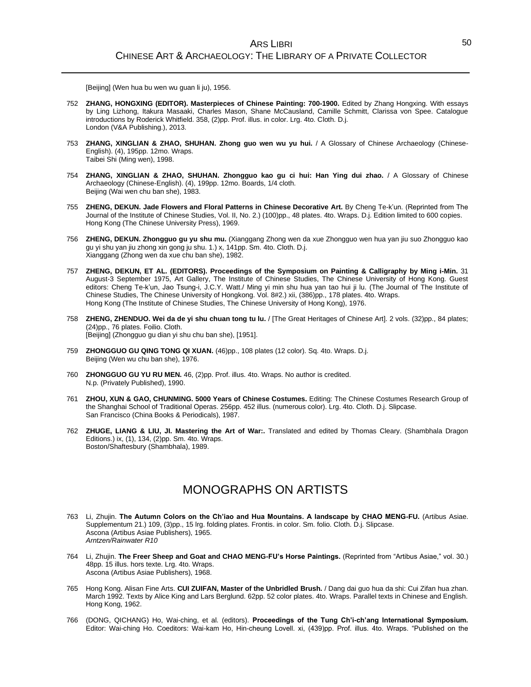[Beijing] (Wen hua bu wen wu guan li ju), 1956.

- 752 **ZHANG, HONGXING (EDITOR). Masterpieces of Chinese Painting: 700-1900.** Edited by Zhang Hongxing. With essays by Ling Lizhong, Itakura Masaaki, Charles Mason, Shane McCausland, Camille Schmitt, Clarissa von Spee. Catalogue introductions by Roderick Whitfield. 358, (2)pp. Prof. illus. in color. Lrg. 4to. Cloth. D.j. London (V&A Publishing.), 2013.
- 753 **ZHANG, XINGLIAN & ZHAO, SHUHAN. Zhong guo wen wu yu hui.** / A Glossary of Chinese Archaeology (Chinese-English). (4), 195pp. 12mo. Wraps. Taibei Shi (Ming wen), 1998.
- 754 **ZHANG, XINGLIAN & ZHAO, SHUHAN. Zhongguo kao gu ci hui: Han Ying dui zhao.** / A Glossary of Chinese Archaeology (Chinese-English). (4), 199pp. 12mo. Boards, 1/4 cloth. Beijing (Wai wen chu ban she), 1983.
- 755 **ZHENG, DEKUN. Jade Flowers and Floral Patterns in Chinese Decorative Art.** By Cheng Te-k'un. (Reprinted from The Journal of the Institute of Chinese Studies, Vol. II, No. 2.) (100)pp., 48 plates. 4to. Wraps. D.j. Edition limited to 600 copies. Hong Kong (The Chinese University Press), 1969.
- 756 **ZHENG, DEKUN. Zhongguo gu yu shu mu.** (Xianggang Zhong wen da xue Zhongguo wen hua yan jiu suo Zhongguo kao gu yi shu yan jiu zhong xin gong ju shu. 1.) x, 141pp. Sm. 4to. Cloth. D.j. Xianggang (Zhong wen da xue chu ban she), 1982.
- 757 **ZHENG, DEKUN, ET AL. (EDITORS). Proceedings of the Symposium on Painting & Calligraphy by Ming i-Min.** 31 August-3 September 1975, Art Gallery, The Institute of Chinese Studies, The Chinese University of Hong Kong. Guest editors: Cheng Te-k'un, Jao Tsung-i, J.C.Y. Watt./ Ming yi min shu hua yan tao hui ji lu. (The Journal of The Institute of Chinese Studies, The Chinese University of Hongkong. Vol. 8#2.) xii, (386)pp., 178 plates. 4to. Wraps. Hong Kong (The Institute of Chinese Studies, The Chinese University of Hong Kong), 1976.
- 758 **ZHENG, ZHENDUO. Wei da de yi shu chuan tong tu lu.** / [The Great Heritages of Chinese Art]. 2 vols. (32)pp., 84 plates; (24)pp., 76 plates. Foilio. Cloth. [Beijing] (Zhongguo gu dian yi shu chu ban she), [1951].
- 759 **ZHONGGUO GU QING TONG QI XUAN.** (46)pp., 108 plates (12 color). Sq. 4to. Wraps. D.j. Beijing (Wen wu chu ban she), 1976.
- 760 **ZHONGGUO GU YU RU MEN.** 46, (2)pp. Prof. illus. 4to. Wraps. No author is credited. N.p. (Privately Published), 1990.
- 761 **ZHOU, XUN & GAO, CHUNMING. 5000 Years of Chinese Costumes.** Editing: The Chinese Costumes Research Group of the Shanghai School of Traditional Operas. 256pp. 452 illus. (numerous color). Lrg. 4to. Cloth. D.j. Slipcase. San Francisco (China Books & Periodicals), 1987.
- 762 **ZHUGE, LIANG & LIU, JI. Mastering the Art of War:.** Translated and edited by Thomas Cleary. (Shambhala Dragon Editions.) ix, (1), 134, (2)pp. Sm. 4to. Wraps. Boston/Shaftesbury (Shambhala), 1989.

## MONOGRAPHS ON ARTISTS

- 763 Li, Zhujin. **The Autumn Colors on the Ch'iao and Hua Mountains. A landscape by CHAO MENG-FU.** (Artibus Asiae. Supplementum 21.) 109, (3)pp., 15 lrg. folding plates. Frontis. in color. Sm. folio. Cloth. D.j. Slipcase. Ascona (Artibus Asiae Publishers), 1965. *Arntzen/Rainwater R10*
- 764 Li, Zhujin. **The Freer Sheep and Goat and CHAO MENG-FU's Horse Paintings.** (Reprinted from "Artibus Asiae," vol. 30.) 48pp. 15 illus. hors texte. Lrg. 4to. Wraps. Ascona (Artibus Asiae Publishers), 1968.
- 765 Hong Kong. Alisan Fine Arts. **CUI ZUIFAN, Master of the Unbridled Brush.** / Dang dai guo hua da shi: Cui Zifan hua zhan. March 1992. Texts by Alice King and Lars Berglund. 62pp. 52 color plates. 4to. Wraps. Parallel texts in Chinese and English. Hong Kong, 1962.
- 766 (DONG, QICHANG) Ho, Wai-ching, et al. (editors). **Proceedings of the Tung Ch'i-ch'ang International Symposium.** Editor: Wai-ching Ho. Coeditors: Wai-kam Ho, Hin-cheung Lovell. xi, (439)pp. Prof. illus. 4to. Wraps. "Published on the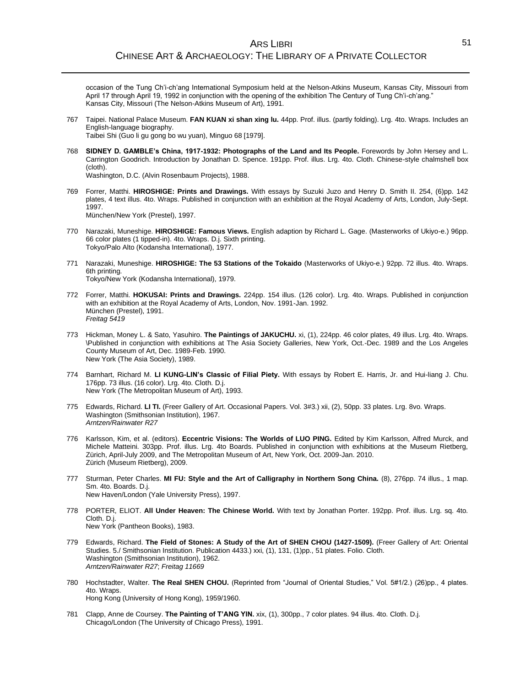occasion of the Tung Ch'i-ch'ang International Symposium held at the Nelson-Atkins Museum, Kansas City, Missouri from April 17 through April 19, 1992 in conjunction with the opening of the exhibition The Century of Tung Ch'i-ch'ang." Kansas City, Missouri (The Nelson-Atkins Museum of Art), 1991.

767 Taipei. National Palace Museum. **FAN KUAN xi shan xing lu.** 44pp. Prof. illus. (partly folding). Lrg. 4to. Wraps. Includes an English-language biography.

Taibei Shi (Guo li gu gong bo wu yuan), Minguo 68 [1979].

768 **SIDNEY D. GAMBLE's China, 1917-1932: Photographs of the Land and Its People.** Forewords by John Hersey and L. Carrington Goodrich. Introduction by Jonathan D. Spence. 191pp. Prof. illus. Lrg. 4to. Cloth. Chinese-style chalmshell box (cloth).

Washington, D.C. (Alvin Rosenbaum Projects), 1988.

- 769 Forrer, Matthi. **HIROSHIGE: Prints and Drawings.** With essays by Suzuki Juzo and Henry D. Smith II. 254, (6)pp. 142 plates, 4 text illus. 4to. Wraps. Published in conjunction with an exhibition at the Royal Academy of Arts, London, July-Sept. .<br>1997. München/New York (Prestel), 1997.
- 770 Narazaki, Muneshige. **HIROSHIGE: Famous Views.** English adaption by Richard L. Gage. (Masterworks of Ukiyo-e.) 96pp. 66 color plates (1 tipped-in). 4to. Wraps. D.j. Sixth printing. Tokyo/Palo Alto (Kodansha International), 1977.
- 771 Narazaki, Muneshige. **HIROSHIGE: The 53 Stations of the Tokaido** (Masterworks of Ukiyo-e.) 92pp. 72 illus. 4to. Wraps. 6th printing. Tokyo/New York (Kodansha International), 1979.
- 772 Forrer, Matthi. **HOKUSAI: Prints and Drawings.** 224pp. 154 illus. (126 color). Lrg. 4to. Wraps. Published in conjunction with an exhibition at the Royal Academy of Arts, London, Nov. 1991-Jan. 1992. München (Prestel), 1991. *Freitag 5419*
- 773 Hickman, Money L. & Sato, Yasuhiro. **The Paintings of JAKUCHU.** xi, (1), 224pp. 46 color plates, 49 illus. Lrg. 4to. Wraps. \Published in conjunction with exhibitions at The Asia Society Galleries, New York, Oct.-Dec. 1989 and the Los Angeles County Museum of Art, Dec. 1989-Feb. 1990. New York (The Asia Society), 1989.
- 774 Barnhart, Richard M. **LI KUNG-LIN's Classic of Filial Piety.** With essays by Robert E. Harris, Jr. and Hui-liang J. Chu. 176pp. 73 illus. (16 color). Lrg. 4to. Cloth. D.j. New York (The Metropolitan Museum of Art), 1993.
- 775 Edwards, Richard. **LI TI.** (Freer Gallery of Art. Occasional Papers. Vol. 3#3.) xii, (2), 50pp. 33 plates. Lrg. 8vo. Wraps. Washington (Smithsonian Institution), 1967. *Arntzen/Rainwater R27*
- 776 Karlsson, Kim, et al. (editors). **Eccentric Visions: The Worlds of LUO PING.** Edited by Kim Karlsson, Alfred Murck, and Michele Matteini. 303pp. Prof. illus. Lrg. 4to Boards. Published in conjunction with exhibitions at the Museum Rietberg, Zürich, April-July 2009, and The Metropolitan Museum of Art, New York, Oct. 2009-Jan. 2010. Zürich (Museum Rietberg), 2009.
- 777 Sturman, Peter Charles. **MI FU: Style and the Art of Calligraphy in Northern Song China.** (8), 276pp. 74 illus., 1 map. Sm. 4to. Boards. D.j. New Haven/London (Yale University Press), 1997.
- 778 PORTER, ELIOT. **All Under Heaven: The Chinese World.** With text by Jonathan Porter. 192pp. Prof. illus. Lrg. sq. 4to. Cloth. D.j. New York (Pantheon Books), 1983.
- 779 Edwards, Richard. **The Field of Stones: A Study of the Art of SHEN CHOU (1427-1509).** (Freer Gallery of Art: Oriental Studies. 5./ Smithsonian Institution. Publication 4433.) xxi, (1), 131, (1)pp., 51 plates. Folio. Cloth. Washington (Smithsonian Institution), 1962. *Arntzen/Rainwater R27*; *Freitag 11669*
- 780 Hochstadter, Walter. **The Real SHEN CHOU.** (Reprinted from "Journal of Oriental Studies," Vol. 5#1/2.) (26)pp., 4 plates. 4to. Wraps. Hong Kong (University of Hong Kong), 1959/1960.
- 781 Clapp, Anne de Coursey. **The Painting of T'ANG YIN.** xix, (1), 300pp., 7 color plates. 94 illus. 4to. Cloth. D.j. Chicago/London (The University of Chicago Press), 1991.